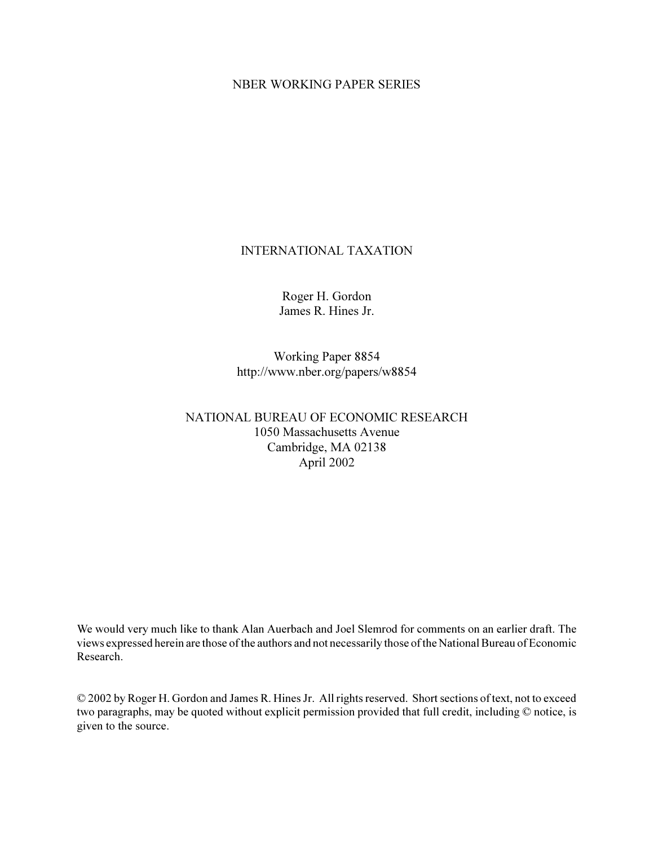### NBER WORKING PAPER SERIES

#### INTERNATIONAL TAXATION

Roger H. Gordon James R. Hines Jr.

Working Paper 8854 http://www.nber.org/papers/w8854

# NATIONAL BUREAU OF ECONOMIC RESEARCH 1050 Massachusetts Avenue Cambridge, MA 02138 April 2002

We would very much like to thank Alan Auerbach and Joel Slemrod for comments on an earlier draft. The views expressed herein are those of the authors and not necessarily those of the National Bureau of Economic Research.

© 2002 by Roger H. Gordon and James R. Hines Jr. All rights reserved. Short sections of text, not to exceed two paragraphs, may be quoted without explicit permission provided that full credit, including © notice, is given to the source.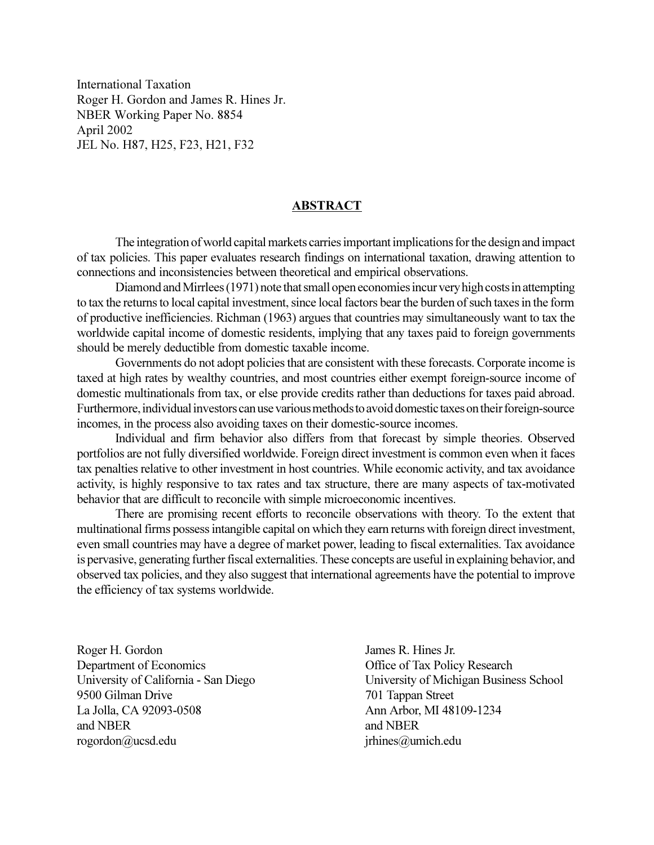International Taxation Roger H. Gordon and James R. Hines Jr. NBER Working Paper No. 8854 April 2002 JEL No. H87, H25, F23, H21, F32

#### ABSTRACT

The integration of world capital markets carries important implications for the design and impact of tax policies. This paper evaluates research findings on international taxation, drawing attention to connections and inconsistencies between theoretical and empirical observations.

Diamond and Mirrlees (1971) note that small open economies incur very high costs in attempting to tax the returns to local capital investment, since local factors bear the burden of such taxes in the form of productive inefficiencies. Richman (1963) argues that countries may simultaneously want to tax the worldwide capital income of domestic residents, implying that any taxes paid to foreign governments should be merely deductible from domestic taxable income.

Governments do not adopt policies that are consistent with these forecasts. Corporate income is taxed at high rates by wealthy countries, and most countries either exempt foreign-source income of domestic multinationals from tax, or else provide credits rather than deductions for taxes paid abroad. Furthermore, individual investors can use various methods to avoid domestic taxes on their foreign-source incomes, in the process also avoiding taxes on their domestic-source incomes.

Individual and firm behavior also differs from that forecast by simple theories. Observed portfolios are not fully diversified worldwide. Foreign direct investment is common even when it faces tax penalties relative to other investment in host countries. While economic activity, and tax avoidance activity, is highly responsive to tax rates and tax structure, there are many aspects of tax-motivated behavior that are difficult to reconcile with simple microeconomic incentives.

There are promising recent efforts to reconcile observations with theory. To the extent that multinational firms possess intangible capital on which they earn returns with foreign direct investment, even small countries may have a degree of market power, leading to fiscal externalities. Tax avoidance is pervasive, generating further fiscal externalities. These concepts are useful in explaining behavior, and observed tax policies, and they also suggest that international agreements have the potential to improve the efficiency of tax systems worldwide.

Roger H. Gordon James R. Hines Jr. Department of Economics Office of Tax Policy Research 9500 Gilman Drive 701 Tappan Street La Jolla, CA 92093-0508 Ann Arbor, MI 48109-1234 and NBER and NBER rogordon@ucsd.edu irhines@umich.edu

University of California - San Diego University of Michigan Business School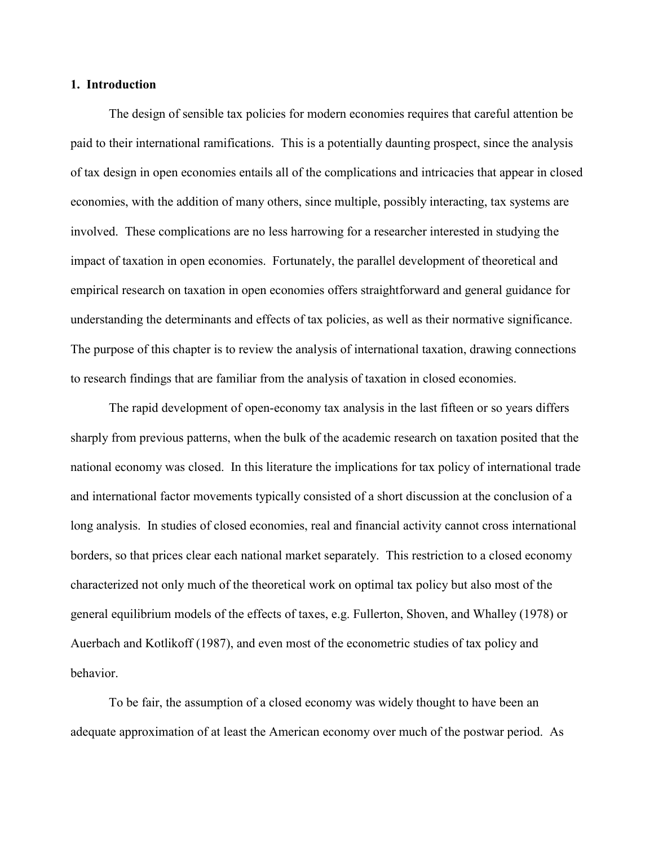#### **1. Introduction**

The design of sensible tax policies for modern economies requires that careful attention be paid to their international ramifications. This is a potentially daunting prospect, since the analysis of tax design in open economies entails all of the complications and intricacies that appear in closed economies, with the addition of many others, since multiple, possibly interacting, tax systems are involved. These complications are no less harrowing for a researcher interested in studying the impact of taxation in open economies. Fortunately, the parallel development of theoretical and empirical research on taxation in open economies offers straightforward and general guidance for understanding the determinants and effects of tax policies, as well as their normative significance. The purpose of this chapter is to review the analysis of international taxation, drawing connections to research findings that are familiar from the analysis of taxation in closed economies.

The rapid development of open-economy tax analysis in the last fifteen or so years differs sharply from previous patterns, when the bulk of the academic research on taxation posited that the national economy was closed. In this literature the implications for tax policy of international trade and international factor movements typically consisted of a short discussion at the conclusion of a long analysis. In studies of closed economies, real and financial activity cannot cross international borders, so that prices clear each national market separately. This restriction to a closed economy characterized not only much of the theoretical work on optimal tax policy but also most of the general equilibrium models of the effects of taxes, e.g. Fullerton, Shoven, and Whalley (1978) or Auerbach and Kotlikoff (1987), and even most of the econometric studies of tax policy and behavior.

To be fair, the assumption of a closed economy was widely thought to have been an adequate approximation of at least the American economy over much of the postwar period. As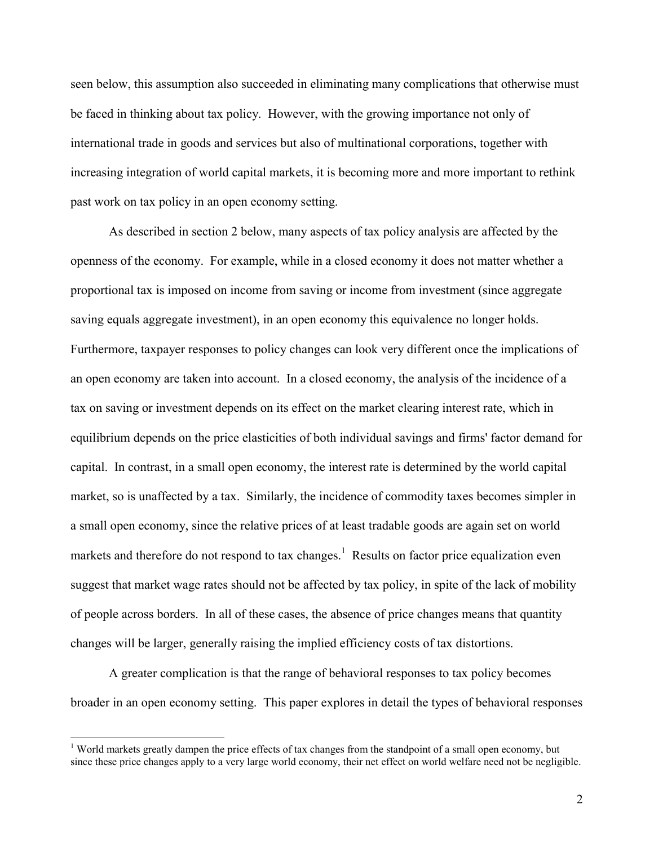seen below, this assumption also succeeded in eliminating many complications that otherwise must be faced in thinking about tax policy. However, with the growing importance not only of international trade in goods and services but also of multinational corporations, together with increasing integration of world capital markets, it is becoming more and more important to rethink past work on tax policy in an open economy setting.

 As described in section 2 below, many aspects of tax policy analysis are affected by the openness of the economy. For example, while in a closed economy it does not matter whether a proportional tax is imposed on income from saving or income from investment (since aggregate saving equals aggregate investment), in an open economy this equivalence no longer holds. Furthermore, taxpayer responses to policy changes can look very different once the implications of an open economy are taken into account. In a closed economy, the analysis of the incidence of a tax on saving or investment depends on its effect on the market clearing interest rate, which in equilibrium depends on the price elasticities of both individual savings and firms' factor demand for capital. In contrast, in a small open economy, the interest rate is determined by the world capital market, so is unaffected by a tax. Similarly, the incidence of commodity taxes becomes simpler in a small open economy, since the relative prices of at least tradable goods are again set on world markets and therefore do not respond to tax changes.<sup>1</sup> Results on factor price equalization even suggest that market wage rates should not be affected by tax policy, in spite of the lack of mobility of people across borders. In all of these cases, the absence of price changes means that quantity changes will be larger, generally raising the implied efficiency costs of tax distortions.

A greater complication is that the range of behavioral responses to tax policy becomes broader in an open economy setting. This paper explores in detail the types of behavioral responses

 $1$  World markets greatly dampen the price effects of tax changes from the standpoint of a small open economy, but since these price changes apply to a very large world economy, their net effect on world welfare need not be negligible.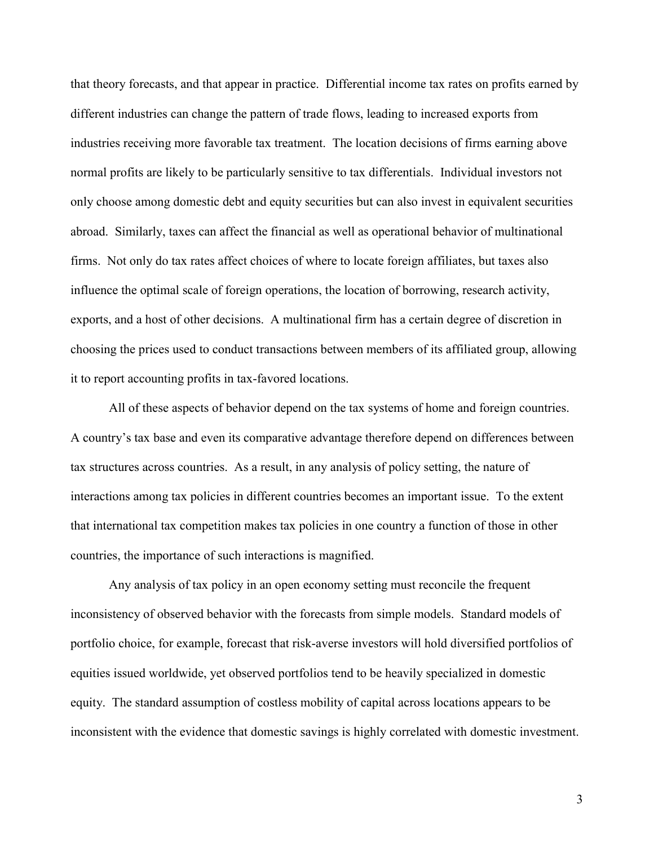that theory forecasts, and that appear in practice. Differential income tax rates on profits earned by different industries can change the pattern of trade flows, leading to increased exports from industries receiving more favorable tax treatment. The location decisions of firms earning above normal profits are likely to be particularly sensitive to tax differentials. Individual investors not only choose among domestic debt and equity securities but can also invest in equivalent securities abroad. Similarly, taxes can affect the financial as well as operational behavior of multinational firms. Not only do tax rates affect choices of where to locate foreign affiliates, but taxes also influence the optimal scale of foreign operations, the location of borrowing, research activity, exports, and a host of other decisions. A multinational firm has a certain degree of discretion in choosing the prices used to conduct transactions between members of its affiliated group, allowing it to report accounting profits in tax-favored locations.

All of these aspects of behavior depend on the tax systems of home and foreign countries. A country's tax base and even its comparative advantage therefore depend on differences between tax structures across countries. As a result, in any analysis of policy setting, the nature of interactions among tax policies in different countries becomes an important issue. To the extent that international tax competition makes tax policies in one country a function of those in other countries, the importance of such interactions is magnified.

Any analysis of tax policy in an open economy setting must reconcile the frequent inconsistency of observed behavior with the forecasts from simple models. Standard models of portfolio choice, for example, forecast that risk-averse investors will hold diversified portfolios of equities issued worldwide, yet observed portfolios tend to be heavily specialized in domestic equity. The standard assumption of costless mobility of capital across locations appears to be inconsistent with the evidence that domestic savings is highly correlated with domestic investment.

3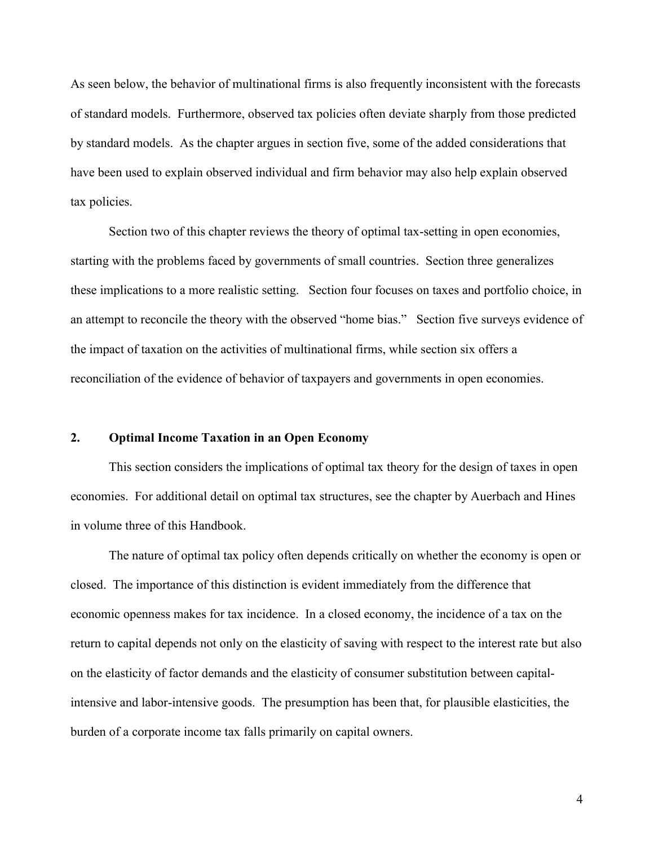As seen below, the behavior of multinational firms is also frequently inconsistent with the forecasts of standard models. Furthermore, observed tax policies often deviate sharply from those predicted by standard models. As the chapter argues in section five, some of the added considerations that have been used to explain observed individual and firm behavior may also help explain observed tax policies.

Section two of this chapter reviews the theory of optimal tax-setting in open economies, starting with the problems faced by governments of small countries. Section three generalizes these implications to a more realistic setting. Section four focuses on taxes and portfolio choice, in an attempt to reconcile the theory with the observed "home bias." Section five surveys evidence of the impact of taxation on the activities of multinational firms, while section six offers a reconciliation of the evidence of behavior of taxpayers and governments in open economies.

# **2. Optimal Income Taxation in an Open Economy**

 This section considers the implications of optimal tax theory for the design of taxes in open economies. For additional detail on optimal tax structures, see the chapter by Auerbach and Hines in volume three of this Handbook.

The nature of optimal tax policy often depends critically on whether the economy is open or closed. The importance of this distinction is evident immediately from the difference that economic openness makes for tax incidence. In a closed economy, the incidence of a tax on the return to capital depends not only on the elasticity of saving with respect to the interest rate but also on the elasticity of factor demands and the elasticity of consumer substitution between capitalintensive and labor-intensive goods. The presumption has been that, for plausible elasticities, the burden of a corporate income tax falls primarily on capital owners.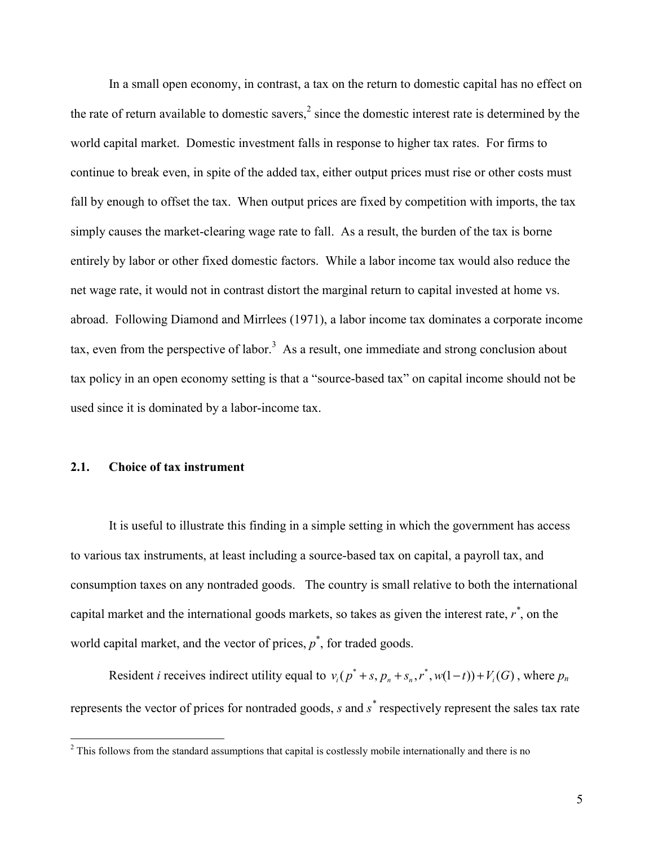In a small open economy, in contrast, a tax on the return to domestic capital has no effect on the rate of return available to domestic savers,<sup>2</sup> since the domestic interest rate is determined by the world capital market. Domestic investment falls in response to higher tax rates. For firms to continue to break even, in spite of the added tax, either output prices must rise or other costs must fall by enough to offset the tax. When output prices are fixed by competition with imports, the tax simply causes the market-clearing wage rate to fall. As a result, the burden of the tax is borne entirely by labor or other fixed domestic factors. While a labor income tax would also reduce the net wage rate, it would not in contrast distort the marginal return to capital invested at home vs. abroad. Following Diamond and Mirrlees (1971), a labor income tax dominates a corporate income tax, even from the perspective of labor.<sup>3</sup> As a result, one immediate and strong conclusion about tax policy in an open economy setting is that a "source-based tax" on capital income should not be used since it is dominated by a labor-income tax.

## **2.1. Choice of tax instrument**

It is useful to illustrate this finding in a simple setting in which the government has access to various tax instruments, at least including a source-based tax on capital, a payroll tax, and consumption taxes on any nontraded goods. The country is small relative to both the international capital market and the international goods markets, so takes as given the interest rate, *r \** , on the world capital market, and the vector of prices,  $p^*$ , for traded goods.

Resident *i* receives indirect utility equal to  $v_i ( p^* + s, p_n + s_n, r^*, w(1-t) ) + V_i(G)$ , where  $p_n$ represents the vector of prices for nontraded goods, *s* and *s \** respectively represent the sales tax rate

<sup>&</sup>lt;sup>2</sup> This follows from the standard assumptions that capital is costlessly mobile internationally and there is no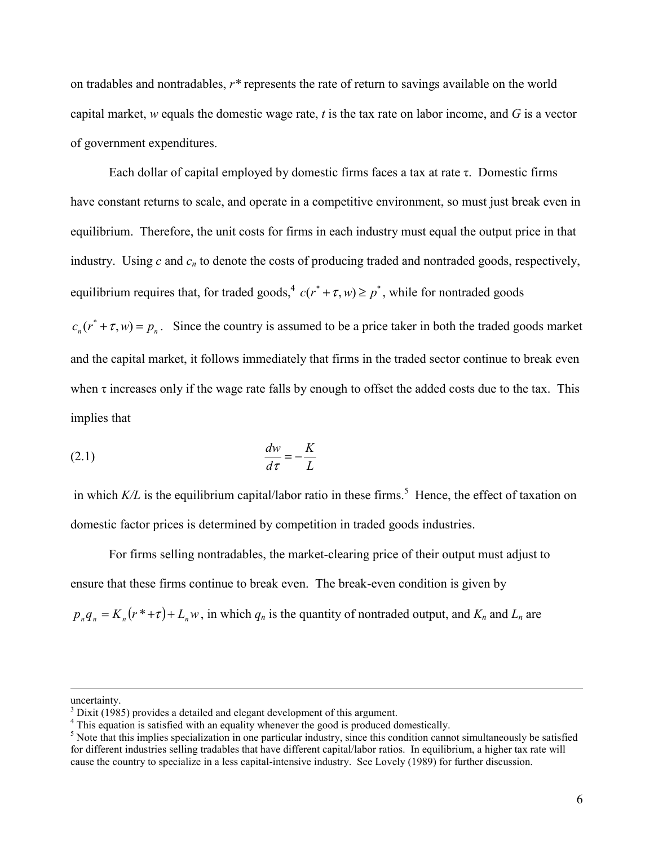on tradables and nontradables, *r\** represents the rate of return to savings available on the world capital market, *w* equals the domestic wage rate, *t* is the tax rate on labor income, and *G* is a vector of government expenditures.

Each dollar of capital employed by domestic firms faces a tax at rate  $\tau$ . Domestic firms have constant returns to scale, and operate in a competitive environment, so must just break even in equilibrium. Therefore, the unit costs for firms in each industry must equal the output price in that industry. Using  $c$  and  $c_n$  to denote the costs of producing traded and nontraded goods, respectively, equilibrium requires that, for traded goods,  $c(r^* + \tau, w) \ge p^*$ , while for nontraded goods  $c_n(r^* + \tau, w) = p_n$ . Since the country is assumed to be a price taker in both the traded goods market and the capital market, it follows immediately that firms in the traded sector continue to break even when  $\tau$  increases only if the wage rate falls by enough to offset the added costs due to the tax. This implies that

$$
\frac{dw}{d\tau} = -\frac{K}{L}
$$

in which  $K/L$  is the equilibrium capital/labor ratio in these firms.<sup>5</sup> Hence, the effect of taxation on domestic factor prices is determined by competition in traded goods industries.

For firms selling nontradables, the market-clearing price of their output must adjust to ensure that these firms continue to break even. The break-even condition is given by  $p_n q_n = K_n (r^* + \tau) + L_n w$ , in which  $q_n$  is the quantity of nontraded output, and  $K_n$  and  $L_n$  are

uncertainty.

 $3$  Dixit (1985) provides a detailed and elegant development of this argument.

<sup>&</sup>lt;sup>4</sup> This equation is satisfied with an equality whenever the good is produced domestically.

<sup>&</sup>lt;sup>5</sup> Note that this implies specialization in one particular industry, since this condition cannot simultaneously be satisfied for different industries selling tradables that have different capital/labor ratios. In equilibrium, a higher tax rate will cause the country to specialize in a less capital-intensive industry. See Lovely (1989) for further discussion.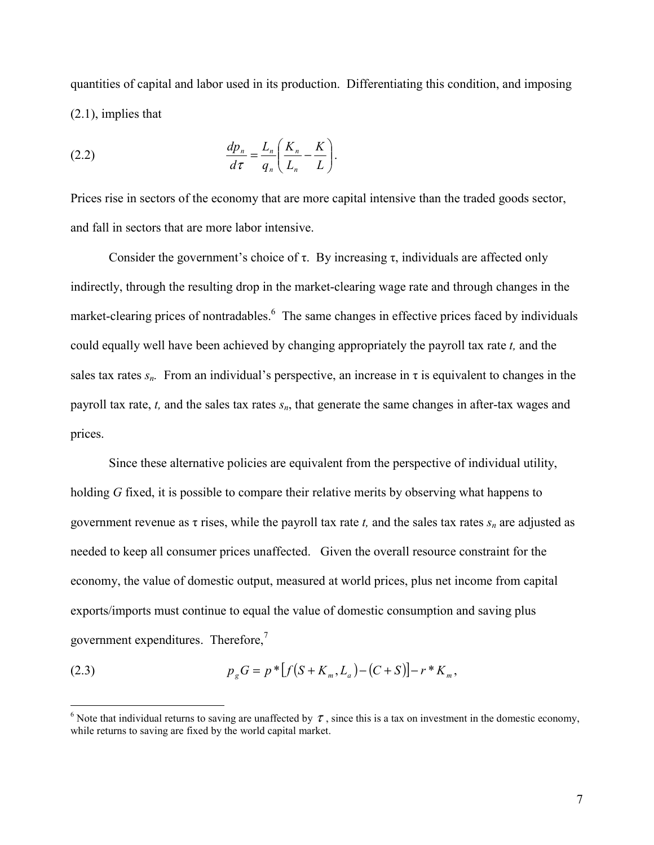quantities of capital and labor used in its production. Differentiating this condition, and imposing (2.1), implies that

(2.2) 
$$
\frac{dp_n}{d\tau} = \frac{L_n}{q_n} \left( \frac{K_n}{L_n} - \frac{K}{L} \right).
$$

Prices rise in sectors of the economy that are more capital intensive than the traded goods sector, and fall in sectors that are more labor intensive.

Consider the government's choice of  $\tau$ . By increasing  $\tau$ , individuals are affected only indirectly, through the resulting drop in the market-clearing wage rate and through changes in the market-clearing prices of nontradables.<sup>6</sup> The same changes in effective prices faced by individuals could equally well have been achieved by changing appropriately the payroll tax rate *t,* and the sales tax rates  $s_n$ . From an individual's perspective, an increase in  $\tau$  is equivalent to changes in the payroll tax rate, *t,* and the sales tax rates *sn*, that generate the same changes in after-tax wages and prices.

Since these alternative policies are equivalent from the perspective of individual utility, holding *G* fixed, it is possible to compare their relative merits by observing what happens to government revenue as  $\tau$  rises, while the payroll tax rate *t*, and the sales tax rates  $s_n$  are adjusted as needed to keep all consumer prices unaffected. Given the overall resource constraint for the economy, the value of domestic output, measured at world prices, plus net income from capital exports/imports must continue to equal the value of domestic consumption and saving plus government expenditures. Therefore, $\frac{7}{2}$ 

(2.3) 
$$
p_g G = p^* [f(S + K_m, L_a) - (C + S)] - r^* K_m,
$$

<sup>&</sup>lt;sup>6</sup> Note that individual returns to saving are unaffected by  $\tau$ , since this is a tax on investment in the domestic economy, while returns to saving are fixed by the world capital market.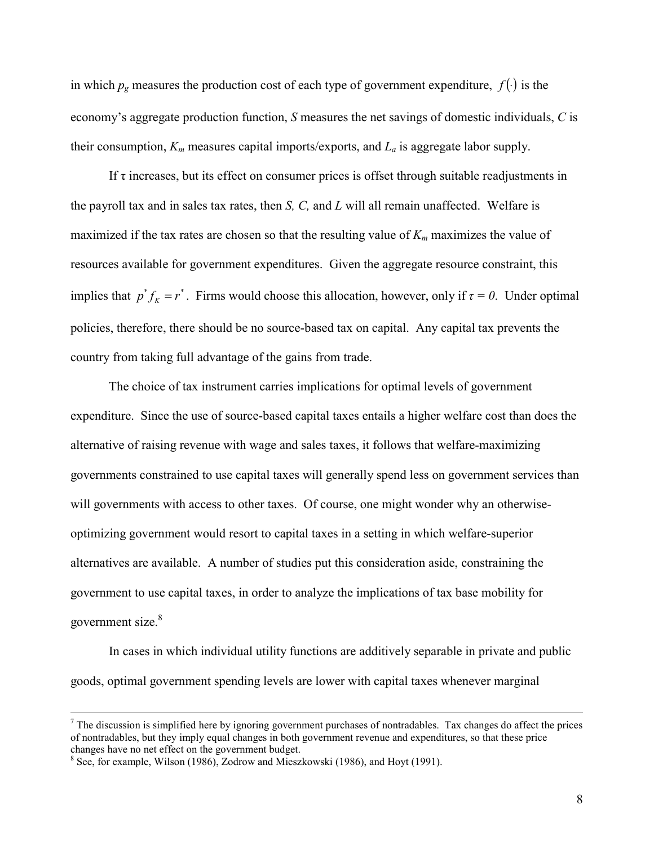in which  $p_g$  measures the production cost of each type of government expenditure,  $f(.)$  is the economy's aggregate production function, *S* measures the net savings of domestic individuals, *C* is their consumption,  $K_m$  measures capital imports/exports, and  $L_a$  is aggregate labor supply.

If  $\tau$  increases, but its effect on consumer prices is offset through suitable readjustments in the payroll tax and in sales tax rates, then *S, C,* and *L* will all remain unaffected. Welfare is maximized if the tax rates are chosen so that the resulting value of  $K<sub>m</sub>$  maximizes the value of resources available for government expenditures. Given the aggregate resource constraint, this implies that  $p^* f_k = r^*$ . Firms would choose this allocation, however, only if  $\tau = 0$ . Under optimal policies, therefore, there should be no source-based tax on capital. Any capital tax prevents the country from taking full advantage of the gains from trade.

The choice of tax instrument carries implications for optimal levels of government expenditure. Since the use of source-based capital taxes entails a higher welfare cost than does the alternative of raising revenue with wage and sales taxes, it follows that welfare-maximizing governments constrained to use capital taxes will generally spend less on government services than will governments with access to other taxes. Of course, one might wonder why an otherwiseoptimizing government would resort to capital taxes in a setting in which welfare-superior alternatives are available. A number of studies put this consideration aside, constraining the government to use capital taxes, in order to analyze the implications of tax base mobility for government size.<sup>8</sup>

In cases in which individual utility functions are additively separable in private and public goods, optimal government spending levels are lower with capital taxes whenever marginal

<sup>-&</sup>lt;br>7  $\sigma$  The discussion is simplified here by ignoring government purchases of nontradables. Tax changes do affect the prices of nontradables, but they imply equal changes in both government revenue and expenditures, so that these price changes have no net effect on the government budget.

<sup>&</sup>lt;sup>8</sup> See, for example, Wilson (1986), Zodrow and Mieszkowski (1986), and Hoyt (1991).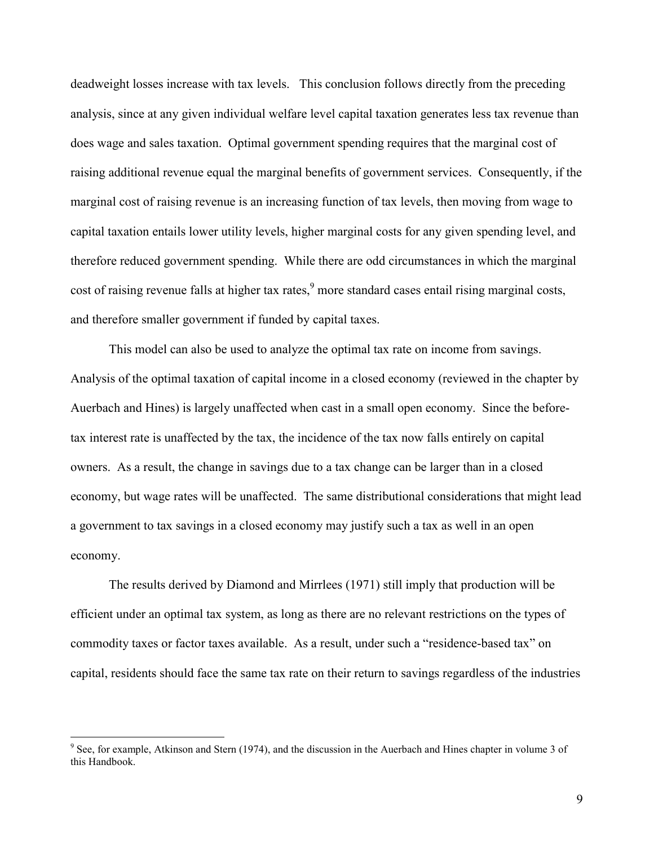deadweight losses increase with tax levels. This conclusion follows directly from the preceding analysis, since at any given individual welfare level capital taxation generates less tax revenue than does wage and sales taxation. Optimal government spending requires that the marginal cost of raising additional revenue equal the marginal benefits of government services. Consequently, if the marginal cost of raising revenue is an increasing function of tax levels, then moving from wage to capital taxation entails lower utility levels, higher marginal costs for any given spending level, and therefore reduced government spending. While there are odd circumstances in which the marginal cost of raising revenue falls at higher tax rates,  $9$  more standard cases entail rising marginal costs, and therefore smaller government if funded by capital taxes.

This model can also be used to analyze the optimal tax rate on income from savings. Analysis of the optimal taxation of capital income in a closed economy (reviewed in the chapter by Auerbach and Hines) is largely unaffected when cast in a small open economy. Since the beforetax interest rate is unaffected by the tax, the incidence of the tax now falls entirely on capital owners. As a result, the change in savings due to a tax change can be larger than in a closed economy, but wage rates will be unaffected. The same distributional considerations that might lead a government to tax savings in a closed economy may justify such a tax as well in an open economy.

The results derived by Diamond and Mirrlees (1971) still imply that production will be efficient under an optimal tax system, as long as there are no relevant restrictions on the types of commodity taxes or factor taxes available. As a result, under such a "residence-based tax" on capital, residents should face the same tax rate on their return to savings regardless of the industries

 $9^9$  See, for example, Atkinson and Stern (1974), and the discussion in the Auerbach and Hines chapter in volume 3 of this Handbook.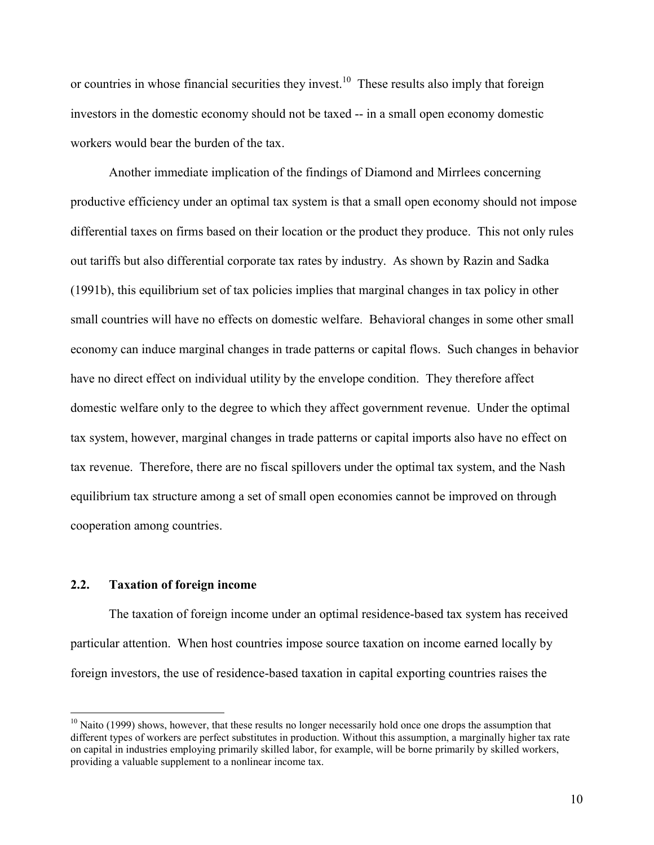or countries in whose financial securities they invest.<sup>10</sup> These results also imply that foreign investors in the domestic economy should not be taxed -- in a small open economy domestic workers would bear the burden of the tax.

Another immediate implication of the findings of Diamond and Mirrlees concerning productive efficiency under an optimal tax system is that a small open economy should not impose differential taxes on firms based on their location or the product they produce. This not only rules out tariffs but also differential corporate tax rates by industry. As shown by Razin and Sadka (1991b), this equilibrium set of tax policies implies that marginal changes in tax policy in other small countries will have no effects on domestic welfare. Behavioral changes in some other small economy can induce marginal changes in trade patterns or capital flows. Such changes in behavior have no direct effect on individual utility by the envelope condition. They therefore affect domestic welfare only to the degree to which they affect government revenue. Under the optimal tax system, however, marginal changes in trade patterns or capital imports also have no effect on tax revenue. Therefore, there are no fiscal spillovers under the optimal tax system, and the Nash equilibrium tax structure among a set of small open economies cannot be improved on through cooperation among countries.

### **2.2. Taxation of foreign income**

 $\overline{a}$ 

The taxation of foreign income under an optimal residence-based tax system has received particular attention. When host countries impose source taxation on income earned locally by foreign investors, the use of residence-based taxation in capital exporting countries raises the

 $10$  Naito (1999) shows, however, that these results no longer necessarily hold once one drops the assumption that different types of workers are perfect substitutes in production. Without this assumption, a marginally higher tax rate on capital in industries employing primarily skilled labor, for example, will be borne primarily by skilled workers, providing a valuable supplement to a nonlinear income tax.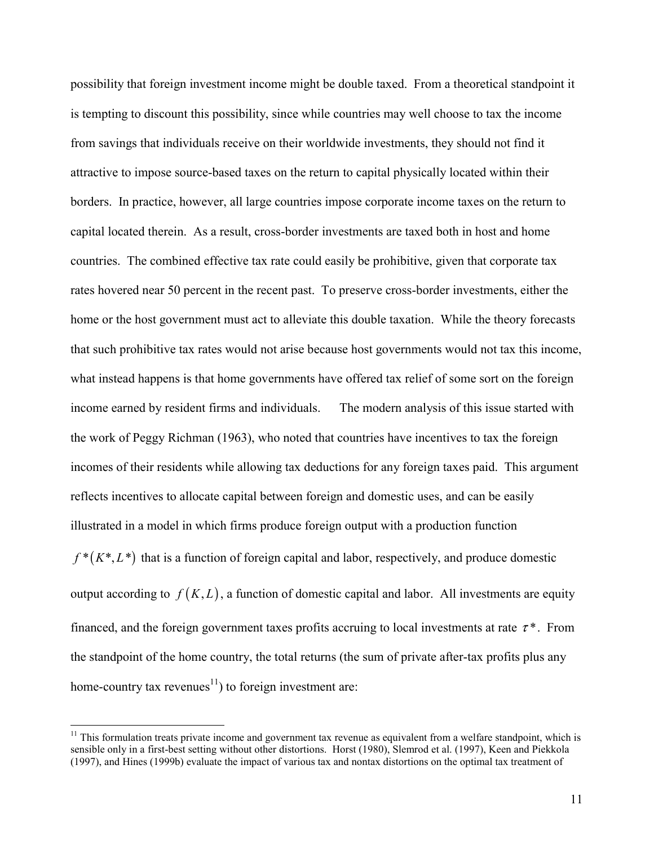possibility that foreign investment income might be double taxed. From a theoretical standpoint it is tempting to discount this possibility, since while countries may well choose to tax the income from savings that individuals receive on their worldwide investments, they should not find it attractive to impose source-based taxes on the return to capital physically located within their borders. In practice, however, all large countries impose corporate income taxes on the return to capital located therein. As a result, cross-border investments are taxed both in host and home countries. The combined effective tax rate could easily be prohibitive, given that corporate tax rates hovered near 50 percent in the recent past. To preserve cross-border investments, either the home or the host government must act to alleviate this double taxation. While the theory forecasts that such prohibitive tax rates would not arise because host governments would not tax this income, what instead happens is that home governments have offered tax relief of some sort on the foreign income earned by resident firms and individuals. The modern analysis of this issue started with the work of Peggy Richman (1963), who noted that countries have incentives to tax the foreign incomes of their residents while allowing tax deductions for any foreign taxes paid. This argument reflects incentives to allocate capital between foreign and domestic uses, and can be easily illustrated in a model in which firms produce foreign output with a production function  $f^*(K^*, L^*)$  that is a function of foreign capital and labor, respectively, and produce domestic output according to  $f(K, L)$ , a function of domestic capital and labor. All investments are equity financed, and the foreign government taxes profits accruing to local investments at rate  $\tau^*$ . From the standpoint of the home country, the total returns (the sum of private after-tax profits plus any home-country tax revenues<sup>11</sup>) to foreign investment are:

 $11$  This formulation treats private income and government tax revenue as equivalent from a welfare standpoint, which is sensible only in a first-best setting without other distortions. Horst (1980), Slemrod et al. (1997), Keen and Piekkola (1997), and Hines (1999b) evaluate the impact of various tax and nontax distortions on the optimal tax treatment of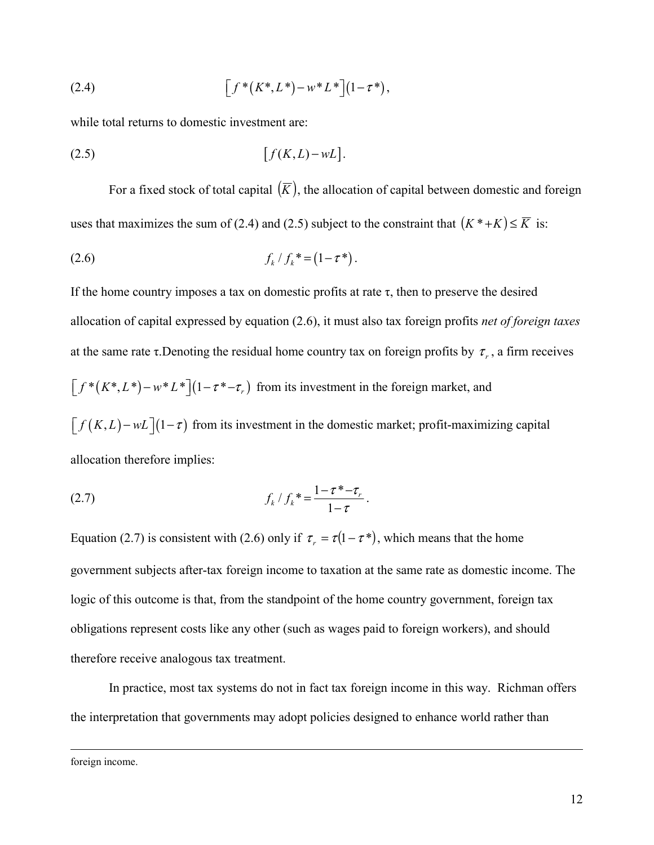(2.4) 
$$
\[f^*(K^*, L^*) - w^* L^* \](1 - \tau^*),
$$

while total returns to domestic investment are:

(2.5) [ ] *f* (,) *K L wL* − .

For a fixed stock of total capital  $(\overline{K})$ , the allocation of capital between domestic and foreign uses that maximizes the sum of (2.4) and (2.5) subject to the constraint that  $(K^*+K) \leq \overline{K}$  is:

$$
(2.6) \t\t f_k / f_k^* = (1 - \tau^*).
$$

If the home country imposes a tax on domestic profits at rate  $\tau$ , then to preserve the desired allocation of capital expressed by equation (2.6), it must also tax foreign profits *net of foreign taxes* at the same rate  $\tau$ . Denoting the residual home country tax on foreign profits by  $\tau_r$ , a firm receives  $\int f^*(K^*, L^*) - w^*L^* \rceil (1 - \tau^* - \tau)$  from its investment in the foreign market, and

 $\int f(K,L) - wL \rvert (1-\tau)$  from its investment in the domestic market; profit-maximizing capital allocation therefore implies:

(2.7) 
$$
f_k / f_k^* = \frac{1 - \tau^* - \tau_r}{1 - \tau}.
$$

Equation (2.7) is consistent with (2.6) only if  $\tau_r = \tau(1 - \tau^*)$ , which means that the home government subjects after-tax foreign income to taxation at the same rate as domestic income. The logic of this outcome is that, from the standpoint of the home country government, foreign tax obligations represent costs like any other (such as wages paid to foreign workers), and should therefore receive analogous tax treatment.

 In practice, most tax systems do not in fact tax foreign income in this way. Richman offers the interpretation that governments may adopt policies designed to enhance world rather than

foreign income.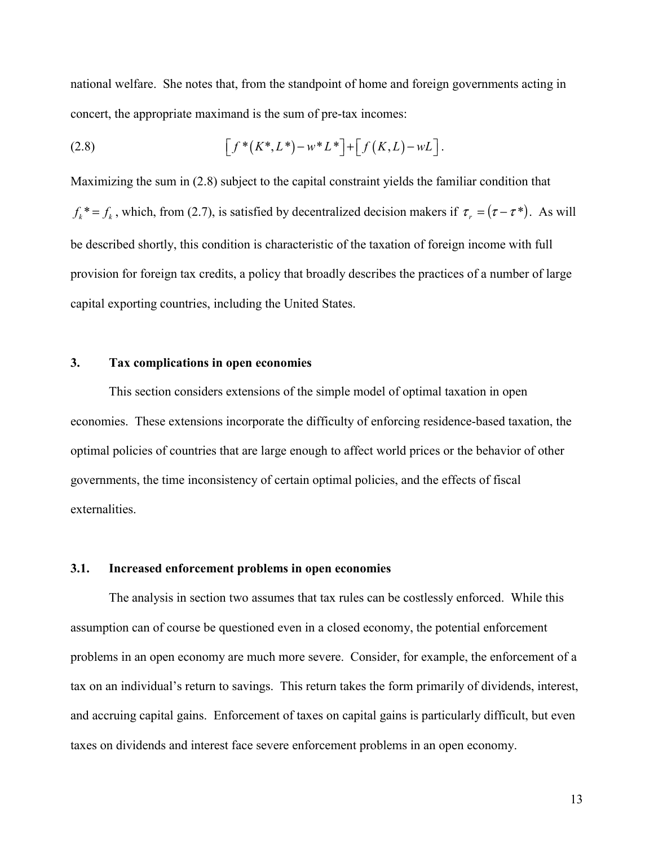national welfare. She notes that, from the standpoint of home and foreign governments acting in concert, the appropriate maximand is the sum of pre-tax incomes:

(2.8) 
$$
\left[f^*(K^*,L^*)-w^*L^*\right]+\left[f(K,L)-wL\right].
$$

Maximizing the sum in (2.8) subject to the capital constraint yields the familiar condition that  $f_k^* = f_k$ , which, from (2.7), is satisfied by decentralized decision makers if  $\tau_r = (\tau - \tau^*)$ . As will be described shortly, this condition is characteristic of the taxation of foreign income with full provision for foreign tax credits, a policy that broadly describes the practices of a number of large capital exporting countries, including the United States.

#### **3. Tax complications in open economies**

This section considers extensions of the simple model of optimal taxation in open economies. These extensions incorporate the difficulty of enforcing residence-based taxation, the optimal policies of countries that are large enough to affect world prices or the behavior of other governments, the time inconsistency of certain optimal policies, and the effects of fiscal externalities.

### **3.1. Increased enforcement problems in open economies**

The analysis in section two assumes that tax rules can be costlessly enforced. While this assumption can of course be questioned even in a closed economy, the potential enforcement problems in an open economy are much more severe. Consider, for example, the enforcement of a tax on an individual's return to savings. This return takes the form primarily of dividends, interest, and accruing capital gains. Enforcement of taxes on capital gains is particularly difficult, but even taxes on dividends and interest face severe enforcement problems in an open economy.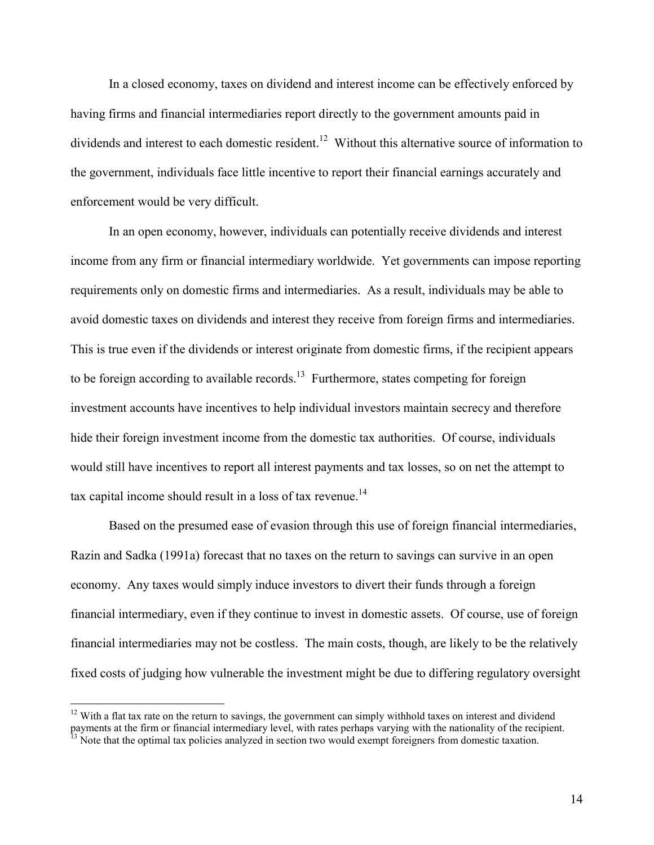In a closed economy, taxes on dividend and interest income can be effectively enforced by having firms and financial intermediaries report directly to the government amounts paid in dividends and interest to each domestic resident.<sup>12</sup> Without this alternative source of information to the government, individuals face little incentive to report their financial earnings accurately and enforcement would be very difficult.

In an open economy, however, individuals can potentially receive dividends and interest income from any firm or financial intermediary worldwide. Yet governments can impose reporting requirements only on domestic firms and intermediaries. As a result, individuals may be able to avoid domestic taxes on dividends and interest they receive from foreign firms and intermediaries. This is true even if the dividends or interest originate from domestic firms, if the recipient appears to be foreign according to available records.<sup>13</sup> Furthermore, states competing for foreign investment accounts have incentives to help individual investors maintain secrecy and therefore hide their foreign investment income from the domestic tax authorities. Of course, individuals would still have incentives to report all interest payments and tax losses, so on net the attempt to tax capital income should result in a loss of tax revenue.<sup>14</sup>

Based on the presumed ease of evasion through this use of foreign financial intermediaries, Razin and Sadka (1991a) forecast that no taxes on the return to savings can survive in an open economy. Any taxes would simply induce investors to divert their funds through a foreign financial intermediary, even if they continue to invest in domestic assets. Of course, use of foreign financial intermediaries may not be costless. The main costs, though, are likely to be the relatively fixed costs of judging how vulnerable the investment might be due to differing regulatory oversight

 $12$  With a flat tax rate on the return to savings, the government can simply withhold taxes on interest and dividend payments at the firm or financial intermediary level, with rates perhaps varying with the nationality of the recipient.

<sup>&</sup>lt;sup>13</sup> Note that the optimal tax policies analyzed in section two would exempt foreigners from domestic taxation.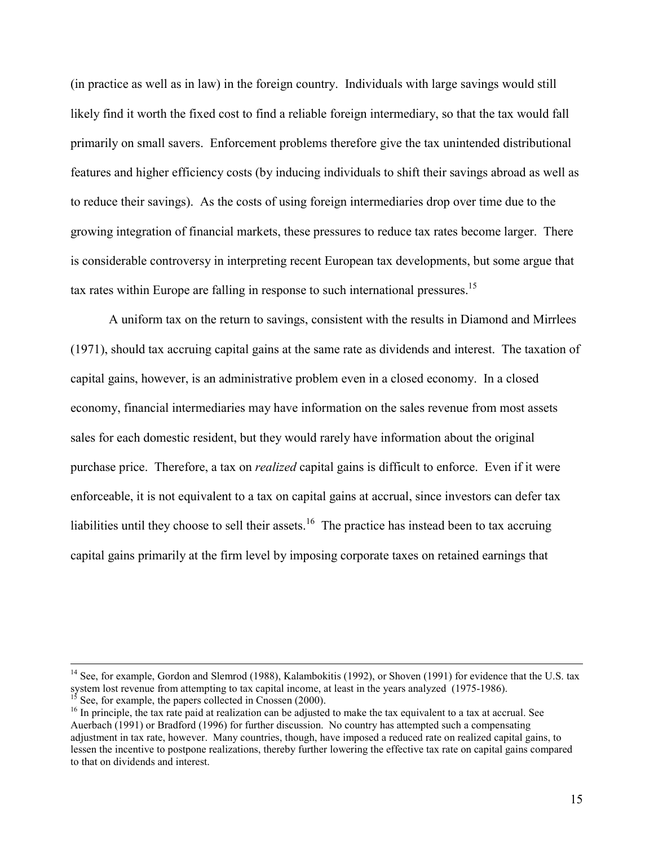(in practice as well as in law) in the foreign country. Individuals with large savings would still likely find it worth the fixed cost to find a reliable foreign intermediary, so that the tax would fall primarily on small savers. Enforcement problems therefore give the tax unintended distributional features and higher efficiency costs (by inducing individuals to shift their savings abroad as well as to reduce their savings). As the costs of using foreign intermediaries drop over time due to the growing integration of financial markets, these pressures to reduce tax rates become larger. There is considerable controversy in interpreting recent European tax developments, but some argue that tax rates within Europe are falling in response to such international pressures.<sup>15</sup>

A uniform tax on the return to savings, consistent with the results in Diamond and Mirrlees (1971), should tax accruing capital gains at the same rate as dividends and interest. The taxation of capital gains, however, is an administrative problem even in a closed economy. In a closed economy, financial intermediaries may have information on the sales revenue from most assets sales for each domestic resident, but they would rarely have information about the original purchase price. Therefore, a tax on *realized* capital gains is difficult to enforce. Even if it were enforceable, it is not equivalent to a tax on capital gains at accrual, since investors can defer tax liabilities until they choose to sell their assets.<sup>16</sup> The practice has instead been to tax accruing capital gains primarily at the firm level by imposing corporate taxes on retained earnings that

<sup>&</sup>lt;sup>14</sup> See, for example, Gordon and Slemrod (1988), Kalambokitis (1992), or Shoven (1991) for evidence that the U.S. tax system lost revenue from attempting to tax capital income, at least in the years analyzed (1975-1986).  $\frac{5}{5}$  See, for example, the papers collected in Cnossen (2000).

 $16$  In principle, the tax rate paid at realization can be adjusted to make the tax equivalent to a tax at accrual. See Auerbach (1991) or Bradford (1996) for further discussion. No country has attempted such a compensating adjustment in tax rate, however. Many countries, though, have imposed a reduced rate on realized capital gains, to lessen the incentive to postpone realizations, thereby further lowering the effective tax rate on capital gains compared to that on dividends and interest.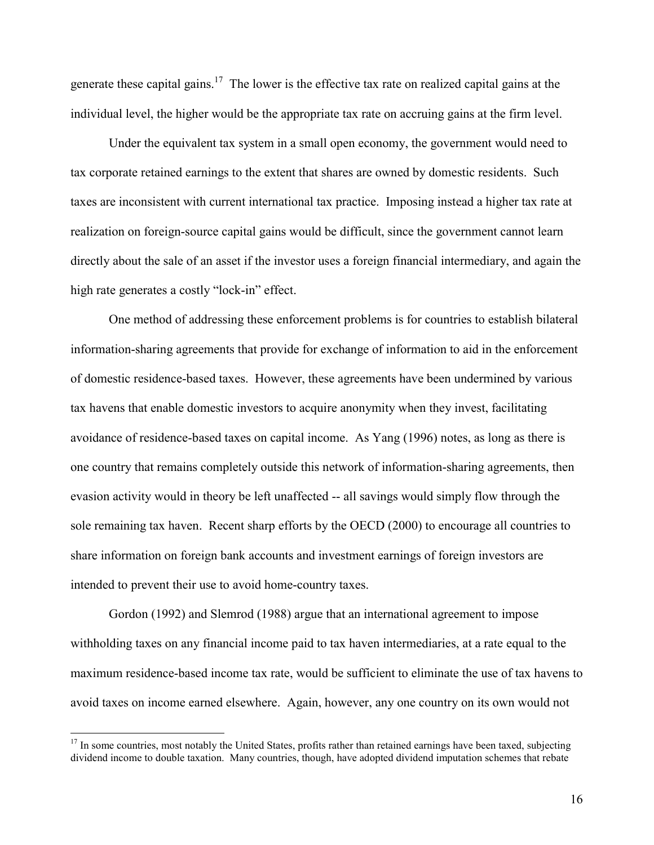generate these capital gains.<sup>17</sup> The lower is the effective tax rate on realized capital gains at the individual level, the higher would be the appropriate tax rate on accruing gains at the firm level.

Under the equivalent tax system in a small open economy, the government would need to tax corporate retained earnings to the extent that shares are owned by domestic residents. Such taxes are inconsistent with current international tax practice. Imposing instead a higher tax rate at realization on foreign-source capital gains would be difficult, since the government cannot learn directly about the sale of an asset if the investor uses a foreign financial intermediary, and again the high rate generates a costly "lock-in" effect.

One method of addressing these enforcement problems is for countries to establish bilateral information-sharing agreements that provide for exchange of information to aid in the enforcement of domestic residence-based taxes. However, these agreements have been undermined by various tax havens that enable domestic investors to acquire anonymity when they invest, facilitating avoidance of residence-based taxes on capital income. As Yang (1996) notes, as long as there is one country that remains completely outside this network of information-sharing agreements, then evasion activity would in theory be left unaffected -- all savings would simply flow through the sole remaining tax haven. Recent sharp efforts by the OECD (2000) to encourage all countries to share information on foreign bank accounts and investment earnings of foreign investors are intended to prevent their use to avoid home-country taxes.

Gordon (1992) and Slemrod (1988) argue that an international agreement to impose withholding taxes on any financial income paid to tax haven intermediaries, at a rate equal to the maximum residence-based income tax rate, would be sufficient to eliminate the use of tax havens to avoid taxes on income earned elsewhere. Again, however, any one country on its own would not

 $17$  In some countries, most notably the United States, profits rather than retained earnings have been taxed, subjecting dividend income to double taxation. Many countries, though, have adopted dividend imputation schemes that rebate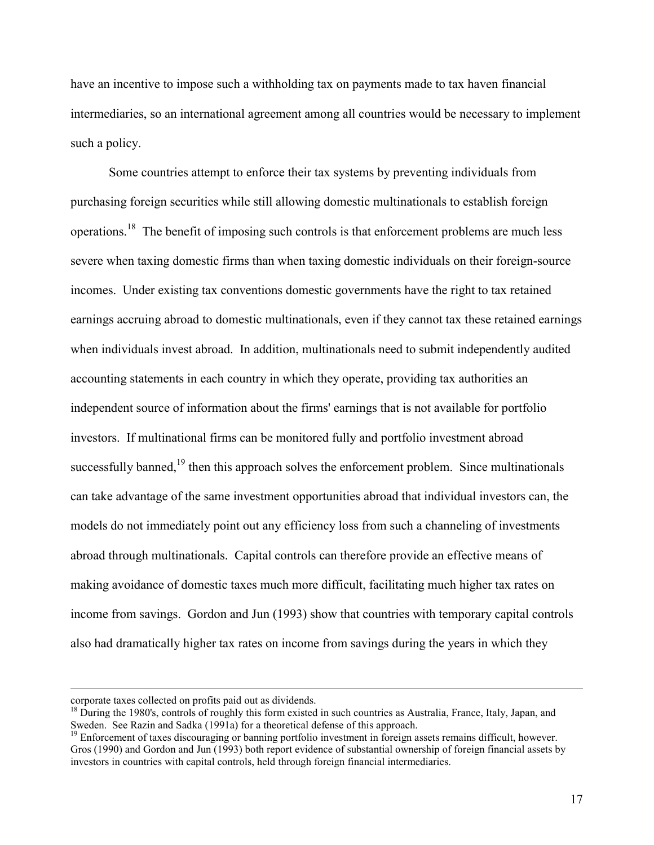have an incentive to impose such a withholding tax on payments made to tax haven financial intermediaries, so an international agreement among all countries would be necessary to implement such a policy.

Some countries attempt to enforce their tax systems by preventing individuals from purchasing foreign securities while still allowing domestic multinationals to establish foreign operations.<sup>18</sup> The benefit of imposing such controls is that enforcement problems are much less severe when taxing domestic firms than when taxing domestic individuals on their foreign-source incomes. Under existing tax conventions domestic governments have the right to tax retained earnings accruing abroad to domestic multinationals, even if they cannot tax these retained earnings when individuals invest abroad. In addition, multinationals need to submit independently audited accounting statements in each country in which they operate, providing tax authorities an independent source of information about the firms' earnings that is not available for portfolio investors. If multinational firms can be monitored fully and portfolio investment abroad successfully banned, $19$  then this approach solves the enforcement problem. Since multinationals can take advantage of the same investment opportunities abroad that individual investors can, the models do not immediately point out any efficiency loss from such a channeling of investments abroad through multinationals. Capital controls can therefore provide an effective means of making avoidance of domestic taxes much more difficult, facilitating much higher tax rates on income from savings. Gordon and Jun (1993) show that countries with temporary capital controls also had dramatically higher tax rates on income from savings during the years in which they

corporate taxes collected on profits paid out as dividends.

 $^{18}$  During the 1980's, controls of roughly this form existed in such countries as Australia, France, Italy, Japan, and Sweden. See Razin and Sadka (1991a) for a theoretical defense of this approach.

 $19$  Enforcement of taxes discouraging or banning portfolio investment in foreign assets remains difficult, however. Gros (1990) and Gordon and Jun (1993) both report evidence of substantial ownership of foreign financial assets by investors in countries with capital controls, held through foreign financial intermediaries.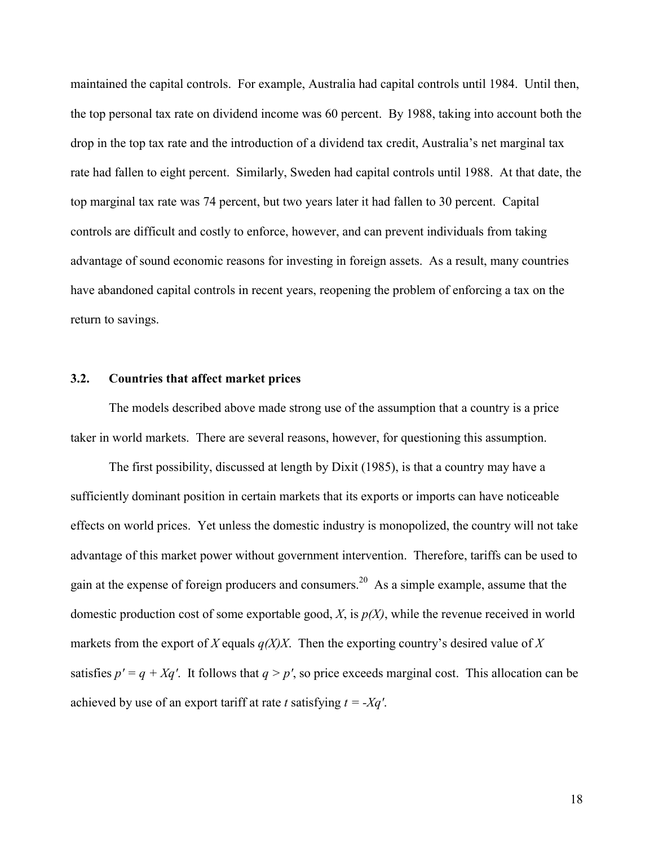maintained the capital controls. For example, Australia had capital controls until 1984. Until then, the top personal tax rate on dividend income was 60 percent. By 1988, taking into account both the drop in the top tax rate and the introduction of a dividend tax credit, Australia's net marginal tax rate had fallen to eight percent. Similarly, Sweden had capital controls until 1988. At that date, the top marginal tax rate was 74 percent, but two years later it had fallen to 30 percent. Capital controls are difficult and costly to enforce, however, and can prevent individuals from taking advantage of sound economic reasons for investing in foreign assets. As a result, many countries have abandoned capital controls in recent years, reopening the problem of enforcing a tax on the return to savings.

### **3.2. Countries that affect market prices**

The models described above made strong use of the assumption that a country is a price taker in world markets. There are several reasons, however, for questioning this assumption.

The first possibility, discussed at length by Dixit (1985), is that a country may have a sufficiently dominant position in certain markets that its exports or imports can have noticeable effects on world prices. Yet unless the domestic industry is monopolized, the country will not take advantage of this market power without government intervention. Therefore, tariffs can be used to gain at the expense of foreign producers and consumers.<sup>20</sup> As a simple example, assume that the domestic production cost of some exportable good, *X*, is *p(X)*, while the revenue received in world markets from the export of *X* equals *q(X)X*. Then the exporting country's desired value of *X* satisfies  $p' = q + Xq'$ . It follows that  $q > p'$ , so price exceeds marginal cost. This allocation can be achieved by use of an export tariff at rate *t* satisfying *t = -Xq'*.

18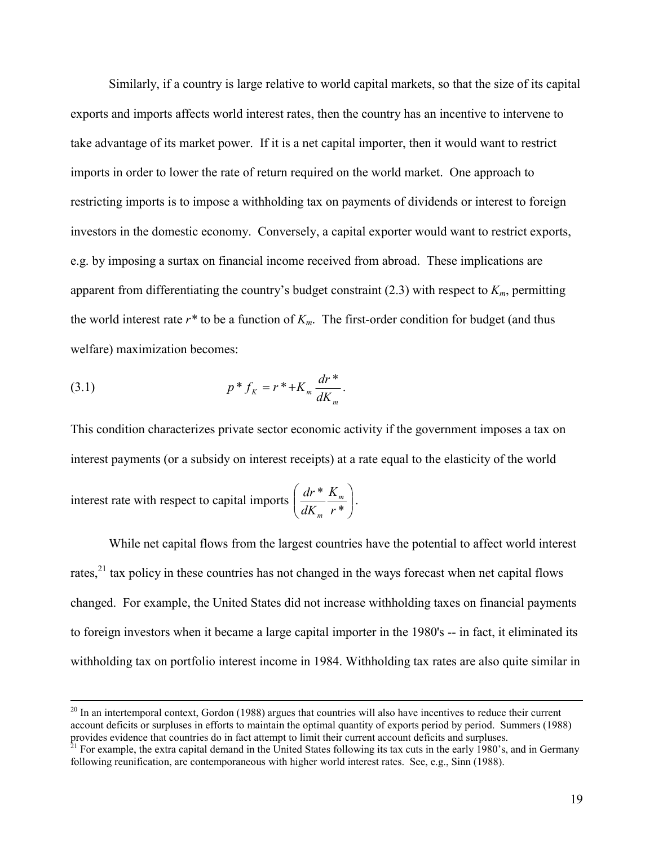Similarly, if a country is large relative to world capital markets, so that the size of its capital exports and imports affects world interest rates, then the country has an incentive to intervene to take advantage of its market power. If it is a net capital importer, then it would want to restrict imports in order to lower the rate of return required on the world market. One approach to restricting imports is to impose a withholding tax on payments of dividends or interest to foreign investors in the domestic economy. Conversely, a capital exporter would want to restrict exports, e.g. by imposing a surtax on financial income received from abroad. These implications are apparent from differentiating the country's budget constraint  $(2.3)$  with respect to  $K_m$ , permitting the world interest rate  $r^*$  to be a function of  $K_m$ . The first-order condition for budget (and thus welfare) maximization becomes:

(3.1) 
$$
p * f_K = r * + K_m \frac{dr^*}{dK_m}.
$$

This condition characterizes private sector economic activity if the government imposes a tax on interest payments (or a subsidy on interest receipts) at a rate equal to the elasticity of the world

interest rate with respect to capital imports 
$$
\left(\frac{dr \cdot K_m}{dK_m} \frac{K_m}{r \cdot K}\right)
$$
.

While net capital flows from the largest countries have the potential to affect world interest rates, $21$  tax policy in these countries has not changed in the ways forecast when net capital flows changed. For example, the United States did not increase withholding taxes on financial payments to foreign investors when it became a large capital importer in the 1980's -- in fact, it eliminated its withholding tax on portfolio interest income in 1984. Withholding tax rates are also quite similar in

 $20$  In an intertemporal context, Gordon (1988) argues that countries will also have incentives to reduce their current account deficits or surpluses in efforts to maintain the optimal quantity of exports period by period. Summers (1988) provides evidence that countries do in fact attempt to limit their current account deficits and surpluses.

 $21$  For example, the extra capital demand in the United States following its tax cuts in the early 1980's, and in Germany following reunification, are contemporaneous with higher world interest rates. See, e.g., Sinn (1988).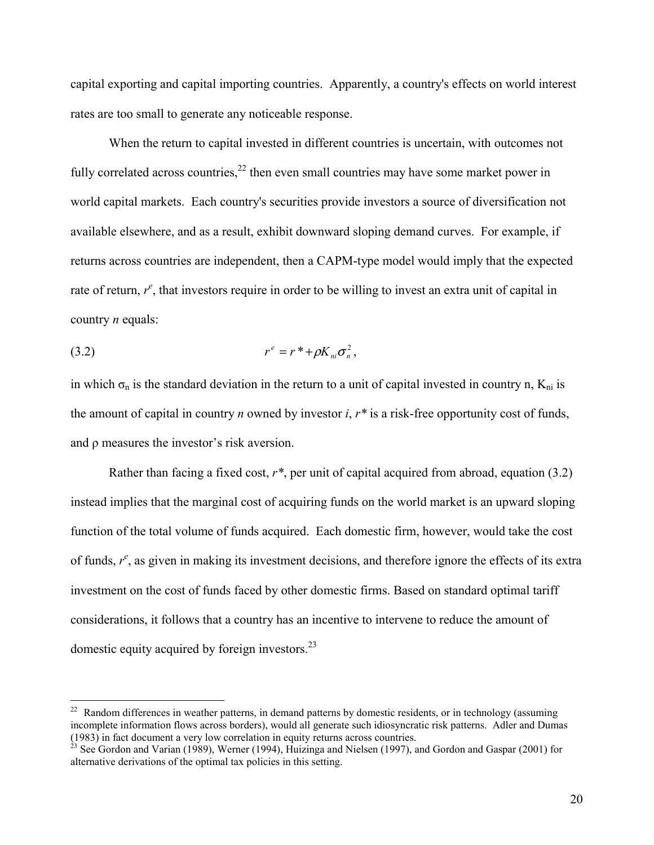capital exporting and capital importing countries. Apparently, a country's effects on world interest rates are too small to generate any noticeable response.

When the return to capital invested in different countries is uncertain, with outcomes not fully correlated across countries,<sup>22</sup> then even small countries may have some market power in world capital markets. Each country's securities provide investors a source of diversification not available elsewhere, and as a result, exhibit downward sloping demand curves. For example, if returns across countries are independent, then a CAPM-type model would imply that the expected rate of return,  $r^e$ , that investors require in order to be willing to invest an extra unit of capital in country *n* equals:

$$
r^e = r^* + \rho K_{ni} \sigma_n^2,
$$

 $\overline{a}$ 

in which  $\sigma_n$  is the standard deviation in the return to a unit of capital invested in country n,  $K_{ni}$  is the amount of capital in country *n* owned by investor *i*, *r\** is a risk-free opportunity cost of funds, and ρ measures the investor's risk aversion.

Rather than facing a fixed cost, *r\**, per unit of capital acquired from abroad, equation (3.2) instead implies that the marginal cost of acquiring funds on the world market is an upward sloping function of the total volume of funds acquired. Each domestic firm, however, would take the cost of funds,  $r^e$ , as given in making its investment decisions, and therefore ignore the effects of its extra investment on the cost of funds faced by other domestic firms. Based on standard optimal tariff considerations, it follows that a country has an incentive to intervene to reduce the amount of domestic equity acquired by foreign investors.<sup>23</sup>

 $22$  Random differences in weather patterns, in demand patterns by domestic residents, or in technology (assuming incomplete information flows across borders), would all generate such idiosyncratic risk patterns. Adler and Dumas (1983) in fact document a very low correlation in equity returns across countries.

 $^{23}$  See Gordon and Varian (1989), Werner (1994), Huizinga and Nielsen (1997), and Gordon and Gaspar (2001) for alternative derivations of the optimal tax policies in this setting.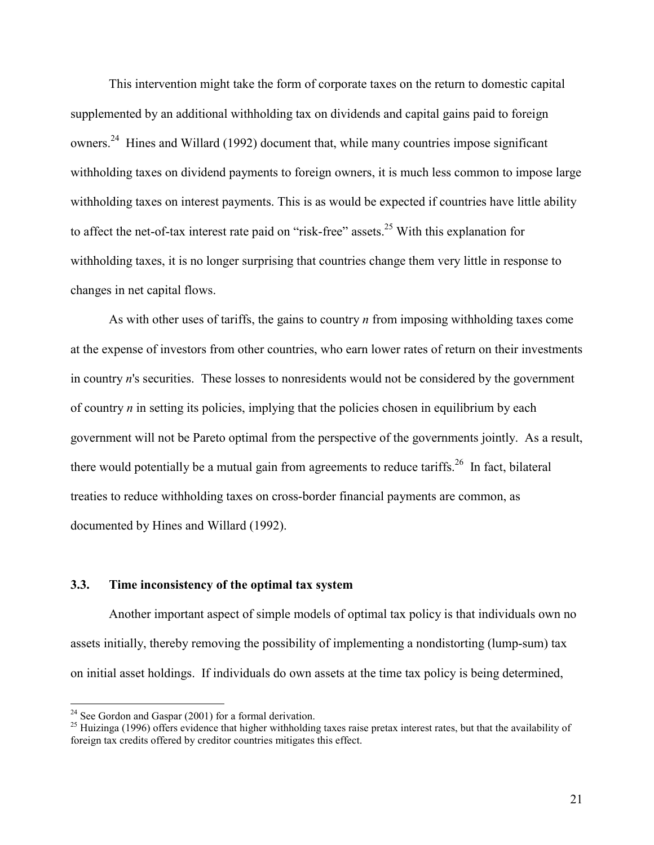This intervention might take the form of corporate taxes on the return to domestic capital supplemented by an additional withholding tax on dividends and capital gains paid to foreign owners.24 Hines and Willard (1992) document that, while many countries impose significant withholding taxes on dividend payments to foreign owners, it is much less common to impose large withholding taxes on interest payments. This is as would be expected if countries have little ability to affect the net-of-tax interest rate paid on "risk-free" assets.<sup>25</sup> With this explanation for withholding taxes, it is no longer surprising that countries change them very little in response to changes in net capital flows.

As with other uses of tariffs, the gains to country *n* from imposing withholding taxes come at the expense of investors from other countries, who earn lower rates of return on their investments in country *n*'s securities. These losses to nonresidents would not be considered by the government of country *n* in setting its policies, implying that the policies chosen in equilibrium by each government will not be Pareto optimal from the perspective of the governments jointly. As a result, there would potentially be a mutual gain from agreements to reduce tariffs.<sup>26</sup> In fact, bilateral treaties to reduce withholding taxes on cross-border financial payments are common, as documented by Hines and Willard (1992).

### **3.3. Time inconsistency of the optimal tax system**

Another important aspect of simple models of optimal tax policy is that individuals own no assets initially, thereby removing the possibility of implementing a nondistorting (lump-sum) tax on initial asset holdings. If individuals do own assets at the time tax policy is being determined,

 $2<sup>24</sup>$  See Gordon and Gaspar (2001) for a formal derivation.

 $^{25}$  Huizinga (1996) offers evidence that higher withholding taxes raise pretax interest rates, but that the availability of foreign tax credits offered by creditor countries mitigates this effect.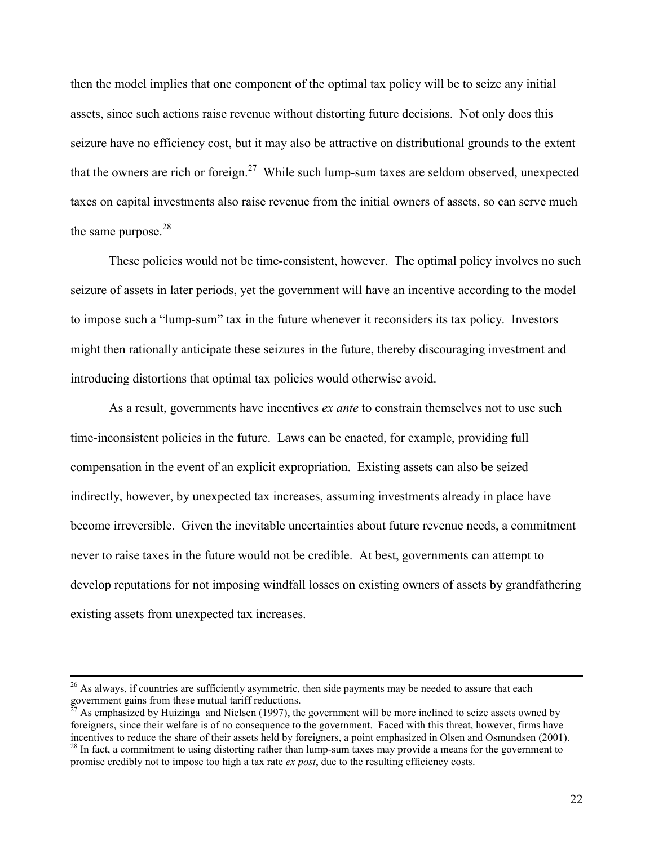then the model implies that one component of the optimal tax policy will be to seize any initial assets, since such actions raise revenue without distorting future decisions. Not only does this seizure have no efficiency cost, but it may also be attractive on distributional grounds to the extent that the owners are rich or foreign.<sup>27</sup> While such lump-sum taxes are seldom observed, unexpected taxes on capital investments also raise revenue from the initial owners of assets, so can serve much the same purpose. $28$ 

These policies would not be time-consistent, however. The optimal policy involves no such seizure of assets in later periods, yet the government will have an incentive according to the model to impose such a "lump-sum" tax in the future whenever it reconsiders its tax policy. Investors might then rationally anticipate these seizures in the future, thereby discouraging investment and introducing distortions that optimal tax policies would otherwise avoid.

As a result, governments have incentives *ex ante* to constrain themselves not to use such time-inconsistent policies in the future. Laws can be enacted, for example, providing full compensation in the event of an explicit expropriation. Existing assets can also be seized indirectly, however, by unexpected tax increases, assuming investments already in place have become irreversible. Given the inevitable uncertainties about future revenue needs, a commitment never to raise taxes in the future would not be credible. At best, governments can attempt to develop reputations for not imposing windfall losses on existing owners of assets by grandfathering existing assets from unexpected tax increases.

<sup>&</sup>lt;sup>26</sup> As always, if countries are sufficiently asymmetric, then side payments may be needed to assure that each government gains from these mutual tariff reductions.

<sup>&</sup>lt;sup>27</sup> As emphasized by Huizinga and Nielsen (1997), the government will be more inclined to seize assets owned by foreigners, since their welfare is of no consequence to the government. Faced with this threat, however, firms have incentives to reduce the share of their assets held by foreigners, a point emphasized in Olsen and Osmundsen (2001). <sup>28</sup> In fact, a commitment to using distorting rather than lump-sum taxes may provide a means for the government to

promise credibly not to impose too high a tax rate *ex post*, due to the resulting efficiency costs.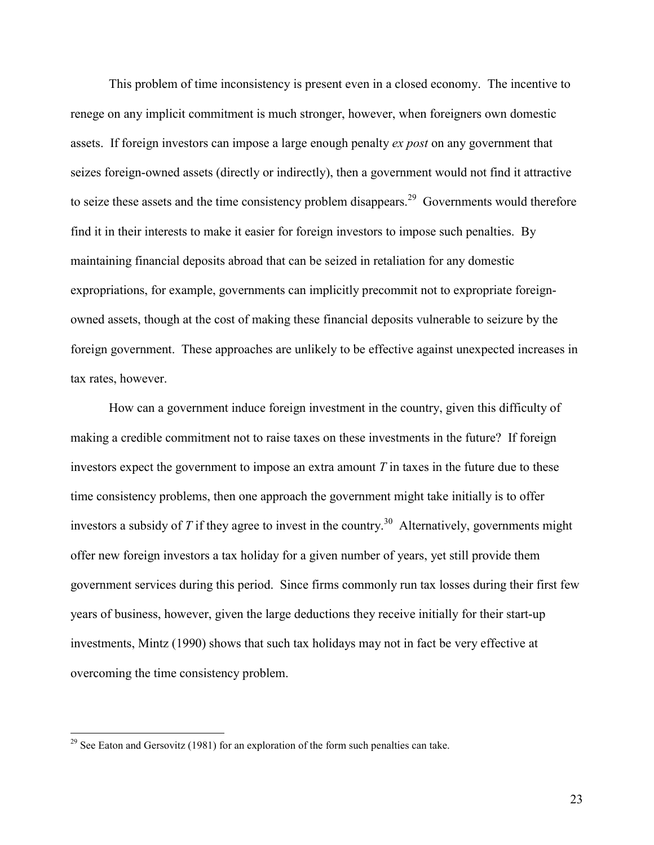This problem of time inconsistency is present even in a closed economy. The incentive to renege on any implicit commitment is much stronger, however, when foreigners own domestic assets. If foreign investors can impose a large enough penalty *ex post* on any government that seizes foreign-owned assets (directly or indirectly), then a government would not find it attractive to seize these assets and the time consistency problem disappears.<sup>29</sup> Governments would therefore find it in their interests to make it easier for foreign investors to impose such penalties. By maintaining financial deposits abroad that can be seized in retaliation for any domestic expropriations, for example, governments can implicitly precommit not to expropriate foreignowned assets, though at the cost of making these financial deposits vulnerable to seizure by the foreign government. These approaches are unlikely to be effective against unexpected increases in tax rates, however.

How can a government induce foreign investment in the country, given this difficulty of making a credible commitment not to raise taxes on these investments in the future? If foreign investors expect the government to impose an extra amount *T* in taxes in the future due to these time consistency problems, then one approach the government might take initially is to offer investors a subsidy of  $T$  if they agree to invest in the country.<sup>30</sup> Alternatively, governments might offer new foreign investors a tax holiday for a given number of years, yet still provide them government services during this period. Since firms commonly run tax losses during their first few years of business, however, given the large deductions they receive initially for their start-up investments, Mintz (1990) shows that such tax holidays may not in fact be very effective at overcoming the time consistency problem.

<sup>&</sup>lt;sup>29</sup> See Eaton and Gersovitz (1981) for an exploration of the form such penalties can take.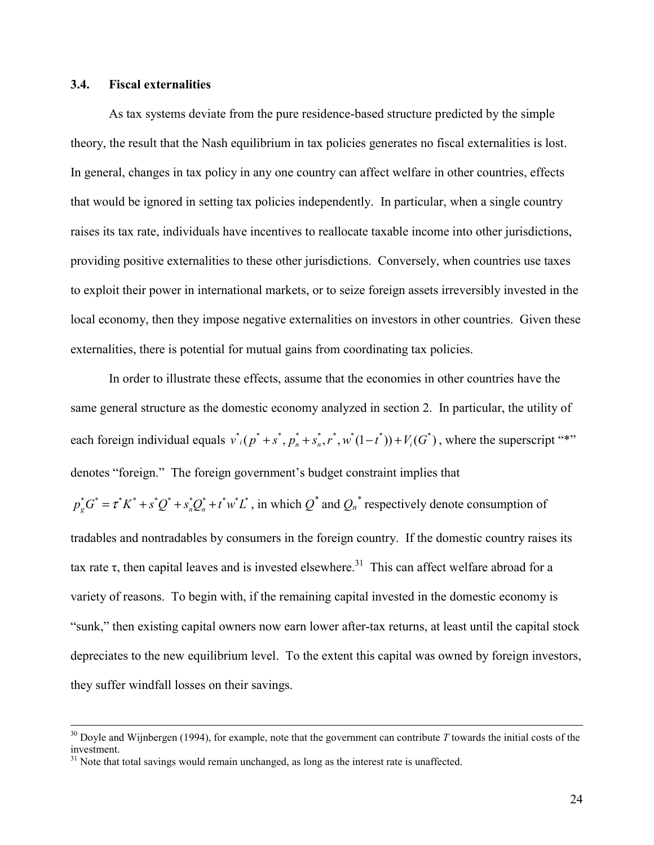# **3.4. Fiscal externalities**

As tax systems deviate from the pure residence-based structure predicted by the simple theory, the result that the Nash equilibrium in tax policies generates no fiscal externalities is lost. In general, changes in tax policy in any one country can affect welfare in other countries, effects that would be ignored in setting tax policies independently. In particular, when a single country raises its tax rate, individuals have incentives to reallocate taxable income into other jurisdictions, providing positive externalities to these other jurisdictions. Conversely, when countries use taxes to exploit their power in international markets, or to seize foreign assets irreversibly invested in the local economy, then they impose negative externalities on investors in other countries. Given these externalities, there is potential for mutual gains from coordinating tax policies.

In order to illustrate these effects, assume that the economies in other countries have the same general structure as the domestic economy analyzed in section 2. In particular, the utility of each foreign individual equals  $v^*(p^* + s^*, p_n^* + s_n^*, r^*, w^*(1-t^*)) + V_i(G^*)$ , where the superscript "\*" denotes "foreign." The foreign government's budget constraint implies that  $p_s^* G^* = \tau^* K^* + s^* Q^* + s_n^* Q_n^* + t^* w^* L^*$ , in which  $Q^*$  and  $Q_n^*$  respectively denote consumption of tradables and nontradables by consumers in the foreign country. If the domestic country raises its tax rate τ, then capital leaves and is invested elsewhere.<sup>31</sup> This can affect welfare abroad for a variety of reasons. To begin with, if the remaining capital invested in the domestic economy is "sunk," then existing capital owners now earn lower after-tax returns, at least until the capital stock depreciates to the new equilibrium level. To the extent this capital was owned by foreign investors, they suffer windfall losses on their savings.

 $30$  Doyle and Wijnbergen (1994), for example, note that the government can contribute T towards the initial costs of the investment.

 $31$  Note that total savings would remain unchanged, as long as the interest rate is unaffected.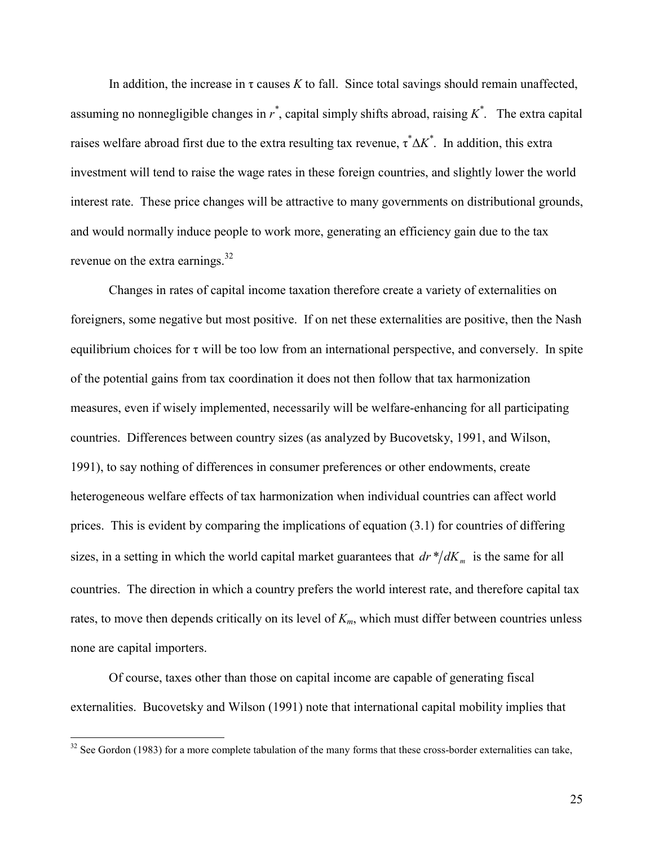In addition, the increase in  $\tau$  causes K to fall. Since total savings should remain unaffected, assuming no nonnegligible changes in *r \** , capital simply shifts abroad, raising *K\** . The extra capital raises welfare abroad first due to the extra resulting tax revenue, τ \* ∆*K\** . In addition, this extra investment will tend to raise the wage rates in these foreign countries, and slightly lower the world interest rate. These price changes will be attractive to many governments on distributional grounds, and would normally induce people to work more, generating an efficiency gain due to the tax revenue on the extra earnings.<sup>32</sup>

Changes in rates of capital income taxation therefore create a variety of externalities on foreigners, some negative but most positive. If on net these externalities are positive, then the Nash equilibrium choices for  $\tau$  will be too low from an international perspective, and conversely. In spite of the potential gains from tax coordination it does not then follow that tax harmonization measures, even if wisely implemented, necessarily will be welfare-enhancing for all participating countries. Differences between country sizes (as analyzed by Bucovetsky, 1991, and Wilson, 1991), to say nothing of differences in consumer preferences or other endowments, create heterogeneous welfare effects of tax harmonization when individual countries can affect world prices. This is evident by comparing the implications of equation (3.1) for countries of differing sizes, in a setting in which the world capital market guarantees that  $dr^*/dK_m$  is the same for all countries. The direction in which a country prefers the world interest rate, and therefore capital tax rates, to move then depends critically on its level of  $K_m$ , which must differ between countries unless none are capital importers.

Of course, taxes other than those on capital income are capable of generating fiscal externalities. Bucovetsky and Wilson (1991) note that international capital mobility implies that

 $32$  See Gordon (1983) for a more complete tabulation of the many forms that these cross-border externalities can take,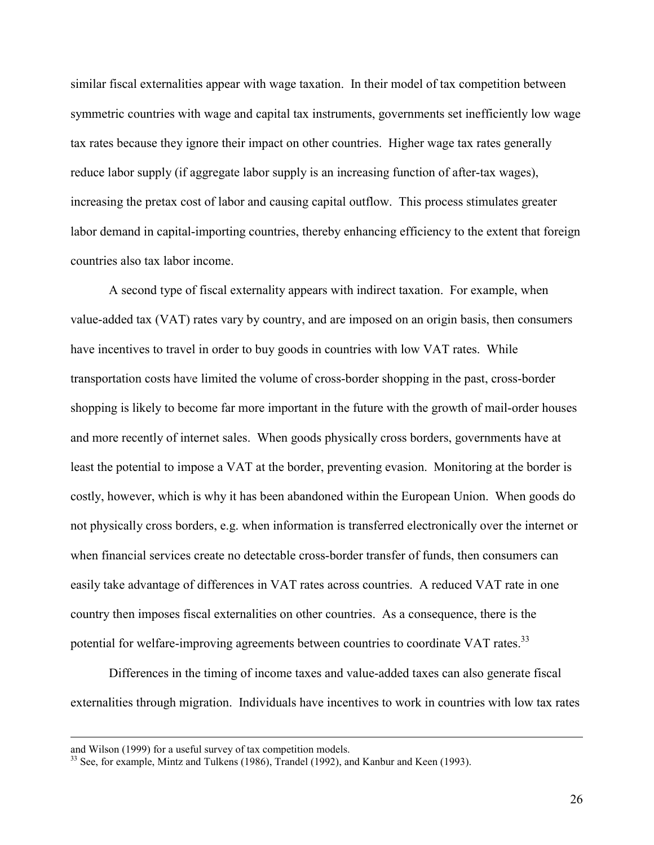similar fiscal externalities appear with wage taxation. In their model of tax competition between symmetric countries with wage and capital tax instruments, governments set inefficiently low wage tax rates because they ignore their impact on other countries. Higher wage tax rates generally reduce labor supply (if aggregate labor supply is an increasing function of after-tax wages), increasing the pretax cost of labor and causing capital outflow. This process stimulates greater labor demand in capital-importing countries, thereby enhancing efficiency to the extent that foreign countries also tax labor income.

A second type of fiscal externality appears with indirect taxation. For example, when value-added tax (VAT) rates vary by country, and are imposed on an origin basis, then consumers have incentives to travel in order to buy goods in countries with low VAT rates. While transportation costs have limited the volume of cross-border shopping in the past, cross-border shopping is likely to become far more important in the future with the growth of mail-order houses and more recently of internet sales. When goods physically cross borders, governments have at least the potential to impose a VAT at the border, preventing evasion. Monitoring at the border is costly, however, which is why it has been abandoned within the European Union. When goods do not physically cross borders, e.g. when information is transferred electronically over the internet or when financial services create no detectable cross-border transfer of funds, then consumers can easily take advantage of differences in VAT rates across countries. A reduced VAT rate in one country then imposes fiscal externalities on other countries. As a consequence, there is the potential for welfare-improving agreements between countries to coordinate VAT rates.<sup>33</sup>

Differences in the timing of income taxes and value-added taxes can also generate fiscal externalities through migration. Individuals have incentives to work in countries with low tax rates

and Wilson (1999) for a useful survey of tax competition models.

<sup>&</sup>lt;sup>33</sup> See, for example, Mintz and Tulkens (1986), Trandel (1992), and Kanbur and Keen (1993).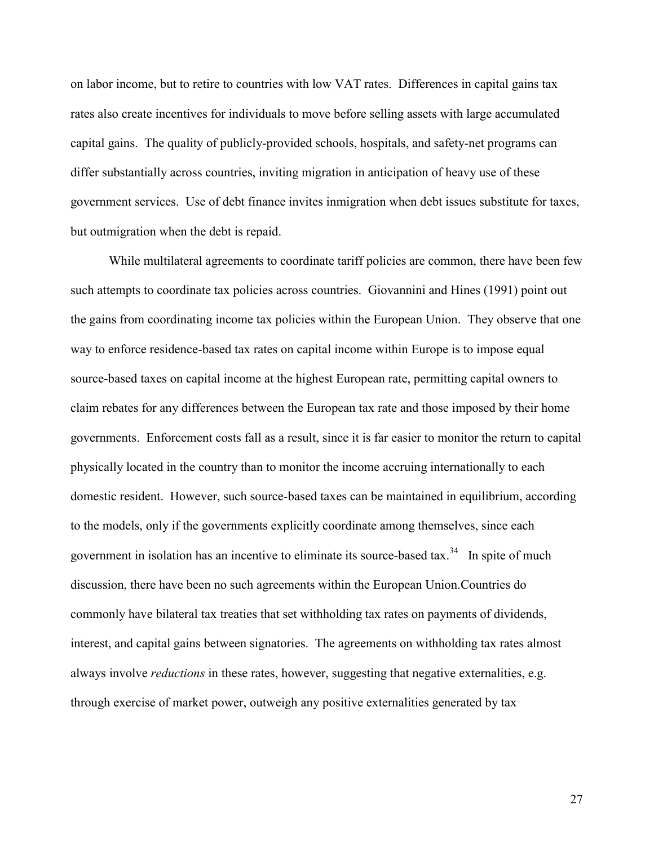on labor income, but to retire to countries with low VAT rates. Differences in capital gains tax rates also create incentives for individuals to move before selling assets with large accumulated capital gains. The quality of publicly-provided schools, hospitals, and safety-net programs can differ substantially across countries, inviting migration in anticipation of heavy use of these government services. Use of debt finance invites inmigration when debt issues substitute for taxes, but outmigration when the debt is repaid.

While multilateral agreements to coordinate tariff policies are common, there have been few such attempts to coordinate tax policies across countries. Giovannini and Hines (1991) point out the gains from coordinating income tax policies within the European Union. They observe that one way to enforce residence-based tax rates on capital income within Europe is to impose equal source-based taxes on capital income at the highest European rate, permitting capital owners to claim rebates for any differences between the European tax rate and those imposed by their home governments. Enforcement costs fall as a result, since it is far easier to monitor the return to capital physically located in the country than to monitor the income accruing internationally to each domestic resident. However, such source-based taxes can be maintained in equilibrium, according to the models, only if the governments explicitly coordinate among themselves, since each government in isolation has an incentive to eliminate its source-based tax.<sup>34</sup> In spite of much discussion, there have been no such agreements within the European Union.Countries do commonly have bilateral tax treaties that set withholding tax rates on payments of dividends, interest, and capital gains between signatories. The agreements on withholding tax rates almost always involve *reductions* in these rates, however, suggesting that negative externalities, e.g. through exercise of market power, outweigh any positive externalities generated by tax

27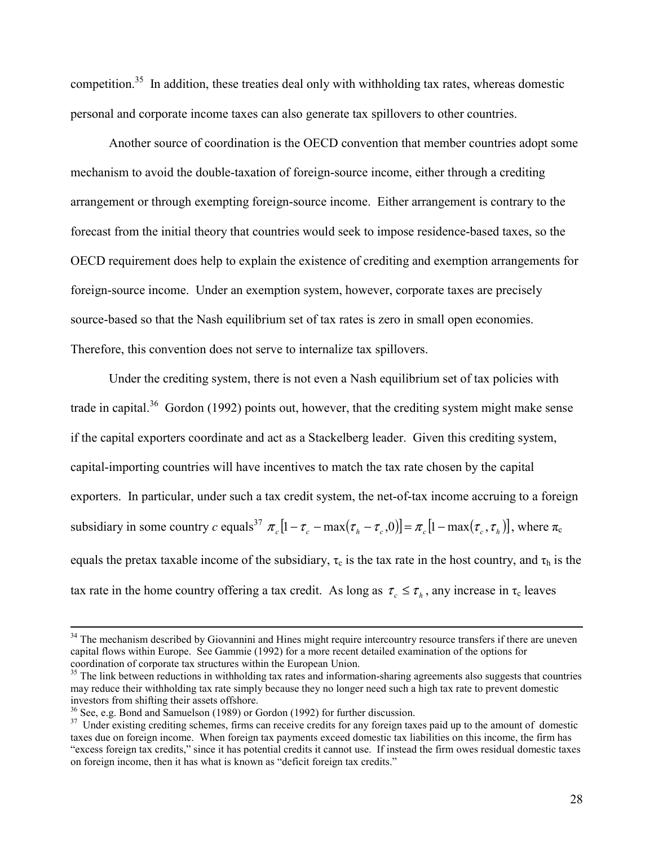competition.<sup>35</sup> In addition, these treaties deal only with withholding tax rates, whereas domestic personal and corporate income taxes can also generate tax spillovers to other countries.

 Another source of coordination is the OECD convention that member countries adopt some mechanism to avoid the double-taxation of foreign-source income, either through a crediting arrangement or through exempting foreign-source income. Either arrangement is contrary to the forecast from the initial theory that countries would seek to impose residence-based taxes, so the OECD requirement does help to explain the existence of crediting and exemption arrangements for foreign-source income. Under an exemption system, however, corporate taxes are precisely source-based so that the Nash equilibrium set of tax rates is zero in small open economies. Therefore, this convention does not serve to internalize tax spillovers.

 Under the crediting system, there is not even a Nash equilibrium set of tax policies with trade in capital.<sup>36</sup> Gordon (1992) points out, however, that the crediting system might make sense if the capital exporters coordinate and act as a Stackelberg leader. Given this crediting system, capital-importing countries will have incentives to match the tax rate chosen by the capital exporters. In particular, under such a tax credit system, the net-of-tax income accruing to a foreign subsidiary in some country *c* equals<sup>37</sup>  $\pi_c \left[ 1 - \tau_c - \max(\tau_h - \tau_c, 0) \right] = \pi_c \left[ 1 - \max(\tau_c, \tau_h) \right]$ , where  $\pi_c$ equals the pretax taxable income of the subsidiary,  $\tau_c$  is the tax rate in the host country, and  $\tau_h$  is the tax rate in the home country offering a tax credit. As long as  $\tau_c \leq \tau_h$ , any increase in  $\tau_c$  leaves

<sup>&</sup>lt;sup>34</sup> The mechanism described by Giovannini and Hines might require intercountry resource transfers if there are uneven capital flows within Europe. See Gammie (1992) for a more recent detailed examination of the options for coordination of corporate tax structures within the European Union.

<sup>&</sup>lt;sup>35</sup> The link between reductions in withholding tax rates and information-sharing agreements also suggests that countries may reduce their withholding tax rate simply because they no longer need such a high tax rate to prevent domestic investors from shifting their assets offshore.

<sup>36</sup> See, e.g. Bond and Samuelson (1989) or Gordon (1992) for further discussion.

<sup>&</sup>lt;sup>37</sup> Under existing crediting schemes, firms can receive credits for any foreign taxes paid up to the amount of domestic taxes due on foreign income. When foreign tax payments exceed domestic tax liabilities on this income, the firm has "excess foreign tax credits," since it has potential credits it cannot use. If instead the firm owes residual domestic taxes on foreign income, then it has what is known as "deficit foreign tax credits."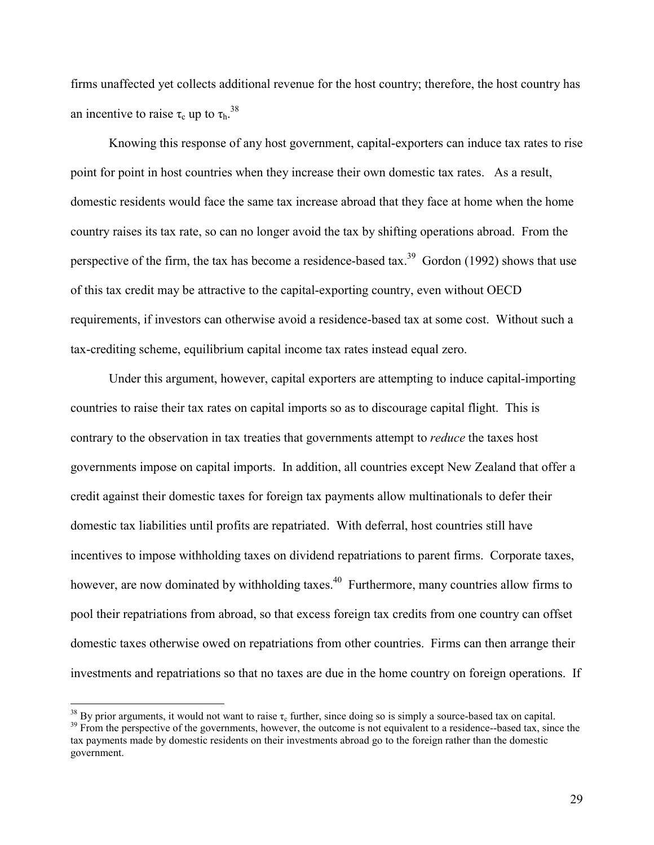firms unaffected yet collects additional revenue for the host country; therefore, the host country has an incentive to raise  $\tau_c$  up to  $\tau_h$ .<sup>38</sup>

Knowing this response of any host government, capital-exporters can induce tax rates to rise point for point in host countries when they increase their own domestic tax rates. As a result, domestic residents would face the same tax increase abroad that they face at home when the home country raises its tax rate, so can no longer avoid the tax by shifting operations abroad. From the perspective of the firm, the tax has become a residence-based tax.<sup>39</sup> Gordon (1992) shows that use of this tax credit may be attractive to the capital-exporting country, even without OECD requirements, if investors can otherwise avoid a residence-based tax at some cost. Without such a tax-crediting scheme, equilibrium capital income tax rates instead equal zero.

Under this argument, however, capital exporters are attempting to induce capital-importing countries to raise their tax rates on capital imports so as to discourage capital flight. This is contrary to the observation in tax treaties that governments attempt to *reduce* the taxes host governments impose on capital imports. In addition, all countries except New Zealand that offer a credit against their domestic taxes for foreign tax payments allow multinationals to defer their domestic tax liabilities until profits are repatriated. With deferral, host countries still have incentives to impose withholding taxes on dividend repatriations to parent firms. Corporate taxes, however, are now dominated by withholding taxes.<sup>40</sup> Furthermore, many countries allow firms to pool their repatriations from abroad, so that excess foreign tax credits from one country can offset domestic taxes otherwise owed on repatriations from other countries. Firms can then arrange their investments and repatriations so that no taxes are due in the home country on foreign operations. If

<sup>&</sup>lt;sup>38</sup> By prior arguments, it would not want to raise  $\tau_c$  further, since doing so is simply a source-based tax on capital.<br><sup>39</sup> From the perspective of the governments, however, the outcome is not equivalent to a residenc tax payments made by domestic residents on their investments abroad go to the foreign rather than the domestic government.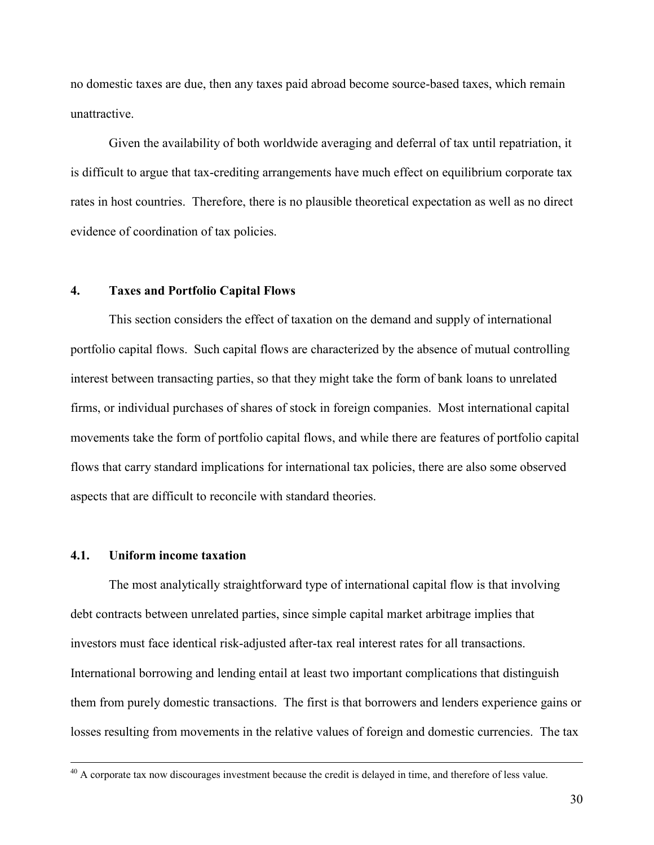no domestic taxes are due, then any taxes paid abroad become source-based taxes, which remain unattractive.

 Given the availability of both worldwide averaging and deferral of tax until repatriation, it is difficult to argue that tax-crediting arrangements have much effect on equilibrium corporate tax rates in host countries. Therefore, there is no plausible theoretical expectation as well as no direct evidence of coordination of tax policies.

## **4. Taxes and Portfolio Capital Flows**

 This section considers the effect of taxation on the demand and supply of international portfolio capital flows. Such capital flows are characterized by the absence of mutual controlling interest between transacting parties, so that they might take the form of bank loans to unrelated firms, or individual purchases of shares of stock in foreign companies. Most international capital movements take the form of portfolio capital flows, and while there are features of portfolio capital flows that carry standard implications for international tax policies, there are also some observed aspects that are difficult to reconcile with standard theories.

#### **4.1. Uniform income taxation**

 The most analytically straightforward type of international capital flow is that involving debt contracts between unrelated parties, since simple capital market arbitrage implies that investors must face identical risk-adjusted after-tax real interest rates for all transactions. International borrowing and lending entail at least two important complications that distinguish them from purely domestic transactions. The first is that borrowers and lenders experience gains or losses resulting from movements in the relative values of foreign and domestic currencies. The tax

 $40$  A corporate tax now discourages investment because the credit is delayed in time, and therefore of less value.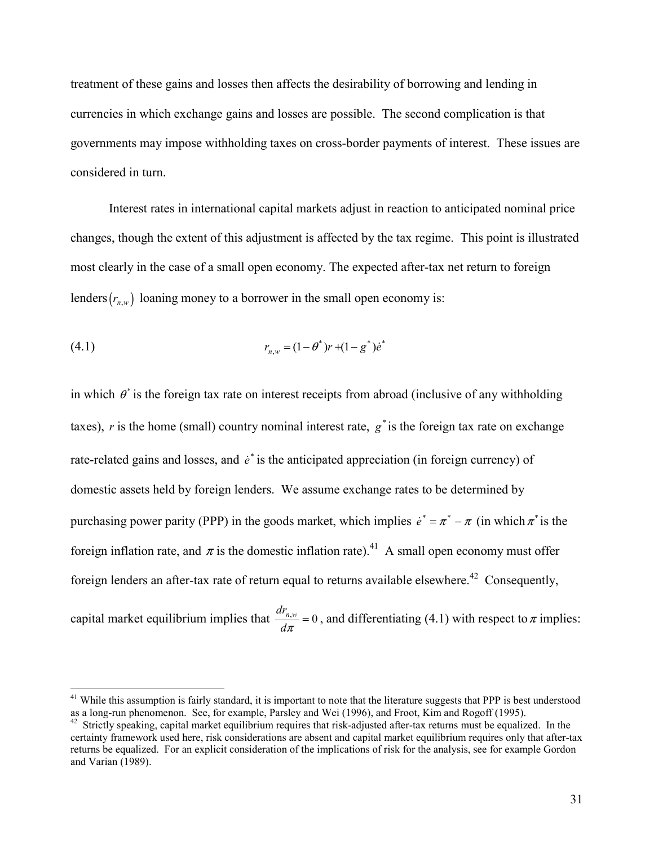treatment of these gains and losses then affects the desirability of borrowing and lending in currencies in which exchange gains and losses are possible. The second complication is that governments may impose withholding taxes on cross-border payments of interest. These issues are considered in turn.

 Interest rates in international capital markets adjust in reaction to anticipated nominal price changes, though the extent of this adjustment is affected by the tax regime. This point is illustrated most clearly in the case of a small open economy. The expected after-tax net return to foreign lenders  $(r_{n,w})$  loaning money to a borrower in the small open economy is:

(4.1) 
$$
r_{n,w} = (1 - \theta^*)r + (1 - g^*)e^*
$$

 $\overline{a}$ 

in which  $\theta^*$  is the foreign tax rate on interest receipts from abroad (inclusive of any withholding taxes),  $\vec{r}$  is the home (small) country nominal interest rate,  $g^*$  is the foreign tax rate on exchange rate-related gains and losses, and  $\dot{e}^*$  is the anticipated appreciation (in foreign currency) of domestic assets held by foreign lenders. We assume exchange rates to be determined by purchasing power parity (PPP) in the goods market, which implies  $e^* = \pi^* - \pi$  (in which  $\pi^*$  is the foreign inflation rate, and  $\pi$  is the domestic inflation rate).<sup>41</sup> A small open economy must offer foreign lenders an after-tax rate of return equal to returns available elsewhere.<sup>42</sup> Consequently,

capital market equilibrium implies that *dr d*  $\frac{n,w}{\pi} = 0$ , and differentiating (4.1) with respect to  $\pi$  implies:

 $41$  While this assumption is fairly standard, it is important to note that the literature suggests that PPP is best understood as a long-run phenomenon. See, for example, Parsley and Wei (1996), and Froot, Kim and Rogoff (1995).

 $42$  Strictly speaking, capital market equilibrium requires that risk-adjusted after-tax returns must be equalized. In the certainty framework used here, risk considerations are absent and capital market equilibrium requires only that after-tax returns be equalized. For an explicit consideration of the implications of risk for the analysis, see for example Gordon and Varian (1989).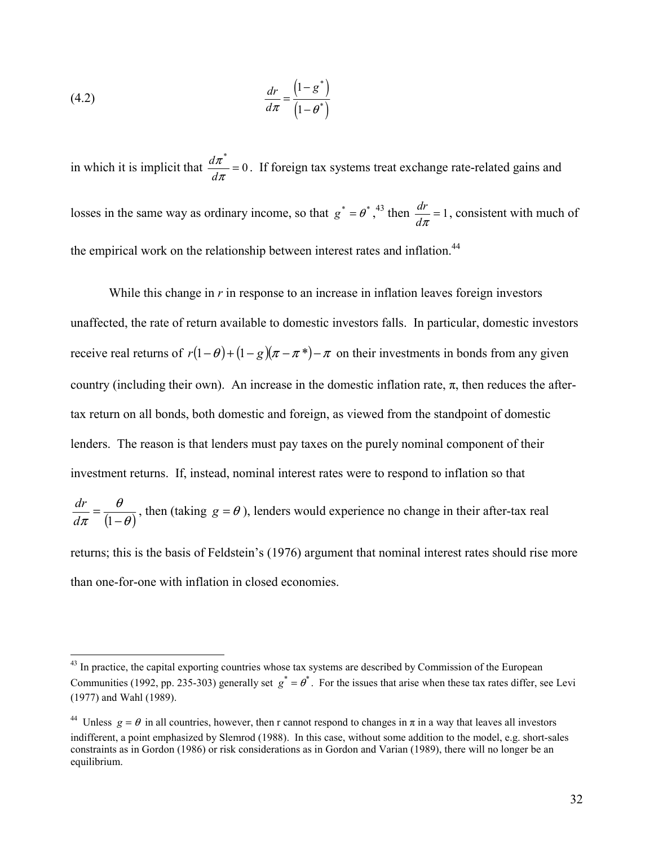$$
\frac{dr}{d\pi} = \frac{\left(1 - g^*\right)}{\left(1 - \theta^*\right)}
$$

 $\overline{a}$ 

in which it is implicit that *<sup>d</sup> d* π π \*<br>- = 0. If foreign tax systems treat exchange rate-related gains and losses in the same way as ordinary income, so that  $g^* = \theta^*$ , <sup>43</sup> then  $\frac{dr}{dt}$ *d*<sup>π</sup> = 1, consistent with much of the empirical work on the relationship between interest rates and inflation.<sup>44</sup>

While this change in *r* in response to an increase in inflation leaves foreign investors unaffected, the rate of return available to domestic investors falls. In particular, domestic investors receive real returns of  $r(1 - \theta) + (1 - g)(\pi - \pi^*) - \pi$  on their investments in bonds from any given country (including their own). An increase in the domestic inflation rate,  $\pi$ , then reduces the aftertax return on all bonds, both domestic and foreign, as viewed from the standpoint of domestic lenders. The reason is that lenders must pay taxes on the purely nominal component of their investment returns. If, instead, nominal interest rates were to respond to inflation so that

 $(1 - \theta)$  $\frac{dr}{d\pi} = \frac{\theta}{(1-\theta)}$ , then (taking  $g = \theta$ ), lenders would experience no change in their after-tax real

returns; this is the basis of Feldstein's (1976) argument that nominal interest rates should rise more than one-for-one with inflation in closed economies.

<sup>&</sup>lt;sup>43</sup> In practice, the capital exporting countries whose tax systems are described by Commission of the European Communities (1992, pp. 235-303) generally set  $g^* = \theta^*$ . For the issues that arise when these tax rates differ, see Levi (1977) and Wahl (1989).

<sup>&</sup>lt;sup>44</sup> Unless  $g = \theta$  in all countries, however, then r cannot respond to changes in  $\pi$  in a way that leaves all investors indifferent, a point emphasized by Slemrod (1988). In this case, without some addition to the model, e.g. short-sales constraints as in Gordon (1986) or risk considerations as in Gordon and Varian (1989), there will no longer be an equilibrium.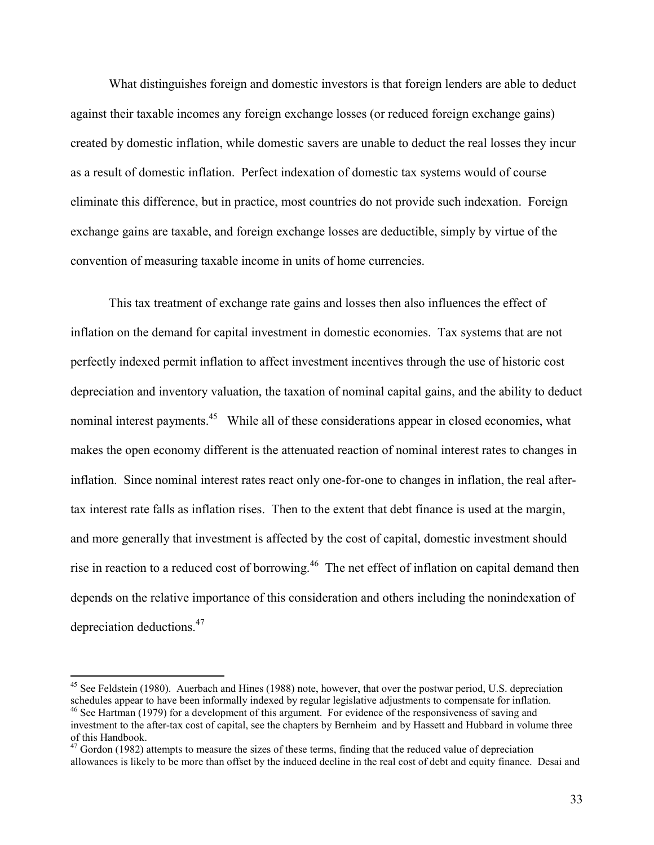What distinguishes foreign and domestic investors is that foreign lenders are able to deduct against their taxable incomes any foreign exchange losses (or reduced foreign exchange gains) created by domestic inflation, while domestic savers are unable to deduct the real losses they incur as a result of domestic inflation. Perfect indexation of domestic tax systems would of course eliminate this difference, but in practice, most countries do not provide such indexation. Foreign exchange gains are taxable, and foreign exchange losses are deductible, simply by virtue of the convention of measuring taxable income in units of home currencies.

 This tax treatment of exchange rate gains and losses then also influences the effect of inflation on the demand for capital investment in domestic economies. Tax systems that are not perfectly indexed permit inflation to affect investment incentives through the use of historic cost depreciation and inventory valuation, the taxation of nominal capital gains, and the ability to deduct nominal interest payments.<sup>45</sup> While all of these considerations appear in closed economies, what makes the open economy different is the attenuated reaction of nominal interest rates to changes in inflation. Since nominal interest rates react only one-for-one to changes in inflation, the real aftertax interest rate falls as inflation rises. Then to the extent that debt finance is used at the margin, and more generally that investment is affected by the cost of capital, domestic investment should rise in reaction to a reduced cost of borrowing.<sup>46</sup> The net effect of inflation on capital demand then depends on the relative importance of this consideration and others including the nonindexation of depreciation deductions.<sup>47</sup>

<sup>&</sup>lt;sup>45</sup> See Feldstein (1980). Auerbach and Hines (1988) note, however, that over the postwar period, U.S. depreciation schedules appear to have been informally indexed by regular legislative adjustments to compensate for inflation.

<sup>&</sup>lt;sup>46</sup> See Hartman (1979) for a development of this argument. For evidence of the responsiveness of saving and investment to the after-tax cost of capital, see the chapters by Bernheim and by Hassett and Hubbard in volume three of this Handbook.

 $47$  Gordon (1982) attempts to measure the sizes of these terms, finding that the reduced value of depreciation allowances is likely to be more than offset by the induced decline in the real cost of debt and equity finance. Desai and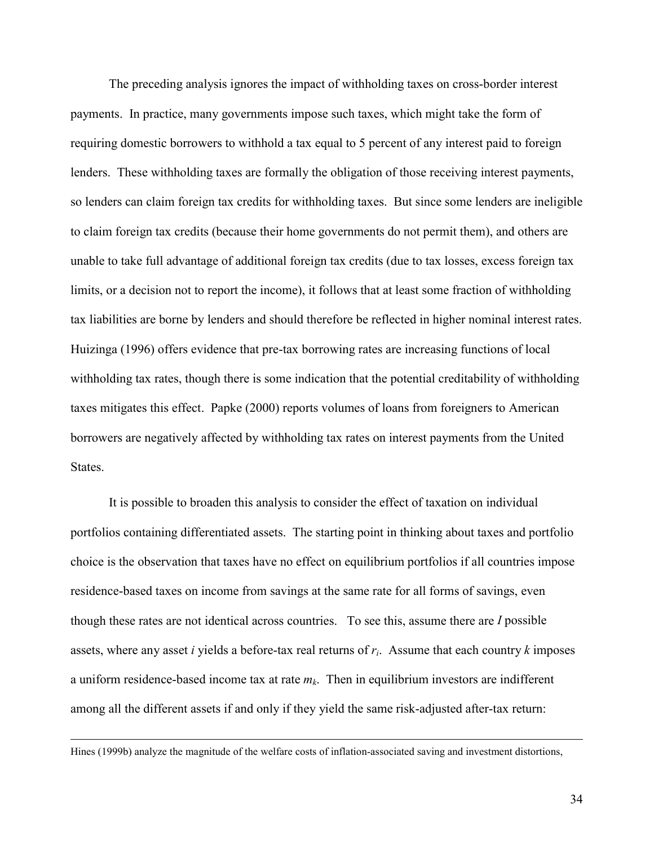The preceding analysis ignores the impact of withholding taxes on cross-border interest payments. In practice, many governments impose such taxes, which might take the form of requiring domestic borrowers to withhold a tax equal to 5 percent of any interest paid to foreign lenders. These withholding taxes are formally the obligation of those receiving interest payments, so lenders can claim foreign tax credits for withholding taxes. But since some lenders are ineligible to claim foreign tax credits (because their home governments do not permit them), and others are unable to take full advantage of additional foreign tax credits (due to tax losses, excess foreign tax limits, or a decision not to report the income), it follows that at least some fraction of withholding tax liabilities are borne by lenders and should therefore be reflected in higher nominal interest rates. Huizinga (1996) offers evidence that pre-tax borrowing rates are increasing functions of local withholding tax rates, though there is some indication that the potential creditability of withholding taxes mitigates this effect. Papke (2000) reports volumes of loans from foreigners to American borrowers are negatively affected by withholding tax rates on interest payments from the United States.

It is possible to broaden this analysis to consider the effect of taxation on individual portfolios containing differentiated assets. The starting point in thinking about taxes and portfolio choice is the observation that taxes have no effect on equilibrium portfolios if all countries impose residence-based taxes on income from savings at the same rate for all forms of savings, even though these rates are not identical across countries. To see this, assume there are *I* possible assets, where any asset *i* yields a before-tax real returns of *ri*. Assume that each country *k* imposes a uniform residence-based income tax at rate *mk*. Then in equilibrium investors are indifferent among all the different assets if and only if they yield the same risk-adjusted after-tax return:

Hines (1999b) analyze the magnitude of the welfare costs of inflation-associated saving and investment distortions,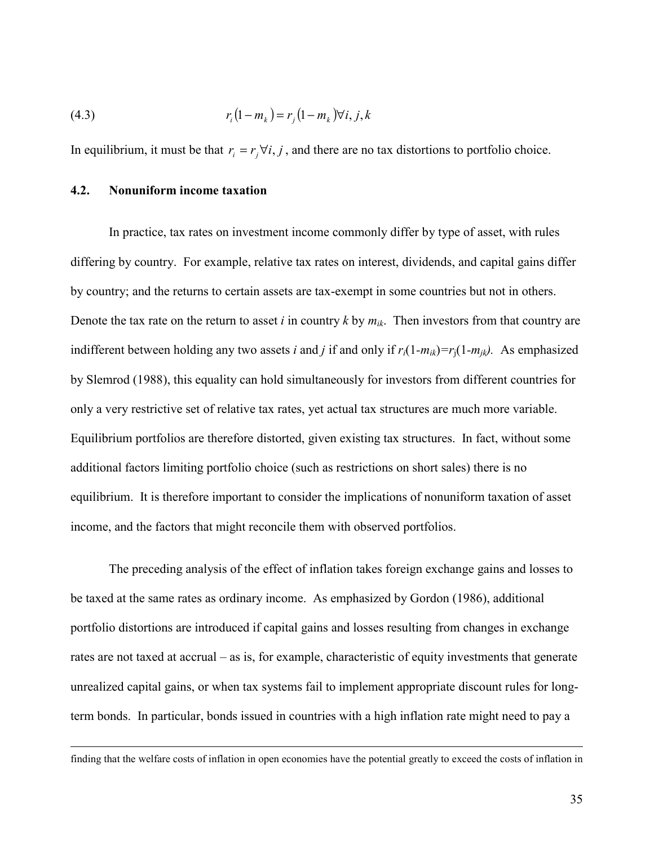(4.3) 
$$
r_i(1 - m_k) = r_j(1 - m_k) \forall i, j, k
$$

In equilibrium, it must be that  $r_i = r_j \forall i, j$ , and there are no tax distortions to portfolio choice.

# **4.2. Nonuniform income taxation**

 In practice, tax rates on investment income commonly differ by type of asset, with rules differing by country. For example, relative tax rates on interest, dividends, and capital gains differ by country; and the returns to certain assets are tax-exempt in some countries but not in others. Denote the tax rate on the return to asset *i* in country *k* by  $m_{ik}$ . Then investors from that country are indifferent between holding any two assets *i* and *j* if and only if  $r_i(1-m_{ik})=r_i(1-m_{ik})$ . As emphasized by Slemrod (1988), this equality can hold simultaneously for investors from different countries for only a very restrictive set of relative tax rates, yet actual tax structures are much more variable. Equilibrium portfolios are therefore distorted, given existing tax structures. In fact, without some additional factors limiting portfolio choice (such as restrictions on short sales) there is no equilibrium. It is therefore important to consider the implications of nonuniform taxation of asset income, and the factors that might reconcile them with observed portfolios.

 The preceding analysis of the effect of inflation takes foreign exchange gains and losses to be taxed at the same rates as ordinary income. As emphasized by Gordon (1986), additional portfolio distortions are introduced if capital gains and losses resulting from changes in exchange rates are not taxed at accrual – as is, for example, characteristic of equity investments that generate unrealized capital gains, or when tax systems fail to implement appropriate discount rules for longterm bonds. In particular, bonds issued in countries with a high inflation rate might need to pay a

finding that the welfare costs of inflation in open economies have the potential greatly to exceed the costs of inflation in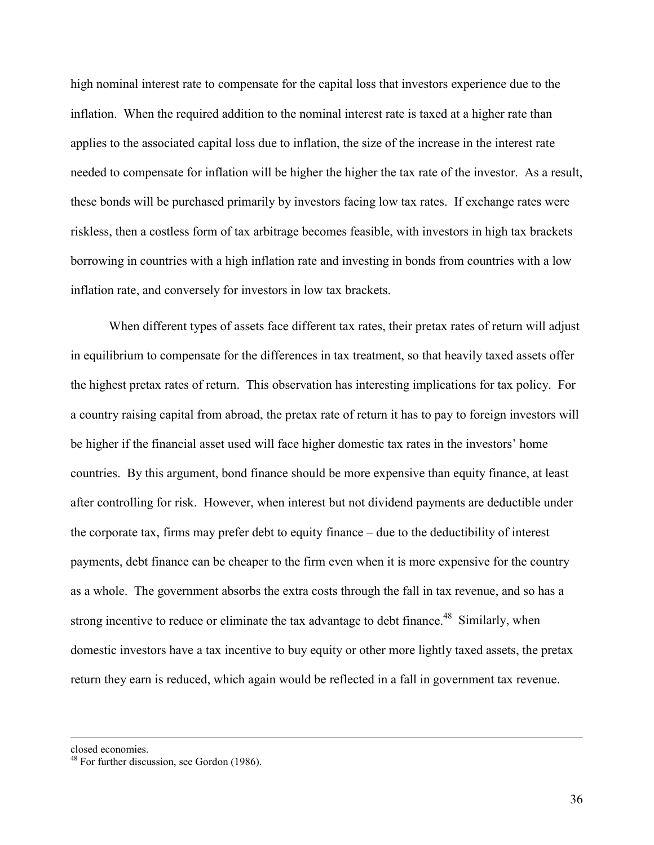high nominal interest rate to compensate for the capital loss that investors experience due to the inflation. When the required addition to the nominal interest rate is taxed at a higher rate than applies to the associated capital loss due to inflation, the size of the increase in the interest rate needed to compensate for inflation will be higher the higher the tax rate of the investor. As a result, these bonds will be purchased primarily by investors facing low tax rates. If exchange rates were riskless, then a costless form of tax arbitrage becomes feasible, with investors in high tax brackets borrowing in countries with a high inflation rate and investing in bonds from countries with a low inflation rate, and conversely for investors in low tax brackets.

When different types of assets face different tax rates, their pretax rates of return will adjust in equilibrium to compensate for the differences in tax treatment, so that heavily taxed assets offer the highest pretax rates of return. This observation has interesting implications for tax policy. For a country raising capital from abroad, the pretax rate of return it has to pay to foreign investors will be higher if the financial asset used will face higher domestic tax rates in the investors' home countries. By this argument, bond finance should be more expensive than equity finance, at least after controlling for risk. However, when interest but not dividend payments are deductible under the corporate tax, firms may prefer debt to equity finance – due to the deductibility of interest payments, debt finance can be cheaper to the firm even when it is more expensive for the country as a whole. The government absorbs the extra costs through the fall in tax revenue, and so has a strong incentive to reduce or eliminate the tax advantage to debt finance.<sup>48</sup> Similarly, when domestic investors have a tax incentive to buy equity or other more lightly taxed assets, the pretax return they earn is reduced, which again would be reflected in a fall in government tax revenue.

closed economies.

<sup>&</sup>lt;sup>48</sup> For further discussion, see Gordon (1986).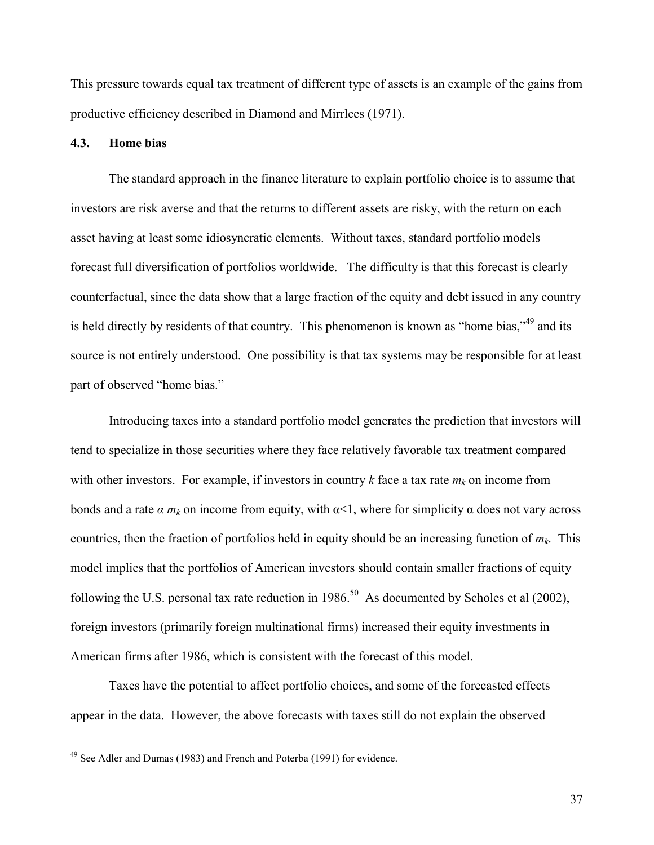This pressure towards equal tax treatment of different type of assets is an example of the gains from productive efficiency described in Diamond and Mirrlees (1971).

# **4.3. Home bias**

 The standard approach in the finance literature to explain portfolio choice is to assume that investors are risk averse and that the returns to different assets are risky, with the return on each asset having at least some idiosyncratic elements. Without taxes, standard portfolio models forecast full diversification of portfolios worldwide. The difficulty is that this forecast is clearly counterfactual, since the data show that a large fraction of the equity and debt issued in any country is held directly by residents of that country. This phenomenon is known as "home bias,"49 and its source is not entirely understood. One possibility is that tax systems may be responsible for at least part of observed "home bias."

Introducing taxes into a standard portfolio model generates the prediction that investors will tend to specialize in those securities where they face relatively favorable tax treatment compared with other investors. For example, if investors in country  $k$  face a tax rate  $m_k$  on income from bonds and a rate  $\alpha$  m<sub>k</sub> on income from equity, with  $\alpha$ <1, where for simplicity  $\alpha$  does not vary across countries, then the fraction of portfolios held in equity should be an increasing function of  $m_k$ . This model implies that the portfolios of American investors should contain smaller fractions of equity following the U.S. personal tax rate reduction in  $1986$ <sup>50</sup> As documented by Scholes et al (2002), foreign investors (primarily foreign multinational firms) increased their equity investments in American firms after 1986, which is consistent with the forecast of this model.

 Taxes have the potential to affect portfolio choices, and some of the forecasted effects appear in the data. However, the above forecasts with taxes still do not explain the observed

<sup>&</sup>lt;sup>49</sup> See Adler and Dumas (1983) and French and Poterba (1991) for evidence.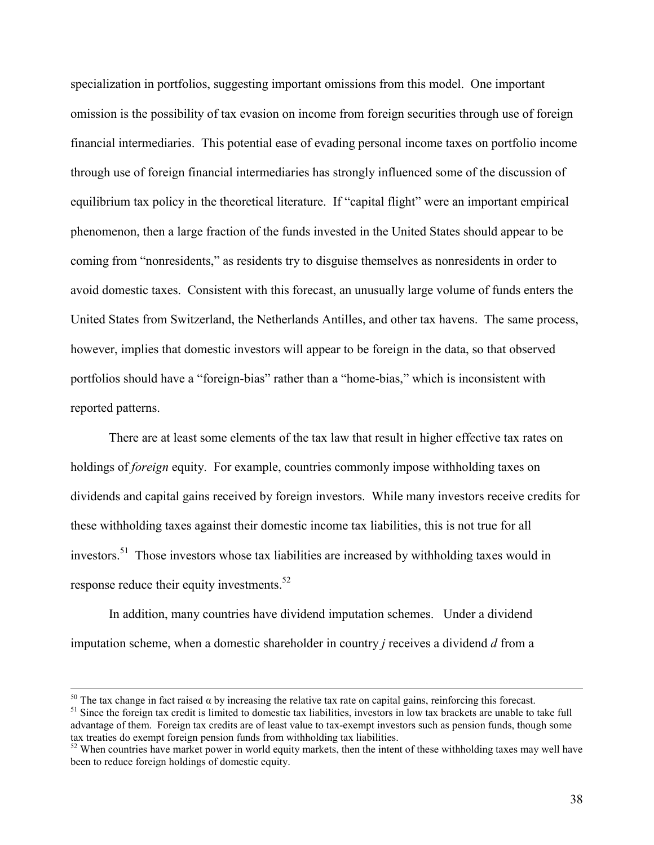specialization in portfolios, suggesting important omissions from this model. One important omission is the possibility of tax evasion on income from foreign securities through use of foreign financial intermediaries. This potential ease of evading personal income taxes on portfolio income through use of foreign financial intermediaries has strongly influenced some of the discussion of equilibrium tax policy in the theoretical literature. If "capital flight" were an important empirical phenomenon, then a large fraction of the funds invested in the United States should appear to be coming from "nonresidents," as residents try to disguise themselves as nonresidents in order to avoid domestic taxes. Consistent with this forecast, an unusually large volume of funds enters the United States from Switzerland, the Netherlands Antilles, and other tax havens. The same process, however, implies that domestic investors will appear to be foreign in the data, so that observed portfolios should have a "foreign-bias" rather than a "home-bias," which is inconsistent with reported patterns.

 There are at least some elements of the tax law that result in higher effective tax rates on holdings of *foreign* equity. For example, countries commonly impose withholding taxes on dividends and capital gains received by foreign investors. While many investors receive credits for these withholding taxes against their domestic income tax liabilities, this is not true for all investors.<sup>51</sup> Those investors whose tax liabilities are increased by withholding taxes would in response reduce their equity investments. $52$ 

In addition, many countries have dividend imputation schemes. Under a dividend imputation scheme, when a domestic shareholder in country *j* receives a dividend *d* from a

<sup>&</sup>lt;sup>50</sup> The tax change in fact raised  $\alpha$  by increasing the relative tax rate on capital gains, reinforcing this forecast.<br><sup>51</sup> Since the foreign tax credit is limited to domestic tax liabilities, investors in low tax brack advantage of them. Foreign tax credits are of least value to tax-exempt investors such as pension funds, though some tax treaties do exempt foreign pension funds from withholding tax liabilities.

 $52$  When countries have market power in world equity markets, then the intent of these withholding taxes may well have been to reduce foreign holdings of domestic equity.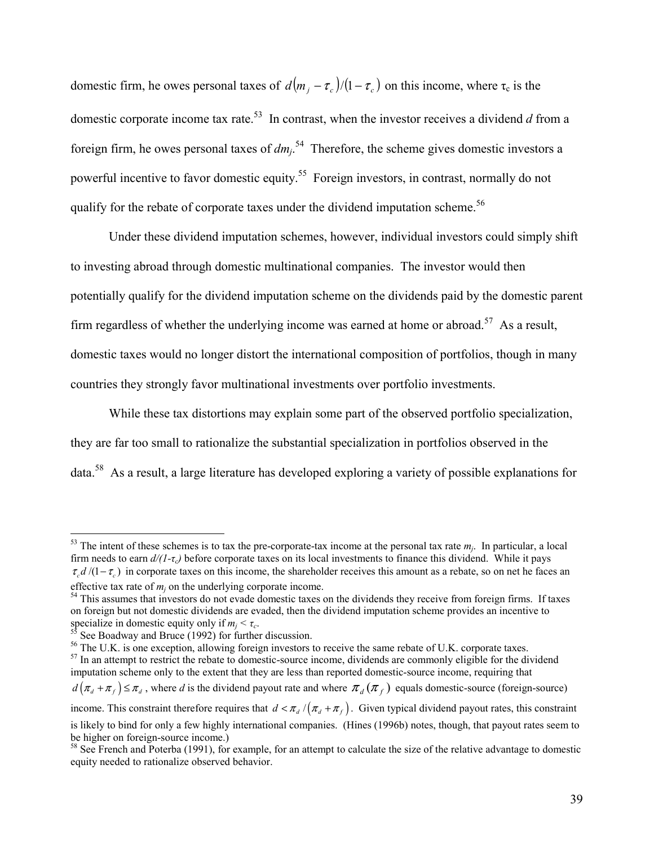domestic firm, he owes personal taxes of  $d ( m_j - \tau_c ) / (1 - \tau_c )$  on this income, where  $\tau_c$  is the domestic corporate income tax rate.<sup>53</sup> In contrast, when the investor receives a dividend *d* from a foreign firm, he owes personal taxes of  $dm_j$ <sup>54</sup> Therefore, the scheme gives domestic investors a powerful incentive to favor domestic equity.55 Foreign investors, in contrast, normally do not qualify for the rebate of corporate taxes under the dividend imputation scheme.<sup>56</sup>

Under these dividend imputation schemes, however, individual investors could simply shift to investing abroad through domestic multinational companies. The investor would then potentially qualify for the dividend imputation scheme on the dividends paid by the domestic parent firm regardless of whether the underlying income was earned at home or abroad.<sup>57</sup> As a result, domestic taxes would no longer distort the international composition of portfolios, though in many countries they strongly favor multinational investments over portfolio investments.

 While these tax distortions may explain some part of the observed portfolio specialization, they are far too small to rationalize the substantial specialization in portfolios observed in the data.58 As a result, a large literature has developed exploring a variety of possible explanations for

 $\overline{a}$ 

<sup>56</sup> The U.K. is one exception, allowing foreign investors to receive the same rebate of U.K. corporate taxes.  $57$  In an attempt to restrict the rebate to domestic-source income, dividends are commonly eligible for the dividend imputation scheme only to the extent that they are less than reported domestic-source income, requiring that

 $d(\pi_d + \pi_f) \leq \pi_d$ , where *d* is the dividend payout rate and where  $\pi_d(\pi_f)$  equals domestic-source (foreign-source)

income. This constraint therefore requires that  $d < \pi_d / (\pi_d + \pi_f)$ . Given typical dividend payout rates, this constraint is likely to bind for only a few highly international companies. (Hines (1996b) notes, though, that payout rates seem to

 $53$  The intent of these schemes is to tax the pre-corporate-tax income at the personal tax rate  $m_j$ . In particular, a local firm needs to earn  $d/(1-\tau_c)$  before corporate taxes on its local investments to finance this dividend. While it pays  $\tau_c d / (1 - \tau_c)$  in corporate taxes on this income, the shareholder receives this amount as a rebate, so on net he faces an effective tax rate of  $m_i$  on the underlying corporate income.

<sup>&</sup>lt;sup>54</sup> This assumes that investors do not evade domestic taxes on the dividends they receive from foreign firms. If taxes on foreign but not domestic dividends are evaded, then the dividend imputation scheme provides an incentive to specialize in domestic equity only if  $m_j < \tau_c$ .<br><sup>55</sup> See Boadway and Bruce (1992) for further discussion.

be higher on foreign-source income.) <sup>58</sup> See French and Poterba (1991), for example, for an attempt to calculate the size of the relative advantage to domestic equity needed to rationalize observed behavior.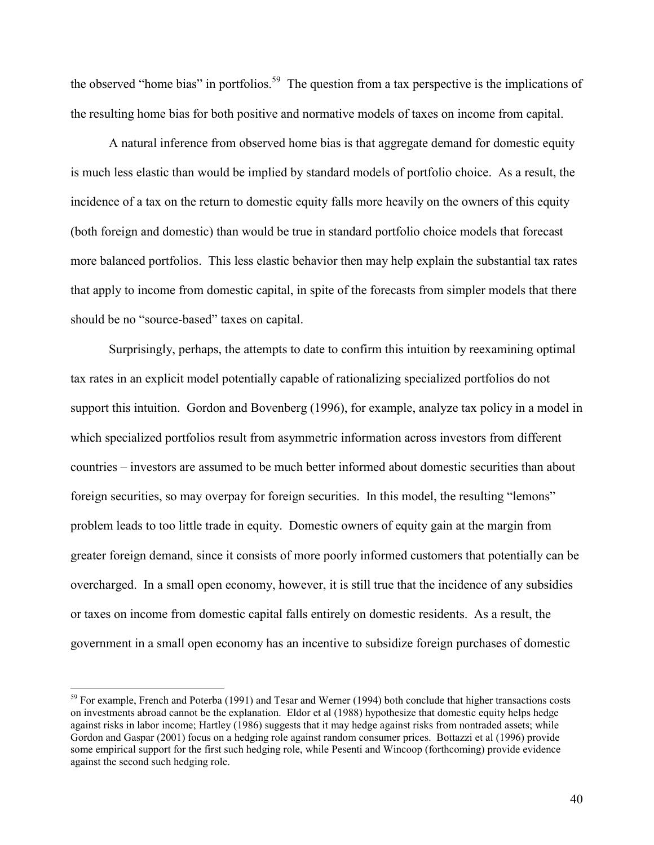the observed "home bias" in portfolios.<sup>59</sup> The question from a tax perspective is the implications of the resulting home bias for both positive and normative models of taxes on income from capital.

 A natural inference from observed home bias is that aggregate demand for domestic equity is much less elastic than would be implied by standard models of portfolio choice. As a result, the incidence of a tax on the return to domestic equity falls more heavily on the owners of this equity (both foreign and domestic) than would be true in standard portfolio choice models that forecast more balanced portfolios. This less elastic behavior then may help explain the substantial tax rates that apply to income from domestic capital, in spite of the forecasts from simpler models that there should be no "source-based" taxes on capital.

 Surprisingly, perhaps, the attempts to date to confirm this intuition by reexamining optimal tax rates in an explicit model potentially capable of rationalizing specialized portfolios do not support this intuition. Gordon and Bovenberg (1996), for example, analyze tax policy in a model in which specialized portfolios result from asymmetric information across investors from different countries – investors are assumed to be much better informed about domestic securities than about foreign securities, so may overpay for foreign securities. In this model, the resulting "lemons" problem leads to too little trade in equity. Domestic owners of equity gain at the margin from greater foreign demand, since it consists of more poorly informed customers that potentially can be overcharged. In a small open economy, however, it is still true that the incidence of any subsidies or taxes on income from domestic capital falls entirely on domestic residents. As a result, the government in a small open economy has an incentive to subsidize foreign purchases of domestic

 $59$  For example, French and Poterba (1991) and Tesar and Werner (1994) both conclude that higher transactions costs on investments abroad cannot be the explanation. Eldor et al (1988) hypothesize that domestic equity helps hedge against risks in labor income; Hartley (1986) suggests that it may hedge against risks from nontraded assets; while Gordon and Gaspar (2001) focus on a hedging role against random consumer prices. Bottazzi et al (1996) provide some empirical support for the first such hedging role, while Pesenti and Wincoop (forthcoming) provide evidence against the second such hedging role.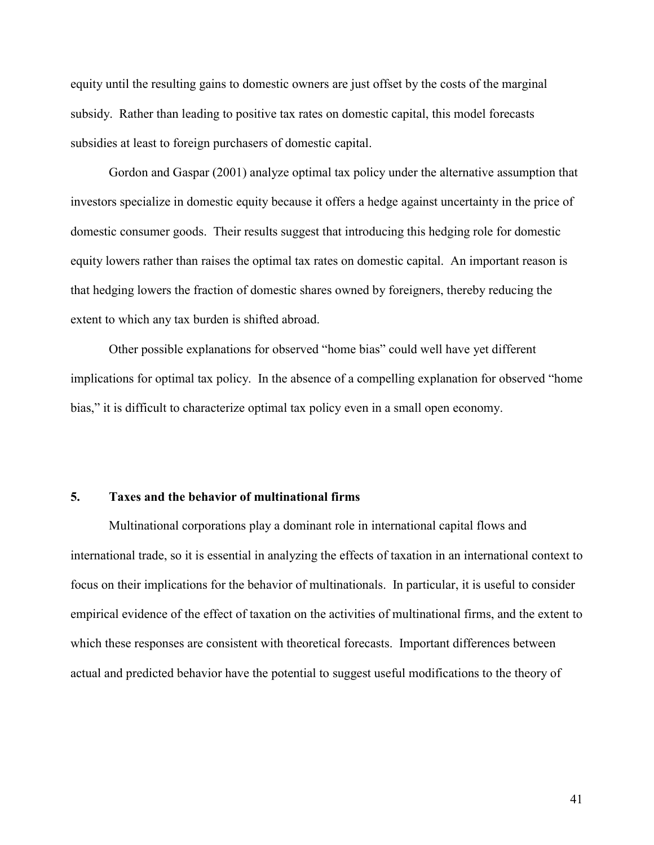equity until the resulting gains to domestic owners are just offset by the costs of the marginal subsidy. Rather than leading to positive tax rates on domestic capital, this model forecasts subsidies at least to foreign purchasers of domestic capital.

 Gordon and Gaspar (2001) analyze optimal tax policy under the alternative assumption that investors specialize in domestic equity because it offers a hedge against uncertainty in the price of domestic consumer goods. Their results suggest that introducing this hedging role for domestic equity lowers rather than raises the optimal tax rates on domestic capital. An important reason is that hedging lowers the fraction of domestic shares owned by foreigners, thereby reducing the extent to which any tax burden is shifted abroad.

 Other possible explanations for observed "home bias" could well have yet different implications for optimal tax policy. In the absence of a compelling explanation for observed "home bias," it is difficult to characterize optimal tax policy even in a small open economy.

# **5. Taxes and the behavior of multinational firms**

Multinational corporations play a dominant role in international capital flows and international trade, so it is essential in analyzing the effects of taxation in an international context to focus on their implications for the behavior of multinationals. In particular, it is useful to consider empirical evidence of the effect of taxation on the activities of multinational firms, and the extent to which these responses are consistent with theoretical forecasts. Important differences between actual and predicted behavior have the potential to suggest useful modifications to the theory of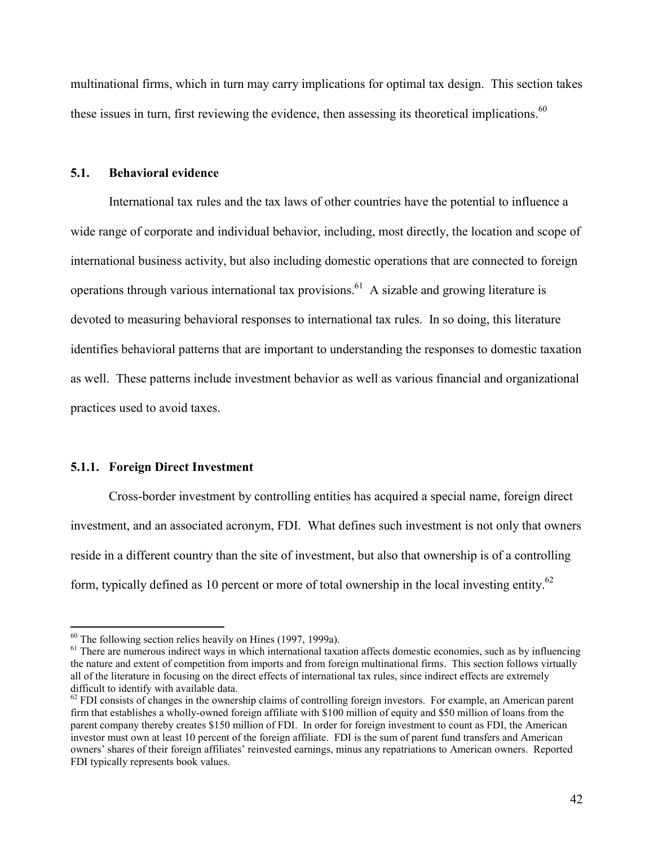multinational firms, which in turn may carry implications for optimal tax design. This section takes these issues in turn, first reviewing the evidence, then assessing its theoretical implications.<sup>60</sup>

# **5.1. Behavioral evidence**

International tax rules and the tax laws of other countries have the potential to influence a wide range of corporate and individual behavior, including, most directly, the location and scope of international business activity, but also including domestic operations that are connected to foreign operations through various international tax provisions.<sup>61</sup> A sizable and growing literature is devoted to measuring behavioral responses to international tax rules. In so doing, this literature identifies behavioral patterns that are important to understanding the responses to domestic taxation as well. These patterns include investment behavior as well as various financial and organizational practices used to avoid taxes.

### **5.1.1. Foreign Direct Investment**

 $\overline{a}$ 

Cross-border investment by controlling entities has acquired a special name, foreign direct investment, and an associated acronym, FDI. What defines such investment is not only that owners reside in a different country than the site of investment, but also that ownership is of a controlling form, typically defined as 10 percent or more of total ownership in the local investing entity.<sup>62</sup>

 $60$  The following section relies heavily on Hines (1997, 1999a).

<sup>&</sup>lt;sup>61</sup> There are numerous indirect ways in which international taxation affects domestic economies, such as by influencing the nature and extent of competition from imports and from foreign multinational firms. This section follows virtually all of the literature in focusing on the direct effects of international tax rules, since indirect effects are extremely difficult to identify with available data.

 $62$  FDI consists of changes in the ownership claims of controlling foreign investors. For example, an American parent firm that establishes a wholly-owned foreign affiliate with \$100 million of equity and \$50 million of loans from the parent company thereby creates \$150 million of FDI. In order for foreign investment to count as FDI, the American investor must own at least 10 percent of the foreign affiliate. FDI is the sum of parent fund transfers and American owners' shares of their foreign affiliates' reinvested earnings, minus any repatriations to American owners. Reported FDI typically represents book values.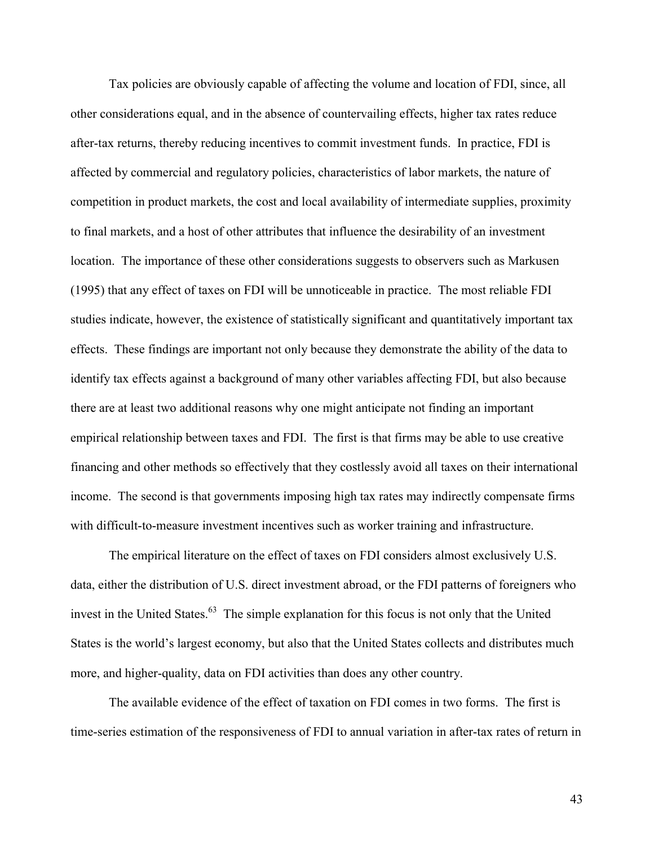Tax policies are obviously capable of affecting the volume and location of FDI, since, all other considerations equal, and in the absence of countervailing effects, higher tax rates reduce after-tax returns, thereby reducing incentives to commit investment funds. In practice, FDI is affected by commercial and regulatory policies, characteristics of labor markets, the nature of competition in product markets, the cost and local availability of intermediate supplies, proximity to final markets, and a host of other attributes that influence the desirability of an investment location. The importance of these other considerations suggests to observers such as Markusen (1995) that any effect of taxes on FDI will be unnoticeable in practice. The most reliable FDI studies indicate, however, the existence of statistically significant and quantitatively important tax effects. These findings are important not only because they demonstrate the ability of the data to identify tax effects against a background of many other variables affecting FDI, but also because there are at least two additional reasons why one might anticipate not finding an important empirical relationship between taxes and FDI. The first is that firms may be able to use creative financing and other methods so effectively that they costlessly avoid all taxes on their international income. The second is that governments imposing high tax rates may indirectly compensate firms with difficult-to-measure investment incentives such as worker training and infrastructure.

The empirical literature on the effect of taxes on FDI considers almost exclusively U.S. data, either the distribution of U.S. direct investment abroad, or the FDI patterns of foreigners who invest in the United States.<sup>63</sup> The simple explanation for this focus is not only that the United States is the world's largest economy, but also that the United States collects and distributes much more, and higher-quality, data on FDI activities than does any other country.

The available evidence of the effect of taxation on FDI comes in two forms. The first is time-series estimation of the responsiveness of FDI to annual variation in after-tax rates of return in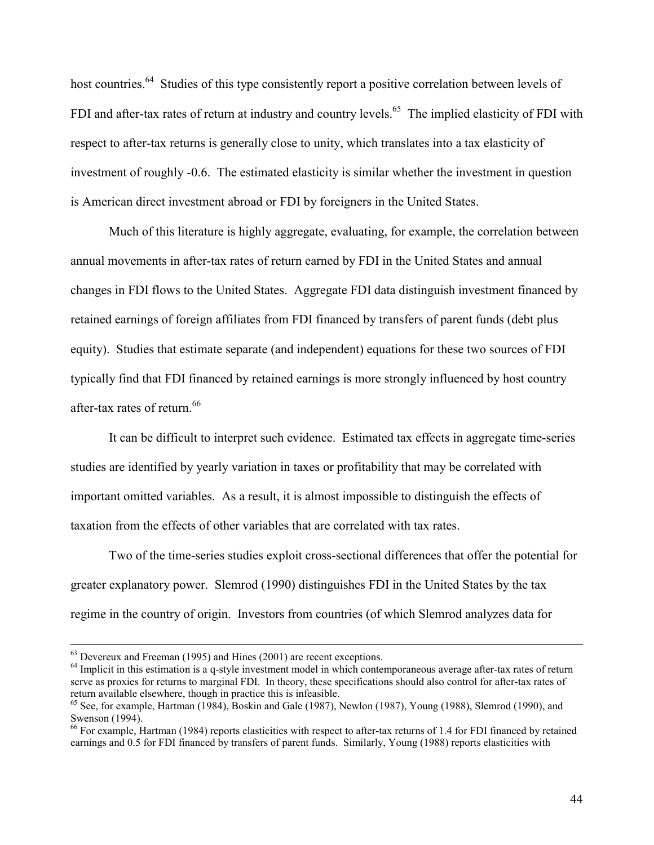host countries.<sup>64</sup> Studies of this type consistently report a positive correlation between levels of FDI and after-tax rates of return at industry and country levels.<sup>65</sup> The implied elasticity of FDI with respect to after-tax returns is generally close to unity, which translates into a tax elasticity of investment of roughly -0.6. The estimated elasticity is similar whether the investment in question is American direct investment abroad or FDI by foreigners in the United States.

Much of this literature is highly aggregate, evaluating, for example, the correlation between annual movements in after-tax rates of return earned by FDI in the United States and annual changes in FDI flows to the United States. Aggregate FDI data distinguish investment financed by retained earnings of foreign affiliates from FDI financed by transfers of parent funds (debt plus equity). Studies that estimate separate (and independent) equations for these two sources of FDI typically find that FDI financed by retained earnings is more strongly influenced by host country after-tax rates of return.<sup>66</sup>

It can be difficult to interpret such evidence. Estimated tax effects in aggregate time-series studies are identified by yearly variation in taxes or profitability that may be correlated with important omitted variables. As a result, it is almost impossible to distinguish the effects of taxation from the effects of other variables that are correlated with tax rates.

Two of the time-series studies exploit cross-sectional differences that offer the potential for greater explanatory power. Slemrod (1990) distinguishes FDI in the United States by the tax regime in the country of origin. Investors from countries (of which Slemrod analyzes data for

 $63$  Devereux and Freeman (1995) and Hines (2001) are recent exceptions.

<sup>&</sup>lt;sup>64</sup> Implicit in this estimation is a q-style investment model in which contemporaneous average after-tax rates of return serve as proxies for returns to marginal FDI. In theory, these specifications should also control for after-tax rates of return available elsewhere, though in practice this is infeasible.

 $<sup>65</sup>$  See, for example, Hartman (1984), Boskin and Gale (1987), Newlon (1987), Young (1988), Slemrod (1990), and</sup> Swenson (1994).

 $^{66}$  For example, Hartman (1984) reports elasticities with respect to after-tax returns of 1.4 for FDI financed by retained earnings and 0.5 for FDI financed by transfers of parent funds. Similarly, Young (1988) reports elasticities with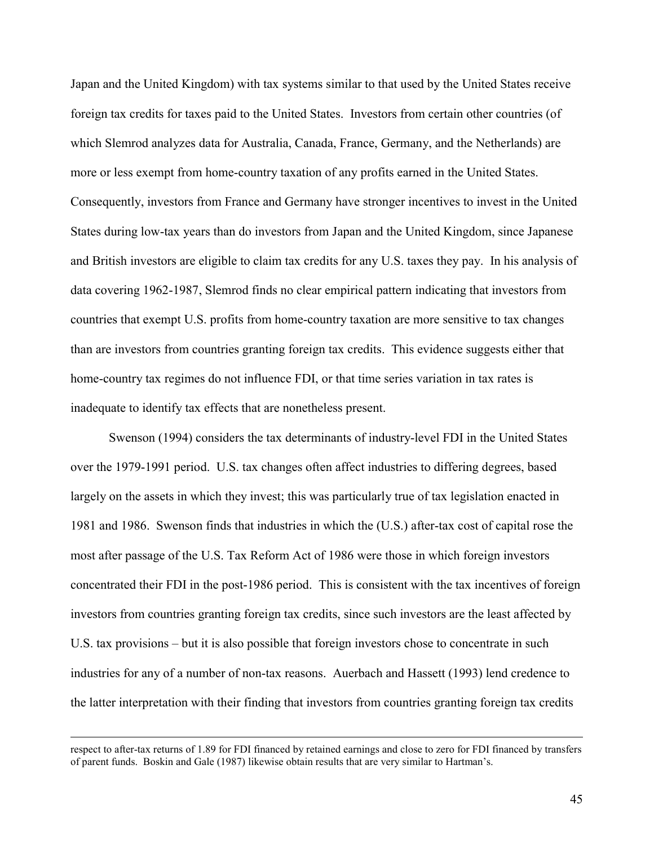Japan and the United Kingdom) with tax systems similar to that used by the United States receive foreign tax credits for taxes paid to the United States. Investors from certain other countries (of which Slemrod analyzes data for Australia, Canada, France, Germany, and the Netherlands) are more or less exempt from home-country taxation of any profits earned in the United States. Consequently, investors from France and Germany have stronger incentives to invest in the United States during low-tax years than do investors from Japan and the United Kingdom, since Japanese and British investors are eligible to claim tax credits for any U.S. taxes they pay. In his analysis of data covering 1962-1987, Slemrod finds no clear empirical pattern indicating that investors from countries that exempt U.S. profits from home-country taxation are more sensitive to tax changes than are investors from countries granting foreign tax credits. This evidence suggests either that home-country tax regimes do not influence FDI, or that time series variation in tax rates is inadequate to identify tax effects that are nonetheless present.

Swenson (1994) considers the tax determinants of industry-level FDI in the United States over the 1979-1991 period. U.S. tax changes often affect industries to differing degrees, based largely on the assets in which they invest; this was particularly true of tax legislation enacted in 1981 and 1986. Swenson finds that industries in which the (U.S.) after-tax cost of capital rose the most after passage of the U.S. Tax Reform Act of 1986 were those in which foreign investors concentrated their FDI in the post-1986 period. This is consistent with the tax incentives of foreign investors from countries granting foreign tax credits, since such investors are the least affected by U.S. tax provisions – but it is also possible that foreign investors chose to concentrate in such industries for any of a number of non-tax reasons. Auerbach and Hassett (1993) lend credence to the latter interpretation with their finding that investors from countries granting foreign tax credits

respect to after-tax returns of 1.89 for FDI financed by retained earnings and close to zero for FDI financed by transfers of parent funds. Boskin and Gale (1987) likewise obtain results that are very similar to Hartman's.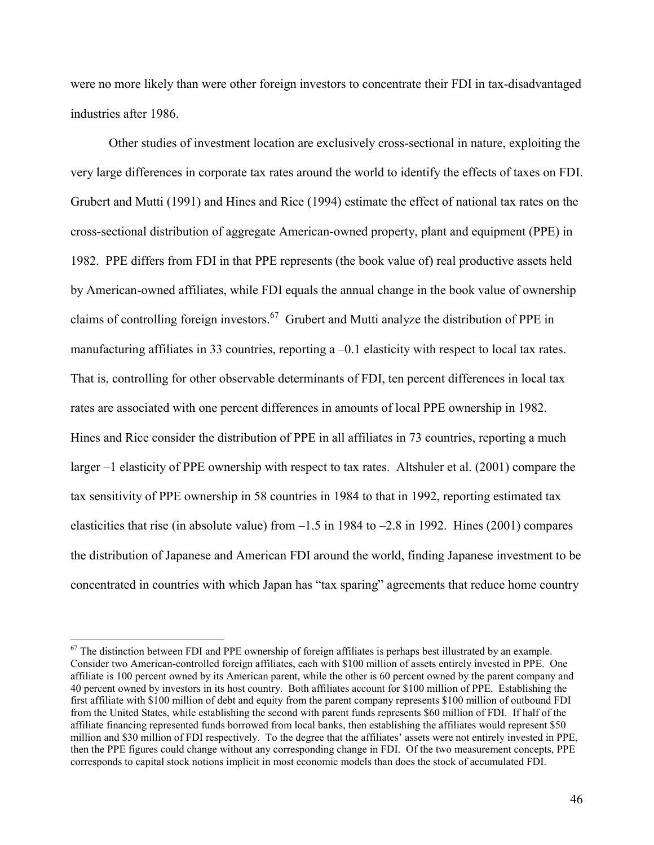were no more likely than were other foreign investors to concentrate their FDI in tax-disadvantaged industries after 1986.

Other studies of investment location are exclusively cross-sectional in nature, exploiting the very large differences in corporate tax rates around the world to identify the effects of taxes on FDI. Grubert and Mutti (1991) and Hines and Rice (1994) estimate the effect of national tax rates on the cross-sectional distribution of aggregate American-owned property, plant and equipment (PPE) in 1982. PPE differs from FDI in that PPE represents (the book value of) real productive assets held by American-owned affiliates, while FDI equals the annual change in the book value of ownership claims of controlling foreign investors.<sup>67</sup> Grubert and Mutti analyze the distribution of PPE in manufacturing affiliates in 33 countries, reporting a –0.1 elasticity with respect to local tax rates. That is, controlling for other observable determinants of FDI, ten percent differences in local tax rates are associated with one percent differences in amounts of local PPE ownership in 1982. Hines and Rice consider the distribution of PPE in all affiliates in 73 countries, reporting a much larger –1 elasticity of PPE ownership with respect to tax rates. Altshuler et al. (2001) compare the tax sensitivity of PPE ownership in 58 countries in 1984 to that in 1992, reporting estimated tax elasticities that rise (in absolute value) from  $-1.5$  in 1984 to  $-2.8$  in 1992. Hines (2001) compares the distribution of Japanese and American FDI around the world, finding Japanese investment to be concentrated in countries with which Japan has "tax sparing" agreements that reduce home country

 $67$  The distinction between FDI and PPE ownership of foreign affiliates is perhaps best illustrated by an example. Consider two American-controlled foreign affiliates, each with \$100 million of assets entirely invested in PPE. One affiliate is 100 percent owned by its American parent, while the other is 60 percent owned by the parent company and 40 percent owned by investors in its host country. Both affiliates account for \$100 million of PPE. Establishing the first affiliate with \$100 million of debt and equity from the parent company represents \$100 million of outbound FDI from the United States, while establishing the second with parent funds represents \$60 million of FDI. If half of the affiliate financing represented funds borrowed from local banks, then establishing the affiliates would represent \$50 million and \$30 million of FDI respectively. To the degree that the affiliates' assets were not entirely invested in PPE, then the PPE figures could change without any corresponding change in FDI. Of the two measurement concepts, PPE corresponds to capital stock notions implicit in most economic models than does the stock of accumulated FDI.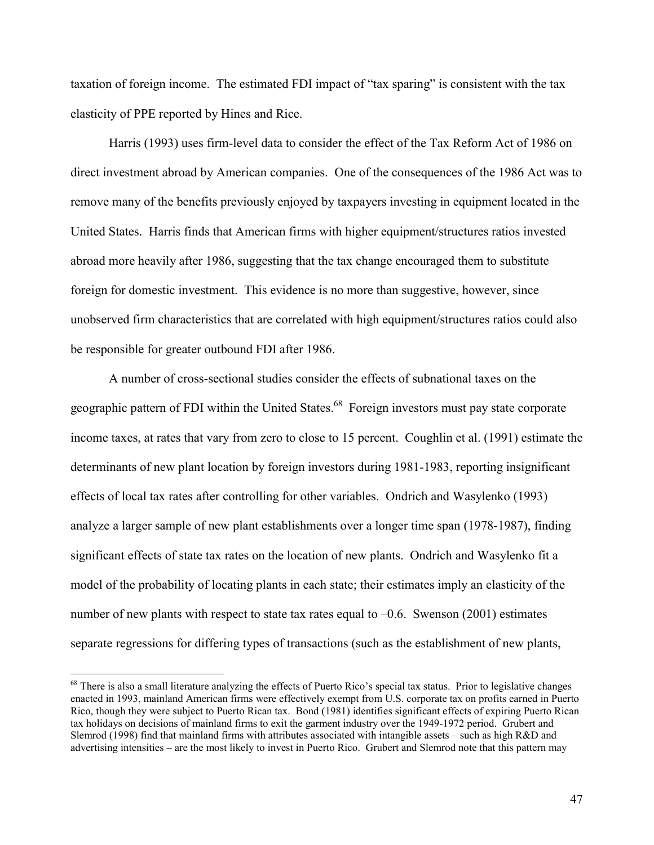taxation of foreign income. The estimated FDI impact of "tax sparing" is consistent with the tax elasticity of PPE reported by Hines and Rice.

Harris (1993) uses firm-level data to consider the effect of the Tax Reform Act of 1986 on direct investment abroad by American companies. One of the consequences of the 1986 Act was to remove many of the benefits previously enjoyed by taxpayers investing in equipment located in the United States. Harris finds that American firms with higher equipment/structures ratios invested abroad more heavily after 1986, suggesting that the tax change encouraged them to substitute foreign for domestic investment. This evidence is no more than suggestive, however, since unobserved firm characteristics that are correlated with high equipment/structures ratios could also be responsible for greater outbound FDI after 1986.

A number of cross-sectional studies consider the effects of subnational taxes on the geographic pattern of FDI within the United States.<sup>68</sup> Foreign investors must pay state corporate income taxes, at rates that vary from zero to close to 15 percent. Coughlin et al. (1991) estimate the determinants of new plant location by foreign investors during 1981-1983, reporting insignificant effects of local tax rates after controlling for other variables. Ondrich and Wasylenko (1993) analyze a larger sample of new plant establishments over a longer time span (1978-1987), finding significant effects of state tax rates on the location of new plants. Ondrich and Wasylenko fit a model of the probability of locating plants in each state; their estimates imply an elasticity of the number of new plants with respect to state tax rates equal to –0.6. Swenson (2001) estimates separate regressions for differing types of transactions (such as the establishment of new plants,

<sup>&</sup>lt;sup>68</sup> There is also a small literature analyzing the effects of Puerto Rico's special tax status. Prior to legislative changes enacted in 1993, mainland American firms were effectively exempt from U.S. corporate tax on profits earned in Puerto Rico, though they were subject to Puerto Rican tax. Bond (1981) identifies significant effects of expiring Puerto Rican tax holidays on decisions of mainland firms to exit the garment industry over the 1949-1972 period. Grubert and Slemrod (1998) find that mainland firms with attributes associated with intangible assets – such as high R&D and advertising intensities – are the most likely to invest in Puerto Rico. Grubert and Slemrod note that this pattern may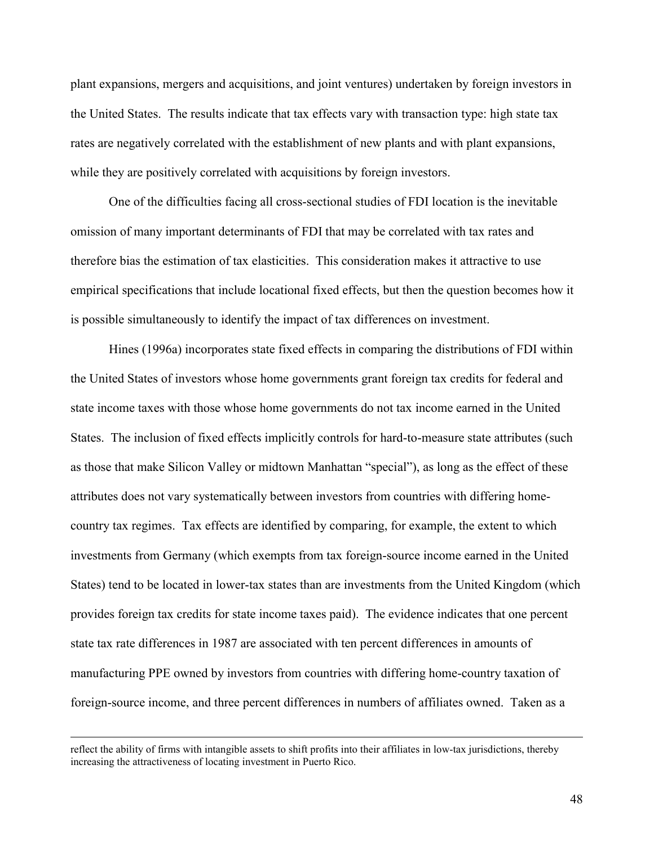plant expansions, mergers and acquisitions, and joint ventures) undertaken by foreign investors in the United States. The results indicate that tax effects vary with transaction type: high state tax rates are negatively correlated with the establishment of new plants and with plant expansions, while they are positively correlated with acquisitions by foreign investors.

One of the difficulties facing all cross-sectional studies of FDI location is the inevitable omission of many important determinants of FDI that may be correlated with tax rates and therefore bias the estimation of tax elasticities. This consideration makes it attractive to use empirical specifications that include locational fixed effects, but then the question becomes how it is possible simultaneously to identify the impact of tax differences on investment.

Hines (1996a) incorporates state fixed effects in comparing the distributions of FDI within the United States of investors whose home governments grant foreign tax credits for federal and state income taxes with those whose home governments do not tax income earned in the United States. The inclusion of fixed effects implicitly controls for hard-to-measure state attributes (such as those that make Silicon Valley or midtown Manhattan "special"), as long as the effect of these attributes does not vary systematically between investors from countries with differing homecountry tax regimes. Tax effects are identified by comparing, for example, the extent to which investments from Germany (which exempts from tax foreign-source income earned in the United States) tend to be located in lower-tax states than are investments from the United Kingdom (which provides foreign tax credits for state income taxes paid). The evidence indicates that one percent state tax rate differences in 1987 are associated with ten percent differences in amounts of manufacturing PPE owned by investors from countries with differing home-country taxation of foreign-source income, and three percent differences in numbers of affiliates owned. Taken as a

reflect the ability of firms with intangible assets to shift profits into their affiliates in low-tax jurisdictions, thereby increasing the attractiveness of locating investment in Puerto Rico.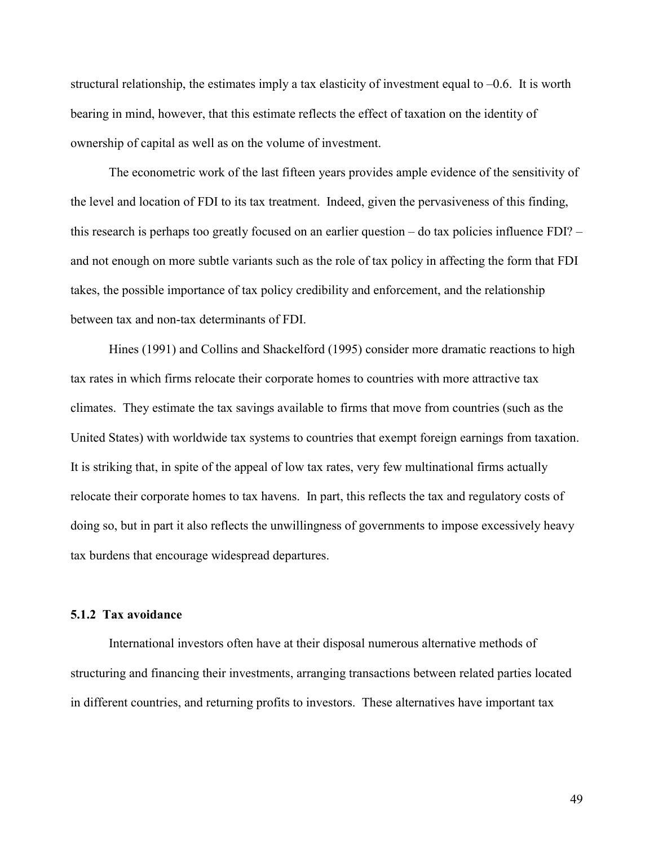structural relationship, the estimates imply a tax elasticity of investment equal to  $-0.6$ . It is worth bearing in mind, however, that this estimate reflects the effect of taxation on the identity of ownership of capital as well as on the volume of investment.

The econometric work of the last fifteen years provides ample evidence of the sensitivity of the level and location of FDI to its tax treatment. Indeed, given the pervasiveness of this finding, this research is perhaps too greatly focused on an earlier question – do tax policies influence FDI? – and not enough on more subtle variants such as the role of tax policy in affecting the form that FDI takes, the possible importance of tax policy credibility and enforcement, and the relationship between tax and non-tax determinants of FDI.

Hines (1991) and Collins and Shackelford (1995) consider more dramatic reactions to high tax rates in which firms relocate their corporate homes to countries with more attractive tax climates. They estimate the tax savings available to firms that move from countries (such as the United States) with worldwide tax systems to countries that exempt foreign earnings from taxation. It is striking that, in spite of the appeal of low tax rates, very few multinational firms actually relocate their corporate homes to tax havens. In part, this reflects the tax and regulatory costs of doing so, but in part it also reflects the unwillingness of governments to impose excessively heavy tax burdens that encourage widespread departures.

### **5.1.2 Tax avoidance**

International investors often have at their disposal numerous alternative methods of structuring and financing their investments, arranging transactions between related parties located in different countries, and returning profits to investors. These alternatives have important tax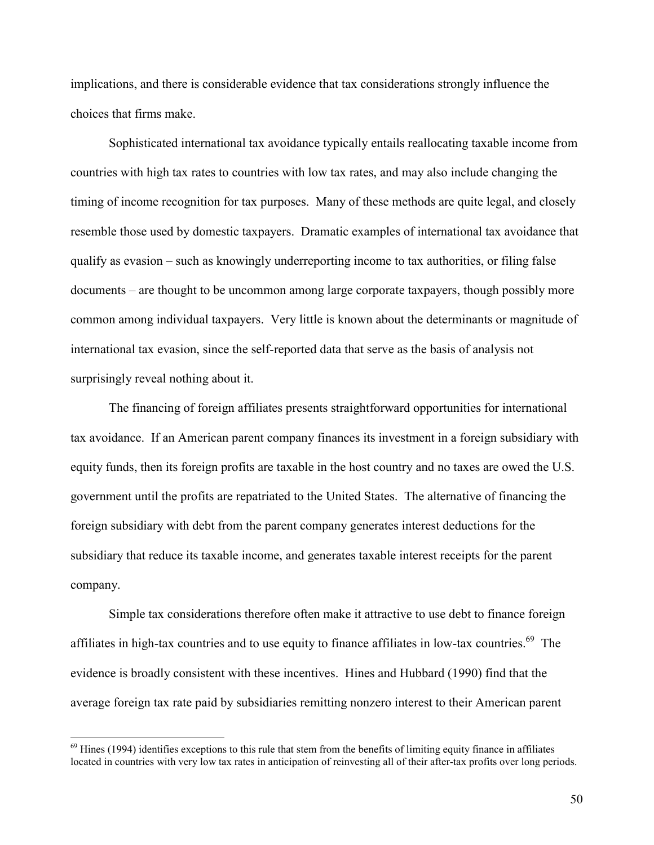implications, and there is considerable evidence that tax considerations strongly influence the choices that firms make.

Sophisticated international tax avoidance typically entails reallocating taxable income from countries with high tax rates to countries with low tax rates, and may also include changing the timing of income recognition for tax purposes. Many of these methods are quite legal, and closely resemble those used by domestic taxpayers. Dramatic examples of international tax avoidance that qualify as evasion – such as knowingly underreporting income to tax authorities, or filing false documents – are thought to be uncommon among large corporate taxpayers, though possibly more common among individual taxpayers. Very little is known about the determinants or magnitude of international tax evasion, since the self-reported data that serve as the basis of analysis not surprisingly reveal nothing about it.

The financing of foreign affiliates presents straightforward opportunities for international tax avoidance. If an American parent company finances its investment in a foreign subsidiary with equity funds, then its foreign profits are taxable in the host country and no taxes are owed the U.S. government until the profits are repatriated to the United States. The alternative of financing the foreign subsidiary with debt from the parent company generates interest deductions for the subsidiary that reduce its taxable income, and generates taxable interest receipts for the parent company.

Simple tax considerations therefore often make it attractive to use debt to finance foreign affiliates in high-tax countries and to use equity to finance affiliates in low-tax countries.<sup>69</sup> The evidence is broadly consistent with these incentives. Hines and Hubbard (1990) find that the average foreign tax rate paid by subsidiaries remitting nonzero interest to their American parent

 $69$  Hines (1994) identifies exceptions to this rule that stem from the benefits of limiting equity finance in affiliates located in countries with very low tax rates in anticipation of reinvesting all of their after-tax profits over long periods.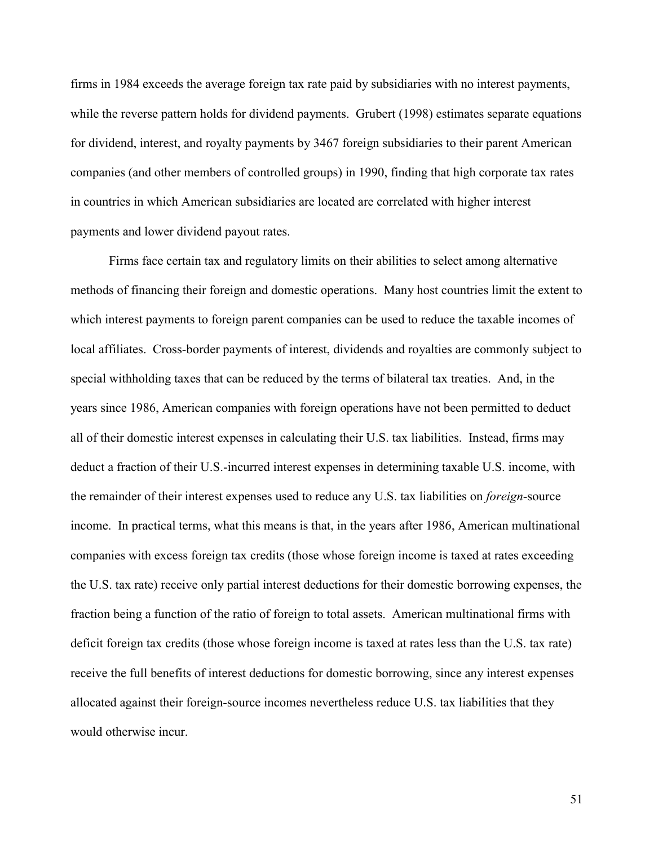firms in 1984 exceeds the average foreign tax rate paid by subsidiaries with no interest payments, while the reverse pattern holds for dividend payments. Grubert (1998) estimates separate equations for dividend, interest, and royalty payments by 3467 foreign subsidiaries to their parent American companies (and other members of controlled groups) in 1990, finding that high corporate tax rates in countries in which American subsidiaries are located are correlated with higher interest payments and lower dividend payout rates.

Firms face certain tax and regulatory limits on their abilities to select among alternative methods of financing their foreign and domestic operations. Many host countries limit the extent to which interest payments to foreign parent companies can be used to reduce the taxable incomes of local affiliates. Cross-border payments of interest, dividends and royalties are commonly subject to special withholding taxes that can be reduced by the terms of bilateral tax treaties. And, in the years since 1986, American companies with foreign operations have not been permitted to deduct all of their domestic interest expenses in calculating their U.S. tax liabilities. Instead, firms may deduct a fraction of their U.S.-incurred interest expenses in determining taxable U.S. income, with the remainder of their interest expenses used to reduce any U.S. tax liabilities on *foreign*-source income. In practical terms, what this means is that, in the years after 1986, American multinational companies with excess foreign tax credits (those whose foreign income is taxed at rates exceeding the U.S. tax rate) receive only partial interest deductions for their domestic borrowing expenses, the fraction being a function of the ratio of foreign to total assets. American multinational firms with deficit foreign tax credits (those whose foreign income is taxed at rates less than the U.S. tax rate) receive the full benefits of interest deductions for domestic borrowing, since any interest expenses allocated against their foreign-source incomes nevertheless reduce U.S. tax liabilities that they would otherwise incur.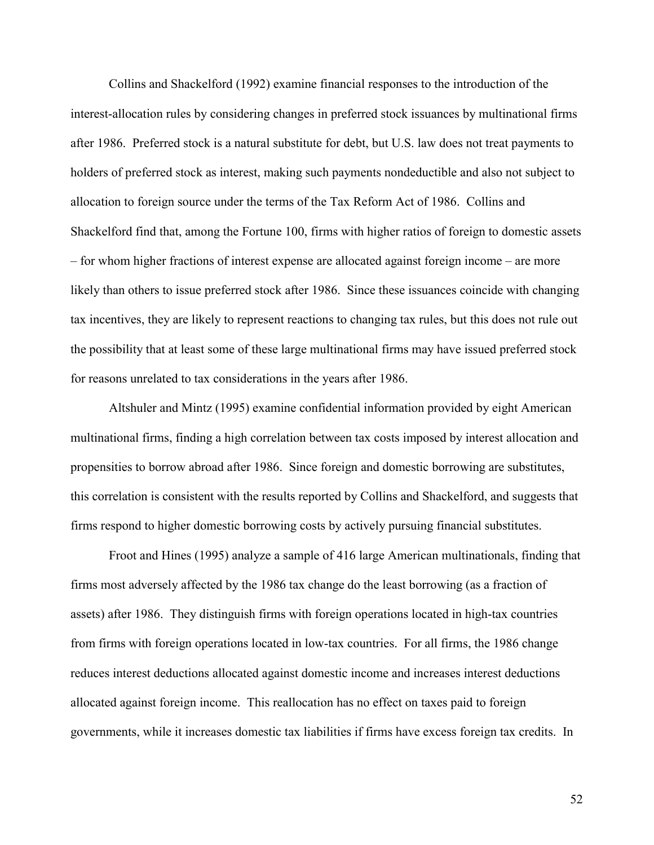Collins and Shackelford (1992) examine financial responses to the introduction of the interest-allocation rules by considering changes in preferred stock issuances by multinational firms after 1986. Preferred stock is a natural substitute for debt, but U.S. law does not treat payments to holders of preferred stock as interest, making such payments nondeductible and also not subject to allocation to foreign source under the terms of the Tax Reform Act of 1986. Collins and Shackelford find that, among the Fortune 100, firms with higher ratios of foreign to domestic assets – for whom higher fractions of interest expense are allocated against foreign income – are more likely than others to issue preferred stock after 1986. Since these issuances coincide with changing tax incentives, they are likely to represent reactions to changing tax rules, but this does not rule out the possibility that at least some of these large multinational firms may have issued preferred stock for reasons unrelated to tax considerations in the years after 1986.

Altshuler and Mintz (1995) examine confidential information provided by eight American multinational firms, finding a high correlation between tax costs imposed by interest allocation and propensities to borrow abroad after 1986. Since foreign and domestic borrowing are substitutes, this correlation is consistent with the results reported by Collins and Shackelford, and suggests that firms respond to higher domestic borrowing costs by actively pursuing financial substitutes.

Froot and Hines (1995) analyze a sample of 416 large American multinationals, finding that firms most adversely affected by the 1986 tax change do the least borrowing (as a fraction of assets) after 1986. They distinguish firms with foreign operations located in high-tax countries from firms with foreign operations located in low-tax countries. For all firms, the 1986 change reduces interest deductions allocated against domestic income and increases interest deductions allocated against foreign income. This reallocation has no effect on taxes paid to foreign governments, while it increases domestic tax liabilities if firms have excess foreign tax credits. In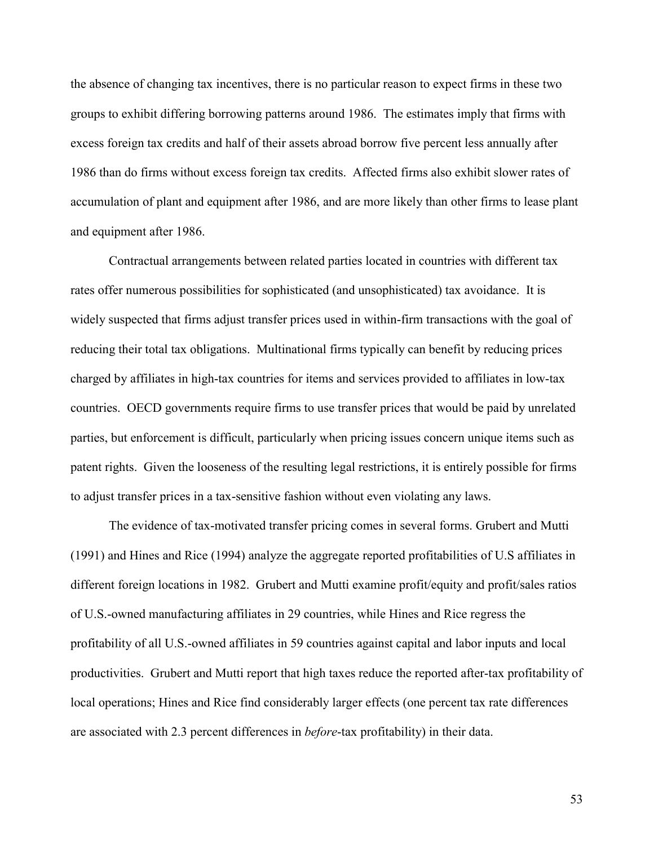the absence of changing tax incentives, there is no particular reason to expect firms in these two groups to exhibit differing borrowing patterns around 1986. The estimates imply that firms with excess foreign tax credits and half of their assets abroad borrow five percent less annually after 1986 than do firms without excess foreign tax credits. Affected firms also exhibit slower rates of accumulation of plant and equipment after 1986, and are more likely than other firms to lease plant and equipment after 1986.

Contractual arrangements between related parties located in countries with different tax rates offer numerous possibilities for sophisticated (and unsophisticated) tax avoidance. It is widely suspected that firms adjust transfer prices used in within-firm transactions with the goal of reducing their total tax obligations. Multinational firms typically can benefit by reducing prices charged by affiliates in high-tax countries for items and services provided to affiliates in low-tax countries. OECD governments require firms to use transfer prices that would be paid by unrelated parties, but enforcement is difficult, particularly when pricing issues concern unique items such as patent rights. Given the looseness of the resulting legal restrictions, it is entirely possible for firms to adjust transfer prices in a tax-sensitive fashion without even violating any laws.

The evidence of tax-motivated transfer pricing comes in several forms. Grubert and Mutti (1991) and Hines and Rice (1994) analyze the aggregate reported profitabilities of U.S affiliates in different foreign locations in 1982. Grubert and Mutti examine profit/equity and profit/sales ratios of U.S.-owned manufacturing affiliates in 29 countries, while Hines and Rice regress the profitability of all U.S.-owned affiliates in 59 countries against capital and labor inputs and local productivities. Grubert and Mutti report that high taxes reduce the reported after-tax profitability of local operations; Hines and Rice find considerably larger effects (one percent tax rate differences are associated with 2.3 percent differences in *before*-tax profitability) in their data.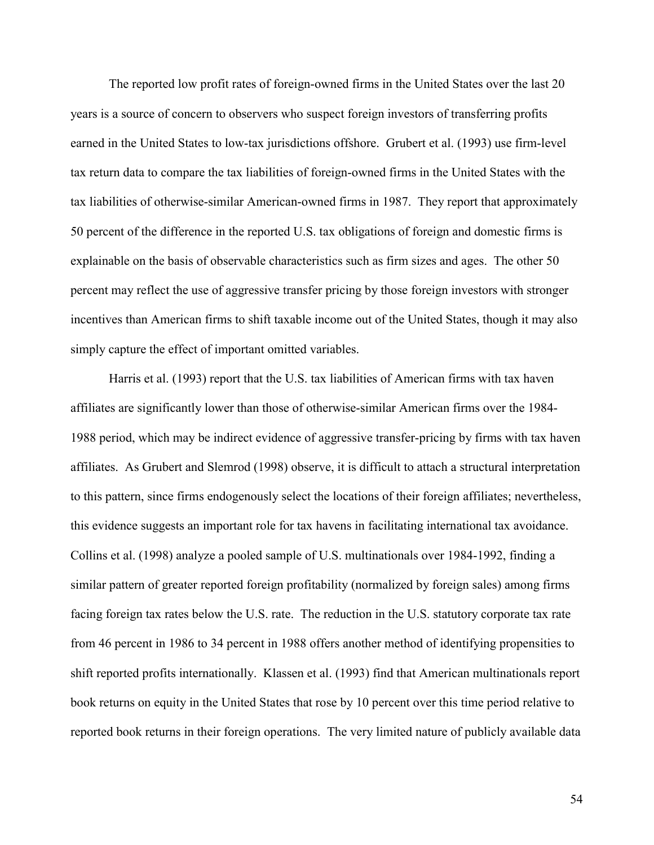The reported low profit rates of foreign-owned firms in the United States over the last 20 years is a source of concern to observers who suspect foreign investors of transferring profits earned in the United States to low-tax jurisdictions offshore. Grubert et al. (1993) use firm-level tax return data to compare the tax liabilities of foreign-owned firms in the United States with the tax liabilities of otherwise-similar American-owned firms in 1987. They report that approximately 50 percent of the difference in the reported U.S. tax obligations of foreign and domestic firms is explainable on the basis of observable characteristics such as firm sizes and ages. The other 50 percent may reflect the use of aggressive transfer pricing by those foreign investors with stronger incentives than American firms to shift taxable income out of the United States, though it may also simply capture the effect of important omitted variables.

Harris et al. (1993) report that the U.S. tax liabilities of American firms with tax haven affiliates are significantly lower than those of otherwise-similar American firms over the 1984- 1988 period, which may be indirect evidence of aggressive transfer-pricing by firms with tax haven affiliates. As Grubert and Slemrod (1998) observe, it is difficult to attach a structural interpretation to this pattern, since firms endogenously select the locations of their foreign affiliates; nevertheless, this evidence suggests an important role for tax havens in facilitating international tax avoidance. Collins et al. (1998) analyze a pooled sample of U.S. multinationals over 1984-1992, finding a similar pattern of greater reported foreign profitability (normalized by foreign sales) among firms facing foreign tax rates below the U.S. rate. The reduction in the U.S. statutory corporate tax rate from 46 percent in 1986 to 34 percent in 1988 offers another method of identifying propensities to shift reported profits internationally. Klassen et al. (1993) find that American multinationals report book returns on equity in the United States that rose by 10 percent over this time period relative to reported book returns in their foreign operations. The very limited nature of publicly available data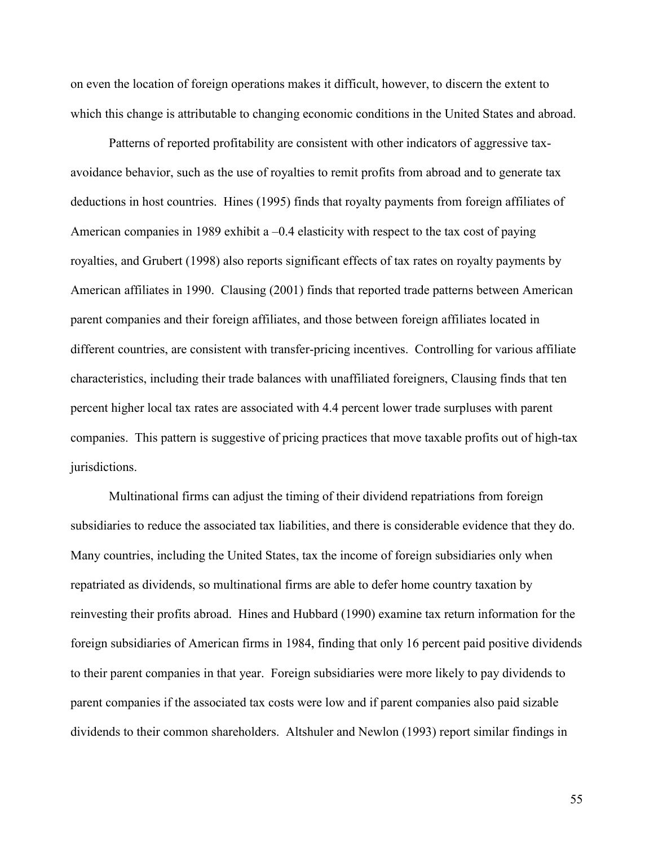on even the location of foreign operations makes it difficult, however, to discern the extent to which this change is attributable to changing economic conditions in the United States and abroad.

Patterns of reported profitability are consistent with other indicators of aggressive taxavoidance behavior, such as the use of royalties to remit profits from abroad and to generate tax deductions in host countries. Hines (1995) finds that royalty payments from foreign affiliates of American companies in 1989 exhibit a –0.4 elasticity with respect to the tax cost of paying royalties, and Grubert (1998) also reports significant effects of tax rates on royalty payments by American affiliates in 1990. Clausing (2001) finds that reported trade patterns between American parent companies and their foreign affiliates, and those between foreign affiliates located in different countries, are consistent with transfer-pricing incentives. Controlling for various affiliate characteristics, including their trade balances with unaffiliated foreigners, Clausing finds that ten percent higher local tax rates are associated with 4.4 percent lower trade surpluses with parent companies. This pattern is suggestive of pricing practices that move taxable profits out of high-tax jurisdictions.

Multinational firms can adjust the timing of their dividend repatriations from foreign subsidiaries to reduce the associated tax liabilities, and there is considerable evidence that they do. Many countries, including the United States, tax the income of foreign subsidiaries only when repatriated as dividends, so multinational firms are able to defer home country taxation by reinvesting their profits abroad. Hines and Hubbard (1990) examine tax return information for the foreign subsidiaries of American firms in 1984, finding that only 16 percent paid positive dividends to their parent companies in that year. Foreign subsidiaries were more likely to pay dividends to parent companies if the associated tax costs were low and if parent companies also paid sizable dividends to their common shareholders. Altshuler and Newlon (1993) report similar findings in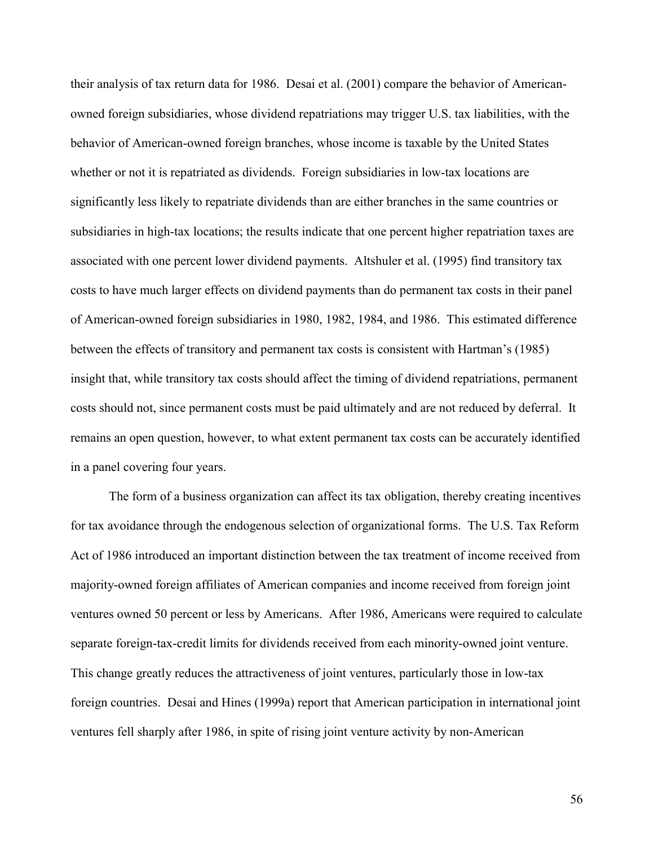their analysis of tax return data for 1986. Desai et al. (2001) compare the behavior of Americanowned foreign subsidiaries, whose dividend repatriations may trigger U.S. tax liabilities, with the behavior of American-owned foreign branches, whose income is taxable by the United States whether or not it is repatriated as dividends. Foreign subsidiaries in low-tax locations are significantly less likely to repatriate dividends than are either branches in the same countries or subsidiaries in high-tax locations; the results indicate that one percent higher repatriation taxes are associated with one percent lower dividend payments. Altshuler et al. (1995) find transitory tax costs to have much larger effects on dividend payments than do permanent tax costs in their panel of American-owned foreign subsidiaries in 1980, 1982, 1984, and 1986. This estimated difference between the effects of transitory and permanent tax costs is consistent with Hartman's (1985) insight that, while transitory tax costs should affect the timing of dividend repatriations, permanent costs should not, since permanent costs must be paid ultimately and are not reduced by deferral. It remains an open question, however, to what extent permanent tax costs can be accurately identified in a panel covering four years.

The form of a business organization can affect its tax obligation, thereby creating incentives for tax avoidance through the endogenous selection of organizational forms. The U.S. Tax Reform Act of 1986 introduced an important distinction between the tax treatment of income received from majority-owned foreign affiliates of American companies and income received from foreign joint ventures owned 50 percent or less by Americans. After 1986, Americans were required to calculate separate foreign-tax-credit limits for dividends received from each minority-owned joint venture. This change greatly reduces the attractiveness of joint ventures, particularly those in low-tax foreign countries. Desai and Hines (1999a) report that American participation in international joint ventures fell sharply after 1986, in spite of rising joint venture activity by non-American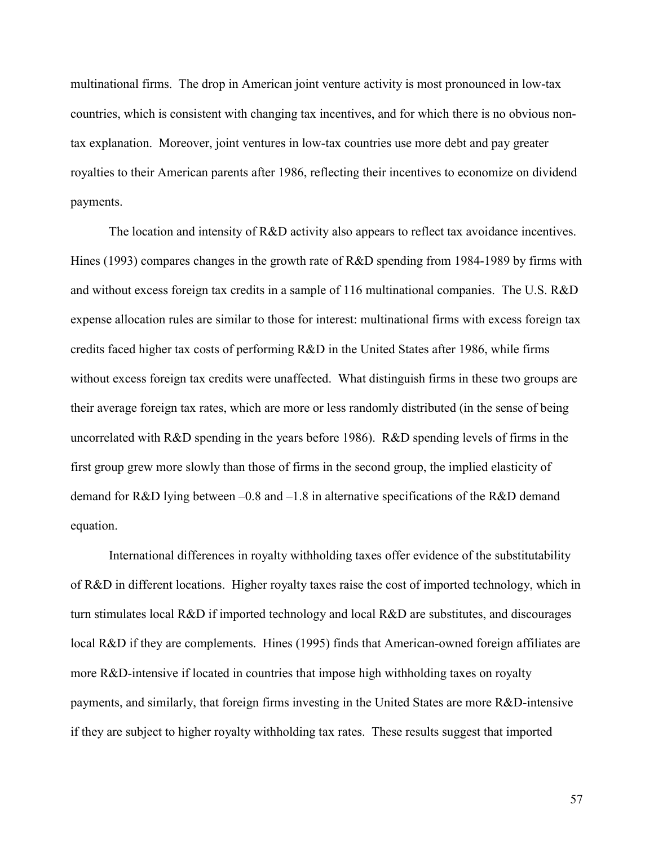multinational firms. The drop in American joint venture activity is most pronounced in low-tax countries, which is consistent with changing tax incentives, and for which there is no obvious nontax explanation. Moreover, joint ventures in low-tax countries use more debt and pay greater royalties to their American parents after 1986, reflecting their incentives to economize on dividend payments.

The location and intensity of R&D activity also appears to reflect tax avoidance incentives. Hines (1993) compares changes in the growth rate of R&D spending from 1984-1989 by firms with and without excess foreign tax credits in a sample of 116 multinational companies. The U.S. R&D expense allocation rules are similar to those for interest: multinational firms with excess foreign tax credits faced higher tax costs of performing R&D in the United States after 1986, while firms without excess foreign tax credits were unaffected. What distinguish firms in these two groups are their average foreign tax rates, which are more or less randomly distributed (in the sense of being uncorrelated with R&D spending in the years before 1986). R&D spending levels of firms in the first group grew more slowly than those of firms in the second group, the implied elasticity of demand for R&D lying between –0.8 and –1.8 in alternative specifications of the R&D demand equation.

 International differences in royalty withholding taxes offer evidence of the substitutability of R&D in different locations. Higher royalty taxes raise the cost of imported technology, which in turn stimulates local R&D if imported technology and local R&D are substitutes, and discourages local R&D if they are complements. Hines (1995) finds that American-owned foreign affiliates are more R&D-intensive if located in countries that impose high withholding taxes on royalty payments, and similarly, that foreign firms investing in the United States are more R&D-intensive if they are subject to higher royalty withholding tax rates. These results suggest that imported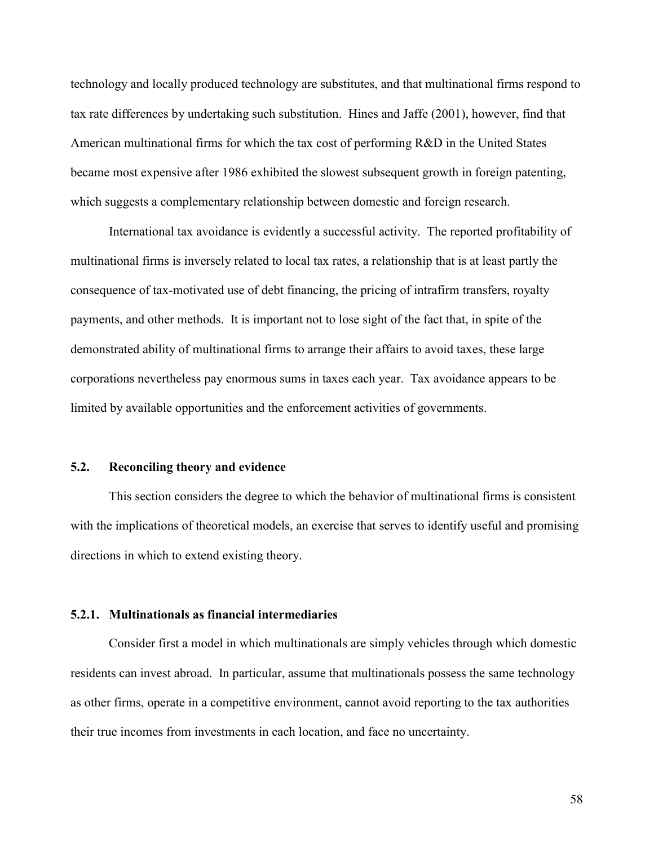technology and locally produced technology are substitutes, and that multinational firms respond to tax rate differences by undertaking such substitution. Hines and Jaffe (2001), however, find that American multinational firms for which the tax cost of performing R&D in the United States became most expensive after 1986 exhibited the slowest subsequent growth in foreign patenting, which suggests a complementary relationship between domestic and foreign research.

 International tax avoidance is evidently a successful activity. The reported profitability of multinational firms is inversely related to local tax rates, a relationship that is at least partly the consequence of tax-motivated use of debt financing, the pricing of intrafirm transfers, royalty payments, and other methods. It is important not to lose sight of the fact that, in spite of the demonstrated ability of multinational firms to arrange their affairs to avoid taxes, these large corporations nevertheless pay enormous sums in taxes each year. Tax avoidance appears to be limited by available opportunities and the enforcement activities of governments.

# **5.2. Reconciling theory and evidence**

 This section considers the degree to which the behavior of multinational firms is consistent with the implications of theoretical models, an exercise that serves to identify useful and promising directions in which to extend existing theory.

### **5.2.1. Multinationals as financial intermediaries**

Consider first a model in which multinationals are simply vehicles through which domestic residents can invest abroad. In particular, assume that multinationals possess the same technology as other firms, operate in a competitive environment, cannot avoid reporting to the tax authorities their true incomes from investments in each location, and face no uncertainty.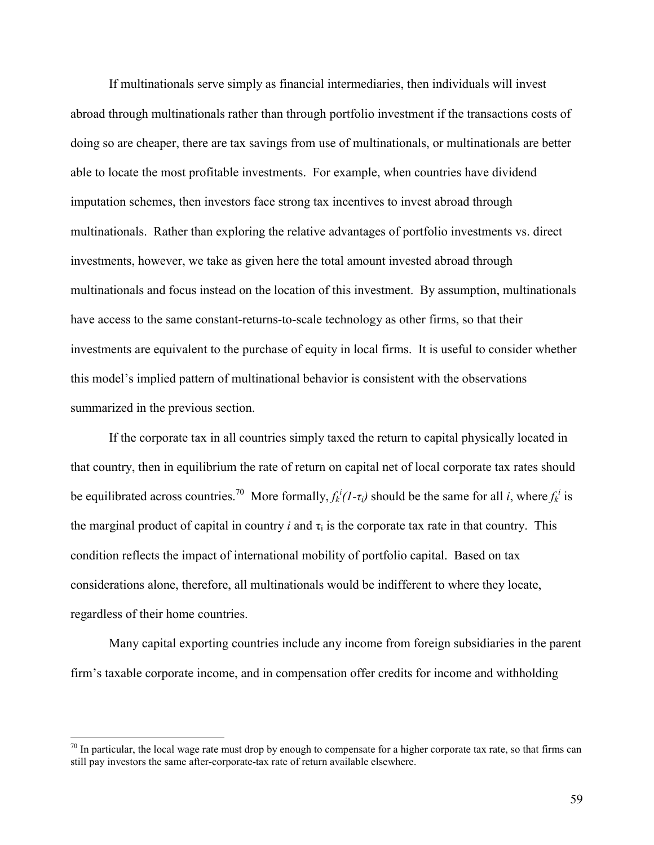If multinationals serve simply as financial intermediaries, then individuals will invest abroad through multinationals rather than through portfolio investment if the transactions costs of doing so are cheaper, there are tax savings from use of multinationals, or multinationals are better able to locate the most profitable investments. For example, when countries have dividend imputation schemes, then investors face strong tax incentives to invest abroad through multinationals. Rather than exploring the relative advantages of portfolio investments vs. direct investments, however, we take as given here the total amount invested abroad through multinationals and focus instead on the location of this investment. By assumption, multinationals have access to the same constant-returns-to-scale technology as other firms, so that their investments are equivalent to the purchase of equity in local firms. It is useful to consider whether this model's implied pattern of multinational behavior is consistent with the observations summarized in the previous section.

If the corporate tax in all countries simply taxed the return to capital physically located in that country, then in equilibrium the rate of return on capital net of local corporate tax rates should be equilibrated across countries.<sup>70</sup> More formally,  $f_k^i(I-\tau_i)$  should be the same for all *i*, where  $f_k^i$  is the marginal product of capital in country *i* and  $\tau_i$  is the corporate tax rate in that country. This condition reflects the impact of international mobility of portfolio capital. Based on tax considerations alone, therefore, all multinationals would be indifferent to where they locate, regardless of their home countries.

Many capital exporting countries include any income from foreign subsidiaries in the parent firm's taxable corporate income, and in compensation offer credits for income and withholding

 $70$  In particular, the local wage rate must drop by enough to compensate for a higher corporate tax rate, so that firms can still pay investors the same after-corporate-tax rate of return available elsewhere.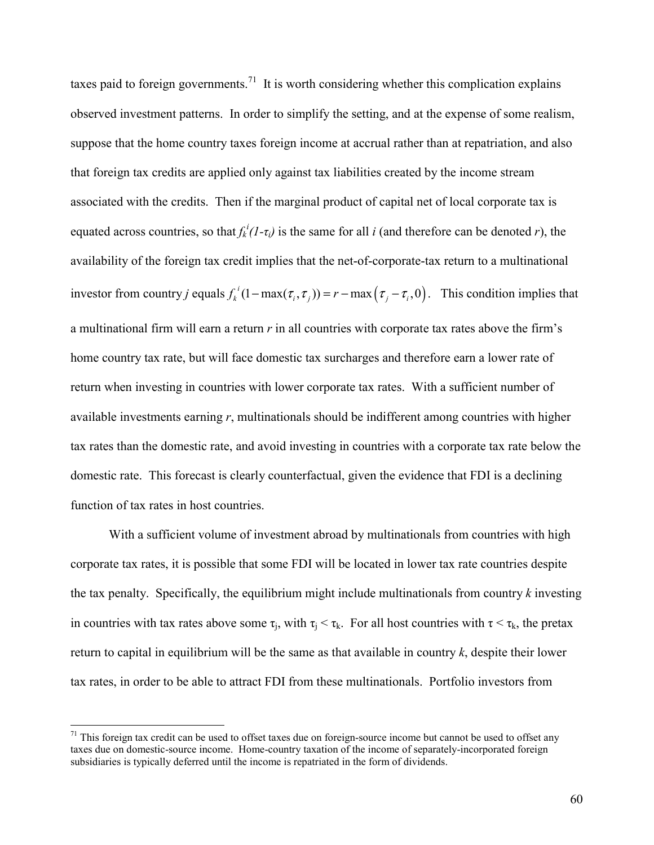taxes paid to foreign governments.<sup>71</sup> It is worth considering whether this complication explains observed investment patterns. In order to simplify the setting, and at the expense of some realism, suppose that the home country taxes foreign income at accrual rather than at repatriation, and also that foreign tax credits are applied only against tax liabilities created by the income stream associated with the credits. Then if the marginal product of capital net of local corporate tax is equated across countries, so that  $f_k^i(1-\tau_i)$  is the same for all *i* (and therefore can be denoted *r*), the availability of the foreign tax credit implies that the net-of-corporate-tax return to a multinational investor from country *j* equals  $f_k^i(1 - \max(\tau_i, \tau_j)) = r - \max(\tau_j - \tau_i, 0)$ . This condition implies that a multinational firm will earn a return *r* in all countries with corporate tax rates above the firm's home country tax rate, but will face domestic tax surcharges and therefore earn a lower rate of return when investing in countries with lower corporate tax rates. With a sufficient number of available investments earning *r*, multinationals should be indifferent among countries with higher tax rates than the domestic rate, and avoid investing in countries with a corporate tax rate below the domestic rate. This forecast is clearly counterfactual, given the evidence that FDI is a declining function of tax rates in host countries.

With a sufficient volume of investment abroad by multinationals from countries with high corporate tax rates, it is possible that some FDI will be located in lower tax rate countries despite the tax penalty. Specifically, the equilibrium might include multinationals from country *k* investing in countries with tax rates above some  $\tau_i$ , with  $\tau_i < \tau_k$ . For all host countries with  $\tau < \tau_k$ , the pretax return to capital in equilibrium will be the same as that available in country *k*, despite their lower tax rates, in order to be able to attract FDI from these multinationals. Portfolio investors from

 $71$  This foreign tax credit can be used to offset taxes due on foreign-source income but cannot be used to offset any taxes due on domestic-source income. Home-country taxation of the income of separately-incorporated foreign subsidiaries is typically deferred until the income is repatriated in the form of dividends.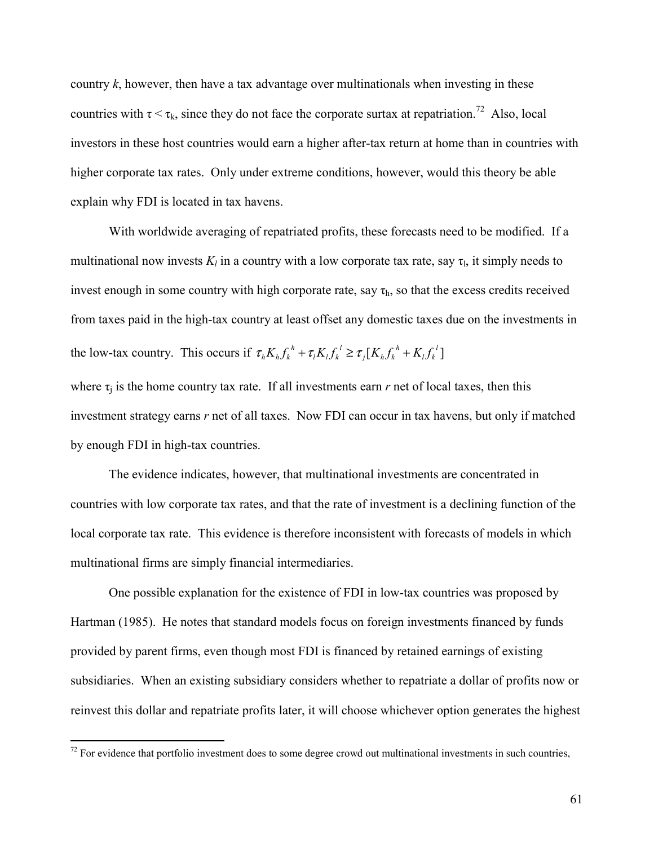country *k*, however, then have a tax advantage over multinationals when investing in these countries with  $\tau < \tau_k$ , since they do not face the corporate surtax at repatriation.<sup>72</sup> Also, local investors in these host countries would earn a higher after-tax return at home than in countries with higher corporate tax rates. Only under extreme conditions, however, would this theory be able explain why FDI is located in tax havens.

With worldwide averaging of repatriated profits, these forecasts need to be modified. If a multinational now invests  $K_l$  in a country with a low corporate tax rate, say  $\tau_l$ , it simply needs to invest enough in some country with high corporate rate, say  $\tau_h$ , so that the excess credits received from taxes paid in the high-tax country at least offset any domestic taxes due on the investments in the low-tax country. This occurs if  $\tau_h K_h f_k^h + \tau_l K_l f_k^l \ge \tau_j [K_h f_k^h + K_l f_k^l]$ 

where  $\tau_i$  is the home country tax rate. If all investments earn *r* net of local taxes, then this investment strategy earns *r* net of all taxes. Now FDI can occur in tax havens, but only if matched by enough FDI in high-tax countries.

The evidence indicates, however, that multinational investments are concentrated in countries with low corporate tax rates, and that the rate of investment is a declining function of the local corporate tax rate. This evidence is therefore inconsistent with forecasts of models in which multinational firms are simply financial intermediaries.

One possible explanation for the existence of FDI in low-tax countries was proposed by Hartman (1985). He notes that standard models focus on foreign investments financed by funds provided by parent firms, even though most FDI is financed by retained earnings of existing subsidiaries. When an existing subsidiary considers whether to repatriate a dollar of profits now or reinvest this dollar and repatriate profits later, it will choose whichever option generates the highest

 $72$  For evidence that portfolio investment does to some degree crowd out multinational investments in such countries,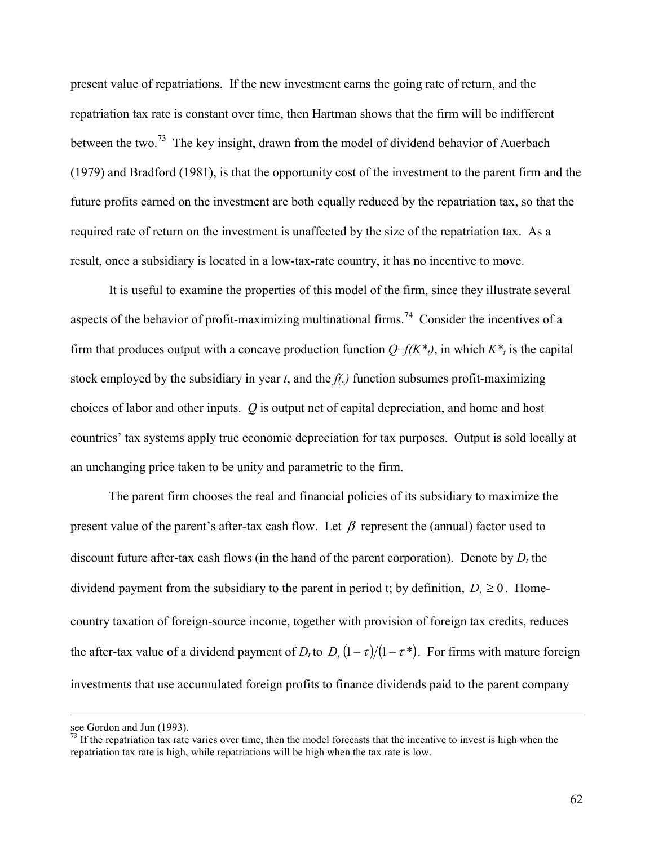present value of repatriations. If the new investment earns the going rate of return, and the repatriation tax rate is constant over time, then Hartman shows that the firm will be indifferent between the two.<sup>73</sup> The key insight, drawn from the model of dividend behavior of Auerbach (1979) and Bradford (1981), is that the opportunity cost of the investment to the parent firm and the future profits earned on the investment are both equally reduced by the repatriation tax, so that the required rate of return on the investment is unaffected by the size of the repatriation tax. As a result, once a subsidiary is located in a low-tax-rate country, it has no incentive to move.

 It is useful to examine the properties of this model of the firm, since they illustrate several aspects of the behavior of profit-maximizing multinational firms.<sup>74</sup> Consider the incentives of a firm that produces output with a concave production function  $Q=f(K^*)$ , in which  $K^*$  is the capital stock employed by the subsidiary in year *t*, and the *f(.)* function subsumes profit-maximizing choices of labor and other inputs. *Q* is output net of capital depreciation, and home and host countries' tax systems apply true economic depreciation for tax purposes. Output is sold locally at an unchanging price taken to be unity and parametric to the firm.

The parent firm chooses the real and financial policies of its subsidiary to maximize the present value of the parent's after-tax cash flow. Let  $\beta$  represent the (annual) factor used to discount future after-tax cash flows (in the hand of the parent corporation). Denote by  $D_t$  the dividend payment from the subsidiary to the parent in period t; by definition,  $D_t \ge 0$ . Homecountry taxation of foreign-source income, together with provision of foreign tax credits, reduces the after-tax value of a dividend payment of *D<sub>t</sub>* to *D<sub>t</sub>* ( $1-\tau$ )/( $1-\tau$ <sup>\*</sup>). For firms with mature foreign investments that use accumulated foreign profits to finance dividends paid to the parent company

see Gordon and Jun (1993).

 $73$  If the repatriation tax rate varies over time, then the model forecasts that the incentive to invest is high when the repatriation tax rate is high, while repatriations will be high when the tax rate is low.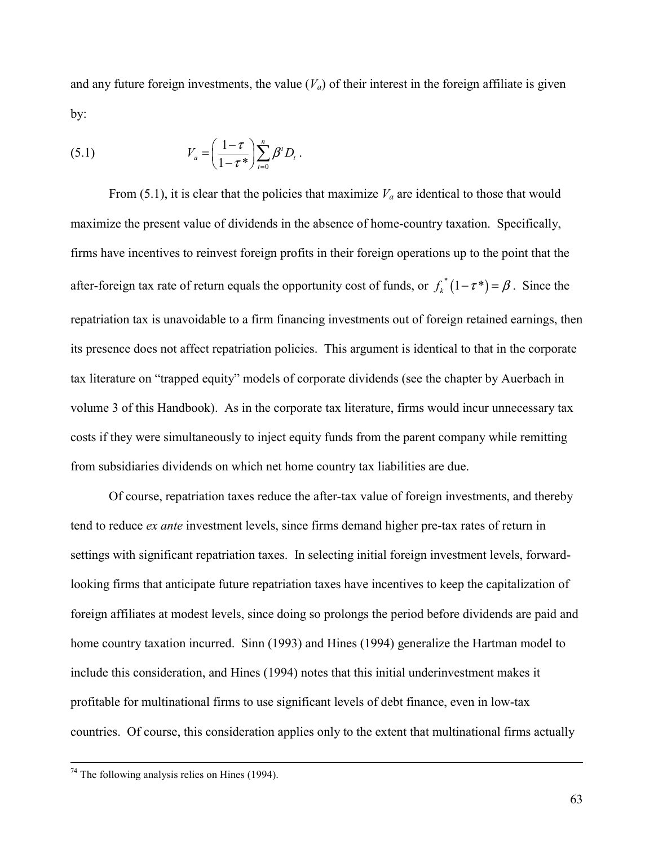and any future foreign investments, the value  $(V_a)$  of their interest in the foreign affiliate is given by:

(5.1) 
$$
V_a = \left(\frac{1-\tau}{1-\tau^*}\right) \sum_{t=0}^n \beta^t D_t.
$$

From (5.1), it is clear that the policies that maximize  $V_a$  are identical to those that would maximize the present value of dividends in the absence of home-country taxation. Specifically, firms have incentives to reinvest foreign profits in their foreign operations up to the point that the after-foreign tax rate of return equals the opportunity cost of funds, or  $f_k^*(1 - \tau^*) = \beta$ . Since the repatriation tax is unavoidable to a firm financing investments out of foreign retained earnings, then its presence does not affect repatriation policies. This argument is identical to that in the corporate tax literature on "trapped equity" models of corporate dividends (see the chapter by Auerbach in volume 3 of this Handbook). As in the corporate tax literature, firms would incur unnecessary tax costs if they were simultaneously to inject equity funds from the parent company while remitting from subsidiaries dividends on which net home country tax liabilities are due.

Of course, repatriation taxes reduce the after-tax value of foreign investments, and thereby tend to reduce *ex ante* investment levels, since firms demand higher pre-tax rates of return in settings with significant repatriation taxes. In selecting initial foreign investment levels, forwardlooking firms that anticipate future repatriation taxes have incentives to keep the capitalization of foreign affiliates at modest levels, since doing so prolongs the period before dividends are paid and home country taxation incurred. Sinn (1993) and Hines (1994) generalize the Hartman model to include this consideration, and Hines (1994) notes that this initial underinvestment makes it profitable for multinational firms to use significant levels of debt finance, even in low-tax countries. Of course, this consideration applies only to the extent that multinational firms actually

 $74$  The following analysis relies on Hines (1994).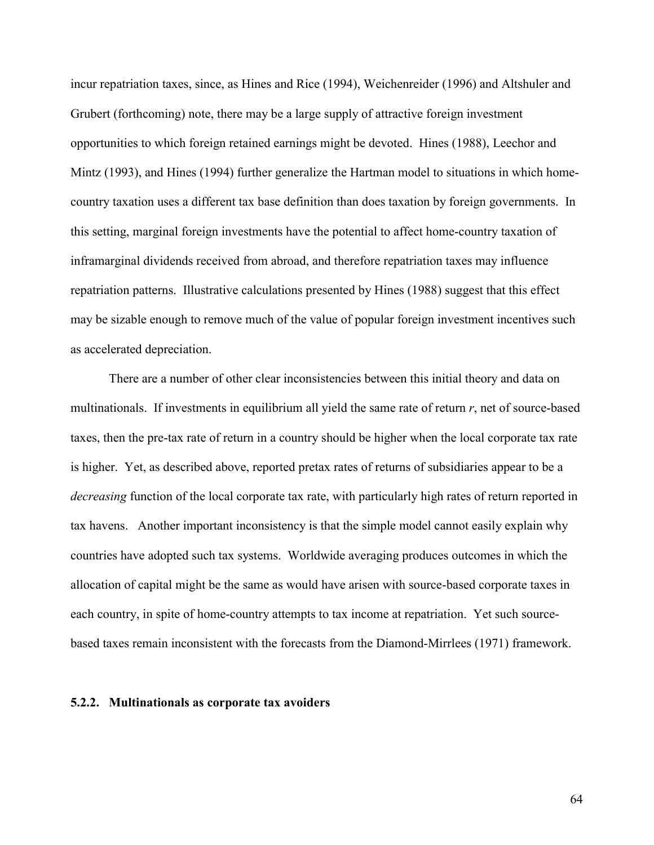incur repatriation taxes, since, as Hines and Rice (1994), Weichenreider (1996) and Altshuler and Grubert (forthcoming) note, there may be a large supply of attractive foreign investment opportunities to which foreign retained earnings might be devoted. Hines (1988), Leechor and Mintz (1993), and Hines (1994) further generalize the Hartman model to situations in which homecountry taxation uses a different tax base definition than does taxation by foreign governments. In this setting, marginal foreign investments have the potential to affect home-country taxation of inframarginal dividends received from abroad, and therefore repatriation taxes may influence repatriation patterns. Illustrative calculations presented by Hines (1988) suggest that this effect may be sizable enough to remove much of the value of popular foreign investment incentives such as accelerated depreciation.

 There are a number of other clear inconsistencies between this initial theory and data on multinationals. If investments in equilibrium all yield the same rate of return *r*, net of source-based taxes, then the pre-tax rate of return in a country should be higher when the local corporate tax rate is higher. Yet, as described above, reported pretax rates of returns of subsidiaries appear to be a *decreasing* function of the local corporate tax rate, with particularly high rates of return reported in tax havens. Another important inconsistency is that the simple model cannot easily explain why countries have adopted such tax systems. Worldwide averaging produces outcomes in which the allocation of capital might be the same as would have arisen with source-based corporate taxes in each country, in spite of home-country attempts to tax income at repatriation. Yet such sourcebased taxes remain inconsistent with the forecasts from the Diamond-Mirrlees (1971) framework.

#### **5.2.2. Multinationals as corporate tax avoiders**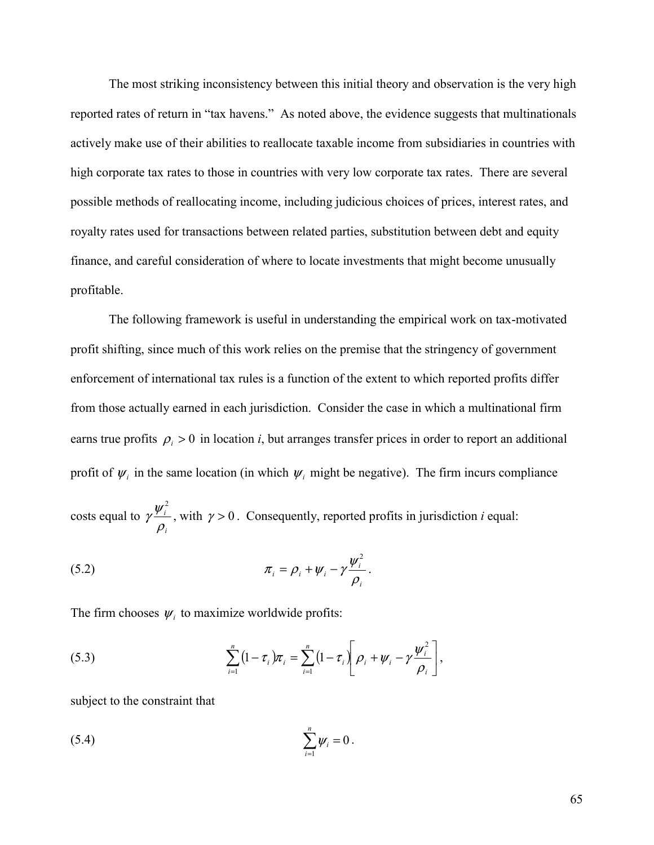The most striking inconsistency between this initial theory and observation is the very high reported rates of return in "tax havens." As noted above, the evidence suggests that multinationals actively make use of their abilities to reallocate taxable income from subsidiaries in countries with high corporate tax rates to those in countries with very low corporate tax rates. There are several possible methods of reallocating income, including judicious choices of prices, interest rates, and royalty rates used for transactions between related parties, substitution between debt and equity finance, and careful consideration of where to locate investments that might become unusually profitable.

 The following framework is useful in understanding the empirical work on tax-motivated profit shifting, since much of this work relies on the premise that the stringency of government enforcement of international tax rules is a function of the extent to which reported profits differ from those actually earned in each jurisdiction. Consider the case in which a multinational firm earns true profits  $\rho_i > 0$  in location *i*, but arranges transfer prices in order to report an additional profit of  $\psi_i$  in the same location (in which  $\psi_i$  might be negative). The firm incurs compliance

costs equal to *i i* ρ  $\gamma \frac{\psi}{\sqrt{\pi}}$ 2 , with  $\gamma > 0$ . Consequently, reported profits in jurisdiction *i* equal:

(5.2) 
$$
\pi_i = \rho_i + \psi_i - \gamma \frac{\psi_i^2}{\rho_i}.
$$

The firm chooses  $\psi_i$  to maximize worldwide profits:

(5.3) 
$$
\sum_{i=1}^{n} (1 - \tau_i) \pi_i = \sum_{i=1}^{n} (1 - \tau_i) \left[ \rho_i + \psi_i - \gamma \frac{\psi_i^2}{\rho_i} \right],
$$

subject to the constraint that

$$
(5.4) \qquad \qquad \sum_{i=1}^n \psi_i = 0 \, .
$$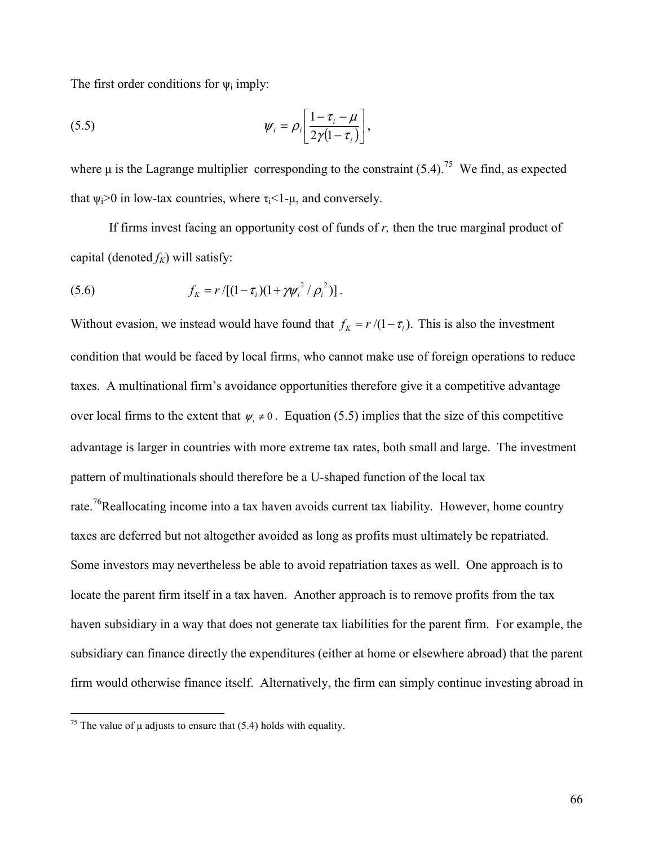The first order conditions for  $\psi_i$  imply:

(5.5) 
$$
\psi_i = \rho_i \left[ \frac{1 - \tau_i - \mu}{2\gamma(1 - \tau_i)} \right],
$$

where  $\mu$  is the Lagrange multiplier corresponding to the constraint (5.4).<sup>75</sup> We find, as expected that  $\psi_i>0$  in low-tax countries, where  $\tau_i<1$ - $\mu$ , and conversely.

If firms invest facing an opportunity cost of funds of *r,* then the true marginal product of capital (denoted  $f_K$ ) will satisfy:

(5.6) 
$$
f_K = r / [(1 - \tau_i)(1 + \gamma \psi_i^2 / \rho_i^2)].
$$

Without evasion, we instead would have found that  $f_k = r/(1 - \tau_i)$ . This is also the investment condition that would be faced by local firms, who cannot make use of foreign operations to reduce taxes. A multinational firm's avoidance opportunities therefore give it a competitive advantage over local firms to the extent that  $\psi_i \neq 0$ . Equation (5.5) implies that the size of this competitive advantage is larger in countries with more extreme tax rates, both small and large. The investment pattern of multinationals should therefore be a U-shaped function of the local tax rate.<sup>76</sup>Reallocating income into a tax haven avoids current tax liability. However, home country taxes are deferred but not altogether avoided as long as profits must ultimately be repatriated. Some investors may nevertheless be able to avoid repatriation taxes as well. One approach is to locate the parent firm itself in a tax haven. Another approach is to remove profits from the tax haven subsidiary in a way that does not generate tax liabilities for the parent firm. For example, the subsidiary can finance directly the expenditures (either at home or elsewhere abroad) that the parent firm would otherwise finance itself. Alternatively, the firm can simply continue investing abroad in

<sup>&</sup>lt;sup>75</sup> The value of  $\mu$  adjusts to ensure that (5.4) holds with equality.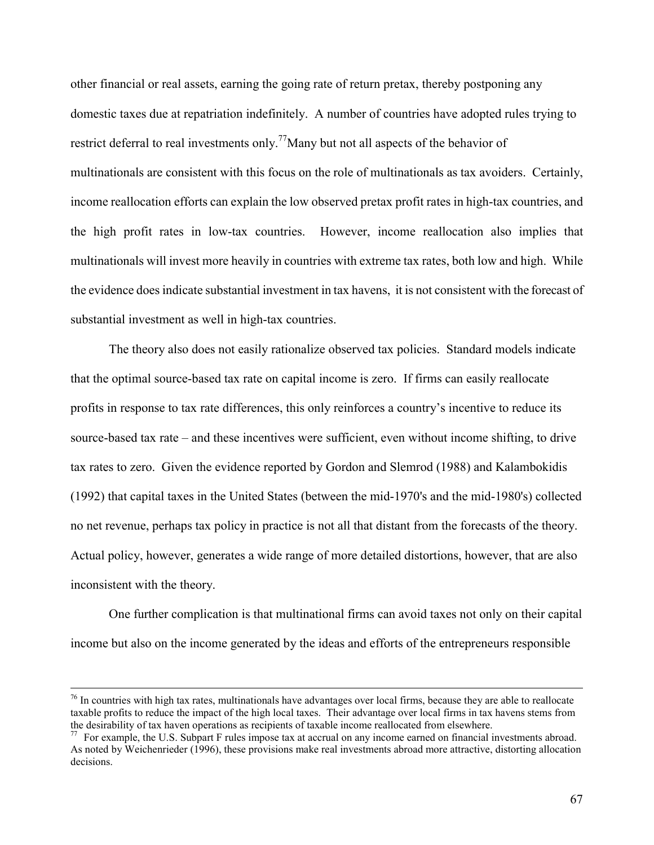other financial or real assets, earning the going rate of return pretax, thereby postponing any domestic taxes due at repatriation indefinitely. A number of countries have adopted rules trying to restrict deferral to real investments only.<sup>77</sup>Many but not all aspects of the behavior of multinationals are consistent with this focus on the role of multinationals as tax avoiders. Certainly, income reallocation efforts can explain the low observed pretax profit rates in high-tax countries, and the high profit rates in low-tax countries. However, income reallocation also implies that multinationals will invest more heavily in countries with extreme tax rates, both low and high. While the evidence does indicate substantial investment in tax havens, it is not consistent with the forecast of substantial investment as well in high-tax countries.

The theory also does not easily rationalize observed tax policies. Standard models indicate that the optimal source-based tax rate on capital income is zero. If firms can easily reallocate profits in response to tax rate differences, this only reinforces a country's incentive to reduce its source-based tax rate – and these incentives were sufficient, even without income shifting, to drive tax rates to zero. Given the evidence reported by Gordon and Slemrod (1988) and Kalambokidis (1992) that capital taxes in the United States (between the mid-1970's and the mid-1980's) collected no net revenue, perhaps tax policy in practice is not all that distant from the forecasts of the theory. Actual policy, however, generates a wide range of more detailed distortions, however, that are also inconsistent with the theory.

One further complication is that multinational firms can avoid taxes not only on their capital income but also on the income generated by the ideas and efforts of the entrepreneurs responsible

 $76$  In countries with high tax rates, multinationals have advantages over local firms, because they are able to reallocate taxable profits to reduce the impact of the high local taxes. Their advantage over local firms in tax havens stems from the desirability of tax haven operations as recipients of taxable income reallocated from elsewhere.<br><sup>77</sup> For example, the U.S. Subpart F rules impose tax at accrual on any income earned on financial investments abroad.

As noted by Weichenrieder (1996), these provisions make real investments abroad more attractive, distorting allocation decisions.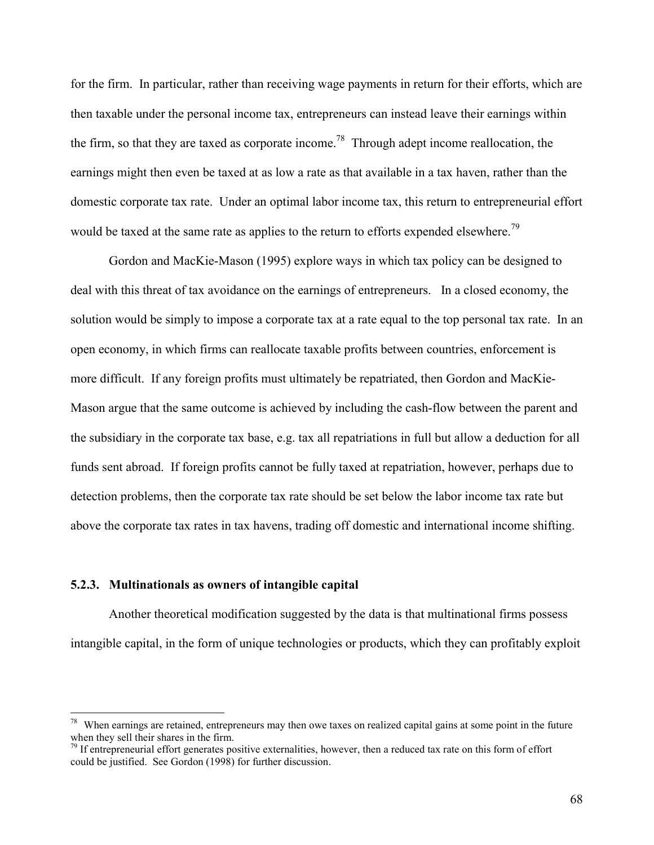for the firm. In particular, rather than receiving wage payments in return for their efforts, which are then taxable under the personal income tax, entrepreneurs can instead leave their earnings within the firm, so that they are taxed as corporate income.<sup>78</sup> Through adept income reallocation, the earnings might then even be taxed at as low a rate as that available in a tax haven, rather than the domestic corporate tax rate. Under an optimal labor income tax, this return to entrepreneurial effort would be taxed at the same rate as applies to the return to efforts expended elsewhere.<sup>79</sup>

Gordon and MacKie-Mason (1995) explore ways in which tax policy can be designed to deal with this threat of tax avoidance on the earnings of entrepreneurs. In a closed economy, the solution would be simply to impose a corporate tax at a rate equal to the top personal tax rate. In an open economy, in which firms can reallocate taxable profits between countries, enforcement is more difficult. If any foreign profits must ultimately be repatriated, then Gordon and MacKie-Mason argue that the same outcome is achieved by including the cash-flow between the parent and the subsidiary in the corporate tax base, e.g. tax all repatriations in full but allow a deduction for all funds sent abroad. If foreign profits cannot be fully taxed at repatriation, however, perhaps due to detection problems, then the corporate tax rate should be set below the labor income tax rate but above the corporate tax rates in tax havens, trading off domestic and international income shifting.

### **5.2.3. Multinationals as owners of intangible capital**

 $\overline{a}$ 

Another theoretical modification suggested by the data is that multinational firms possess intangible capital, in the form of unique technologies or products, which they can profitably exploit

 $78$  When earnings are retained, entrepreneurs may then owe taxes on realized capital gains at some point in the future when they sell their shares in the firm.

 $79$  If entrepreneurial effort generates positive externalities, however, then a reduced tax rate on this form of effort could be justified. See Gordon (1998) for further discussion.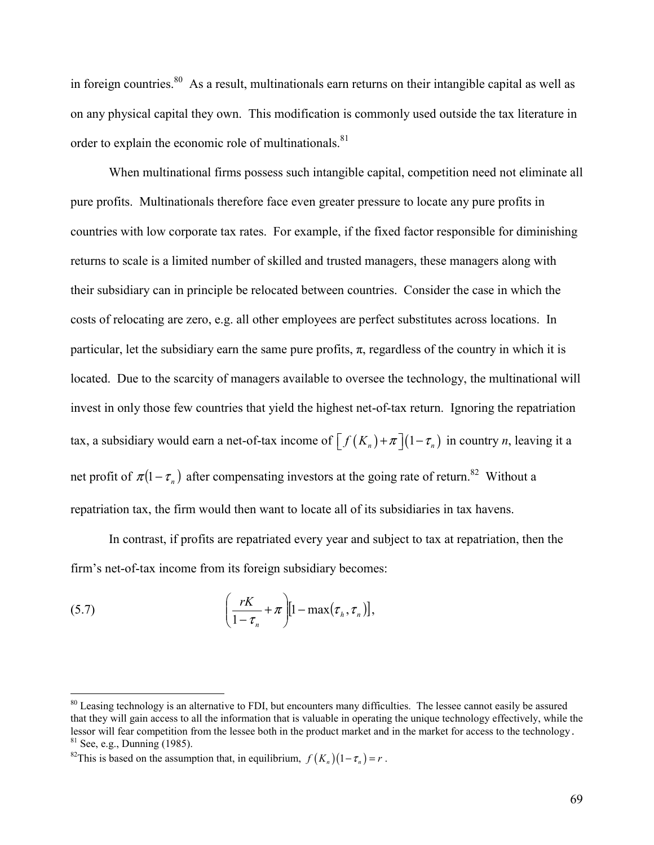in foreign countries.<sup>80</sup> As a result, multinationals earn returns on their intangible capital as well as on any physical capital they own. This modification is commonly used outside the tax literature in order to explain the economic role of multinationals.<sup>81</sup>

When multinational firms possess such intangible capital, competition need not eliminate all pure profits. Multinationals therefore face even greater pressure to locate any pure profits in countries with low corporate tax rates. For example, if the fixed factor responsible for diminishing returns to scale is a limited number of skilled and trusted managers, these managers along with their subsidiary can in principle be relocated between countries. Consider the case in which the costs of relocating are zero, e.g. all other employees are perfect substitutes across locations. In particular, let the subsidiary earn the same pure profits,  $\pi$ , regardless of the country in which it is located. Due to the scarcity of managers available to oversee the technology, the multinational will invest in only those few countries that yield the highest net-of-tax return. Ignoring the repatriation tax, a subsidiary would earn a net-of-tax income of  $\lceil f(K_n) + \pi \rceil (1 - \tau_n)$  in country *n*, leaving it a net profit of  $\pi (1 - \tau_n)$  after compensating investors at the going rate of return.<sup>82</sup> Without a repatriation tax, the firm would then want to locate all of its subsidiaries in tax havens.

 In contrast, if profits are repatriated every year and subject to tax at repatriation, then the firm's net-of-tax income from its foreign subsidiary becomes:

(5.7) 
$$
\left(\frac{rK}{1-\tau_n}+\pi\right)[1-\max(\tau_n,\tau_n)],
$$

 $80$  Leasing technology is an alternative to FDI, but encounters many difficulties. The lessee cannot easily be assured that they will gain access to all the information that is valuable in operating the unique technology effectively, while the lessor will fear competition from the lessee both in the product market and in the market for access to the technology.  $81$  See, e.g., Dunning (1985).

<sup>82</sup>This is based on the assumption that, in equilibrium,  $f(K_n)(1 - \tau_n) = r$ .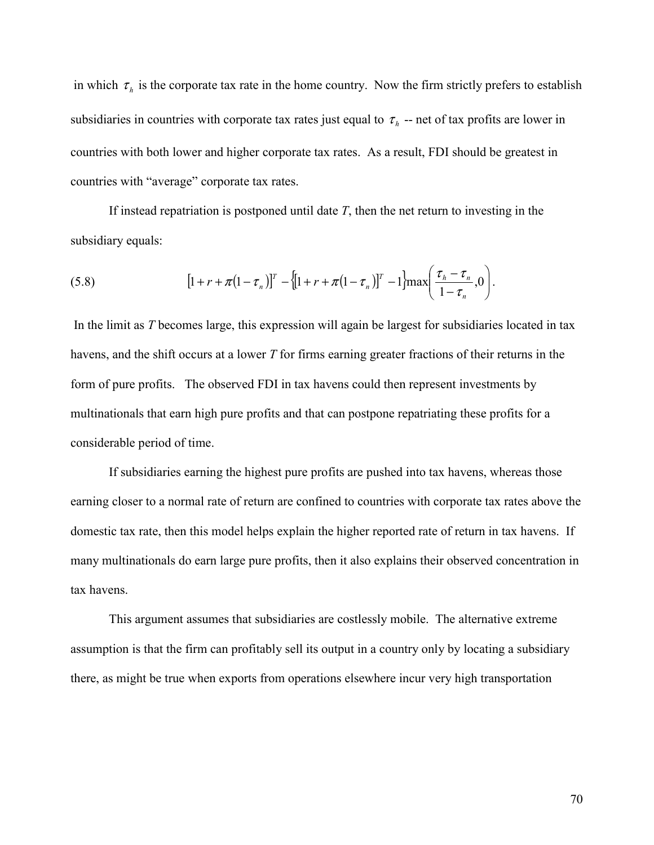in which  $\tau_h$  is the corporate tax rate in the home country. Now the firm strictly prefers to establish subsidiaries in countries with corporate tax rates just equal to  $\tau_h$  -- net of tax profits are lower in countries with both lower and higher corporate tax rates. As a result, FDI should be greatest in countries with "average" corporate tax rates.

 If instead repatriation is postponed until date *T*, then the net return to investing in the subsidiary equals:

(5.8) 
$$
[1 + r + \pi(1 - \tau_n)]^T - \{[1 + r + \pi(1 - \tau_n)]^T - 1\} \max\left(\frac{\tau_n - \tau_n}{1 - \tau_n}, 0\right).
$$

 In the limit as *T* becomes large, this expression will again be largest for subsidiaries located in tax havens, and the shift occurs at a lower *T* for firms earning greater fractions of their returns in the form of pure profits. The observed FDI in tax havens could then represent investments by multinationals that earn high pure profits and that can postpone repatriating these profits for a considerable period of time.

If subsidiaries earning the highest pure profits are pushed into tax havens, whereas those earning closer to a normal rate of return are confined to countries with corporate tax rates above the domestic tax rate, then this model helps explain the higher reported rate of return in tax havens. If many multinationals do earn large pure profits, then it also explains their observed concentration in tax havens.

This argument assumes that subsidiaries are costlessly mobile. The alternative extreme assumption is that the firm can profitably sell its output in a country only by locating a subsidiary there, as might be true when exports from operations elsewhere incur very high transportation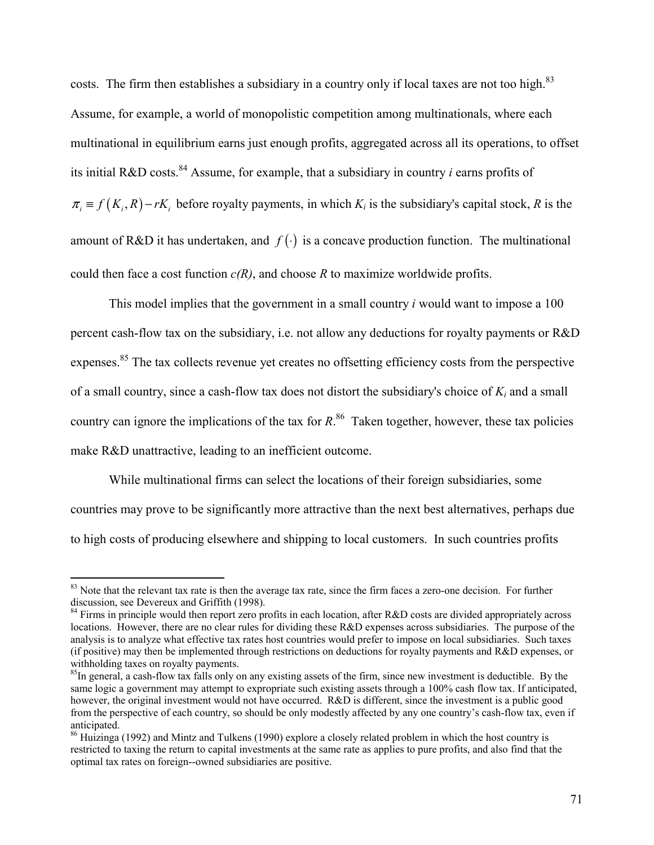costs. The firm then establishes a subsidiary in a country only if local taxes are not too high.<sup>83</sup> Assume, for example, a world of monopolistic competition among multinationals, where each multinational in equilibrium earns just enough profits, aggregated across all its operations, to offset its initial R&D costs.<sup>84</sup> Assume, for example, that a subsidiary in country *i* earns profits of  $\pi_i \equiv f(K_i, R) - rK_i$  before royalty payments, in which  $K_i$  is the subsidiary's capital stock, *R* is the amount of R&D it has undertaken, and  $f(.)$  is a concave production function. The multinational could then face a cost function *c(R)*, and choose *R* to maximize worldwide profits.

This model implies that the government in a small country *i* would want to impose a 100 percent cash-flow tax on the subsidiary, i.e. not allow any deductions for royalty payments or R&D expenses.<sup>85</sup> The tax collects revenue yet creates no offsetting efficiency costs from the perspective of a small country, since a cash-flow tax does not distort the subsidiary's choice of *Ki* and a small country can ignore the implications of the tax for  $R<sup>86</sup>$  Taken together, however, these tax policies make R&D unattractive, leading to an inefficient outcome.

While multinational firms can select the locations of their foreign subsidiaries, some countries may prove to be significantly more attractive than the next best alternatives, perhaps due to high costs of producing elsewhere and shipping to local customers. In such countries profits

 $\overline{a}$ 

 $83$  Note that the relevant tax rate is then the average tax rate, since the firm faces a zero-one decision. For further discussion, see Devereux and Griffith (1998).

 $84$  Firms in principle would then report zero profits in each location, after R&D costs are divided appropriately across locations. However, there are no clear rules for dividing these R&D expenses across subsidiaries. The purpose of the analysis is to analyze what effective tax rates host countries would prefer to impose on local subsidiaries. Such taxes (if positive) may then be implemented through restrictions on deductions for royalty payments and R&D expenses, or withholding taxes on royalty payments.

<sup>&</sup>lt;sup>85</sup>In general, a cash-flow tax falls only on any existing assets of the firm, since new investment is deductible. By the same logic a government may attempt to expropriate such existing assets through a 100% cash flow tax. If anticipated, however, the original investment would not have occurred. R&D is different, since the investment is a public good from the perspective of each country, so should be only modestly affected by any one country's cash-flow tax, even if anticipated.

 $86$  Huizinga (1992) and Mintz and Tulkens (1990) explore a closely related problem in which the host country is restricted to taxing the return to capital investments at the same rate as applies to pure profits, and also find that the optimal tax rates on foreign--owned subsidiaries are positive.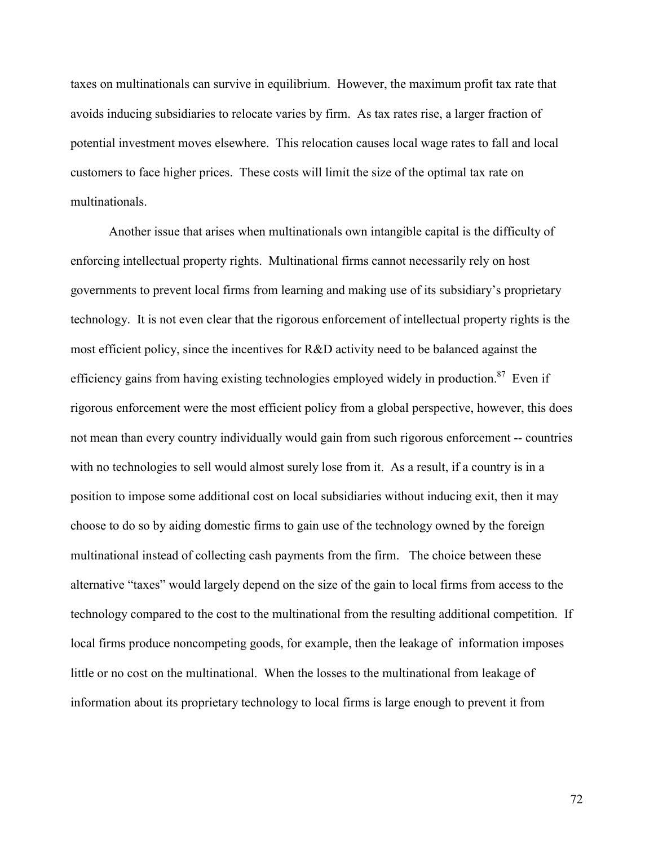taxes on multinationals can survive in equilibrium. However, the maximum profit tax rate that avoids inducing subsidiaries to relocate varies by firm. As tax rates rise, a larger fraction of potential investment moves elsewhere. This relocation causes local wage rates to fall and local customers to face higher prices. These costs will limit the size of the optimal tax rate on multinationals.

Another issue that arises when multinationals own intangible capital is the difficulty of enforcing intellectual property rights. Multinational firms cannot necessarily rely on host governments to prevent local firms from learning and making use of its subsidiary's proprietary technology. It is not even clear that the rigorous enforcement of intellectual property rights is the most efficient policy, since the incentives for R&D activity need to be balanced against the efficiency gains from having existing technologies employed widely in production.<sup>87</sup> Even if rigorous enforcement were the most efficient policy from a global perspective, however, this does not mean than every country individually would gain from such rigorous enforcement -- countries with no technologies to sell would almost surely lose from it. As a result, if a country is in a position to impose some additional cost on local subsidiaries without inducing exit, then it may choose to do so by aiding domestic firms to gain use of the technology owned by the foreign multinational instead of collecting cash payments from the firm. The choice between these alternative "taxes" would largely depend on the size of the gain to local firms from access to the technology compared to the cost to the multinational from the resulting additional competition. If local firms produce noncompeting goods, for example, then the leakage of information imposes little or no cost on the multinational. When the losses to the multinational from leakage of information about its proprietary technology to local firms is large enough to prevent it from

72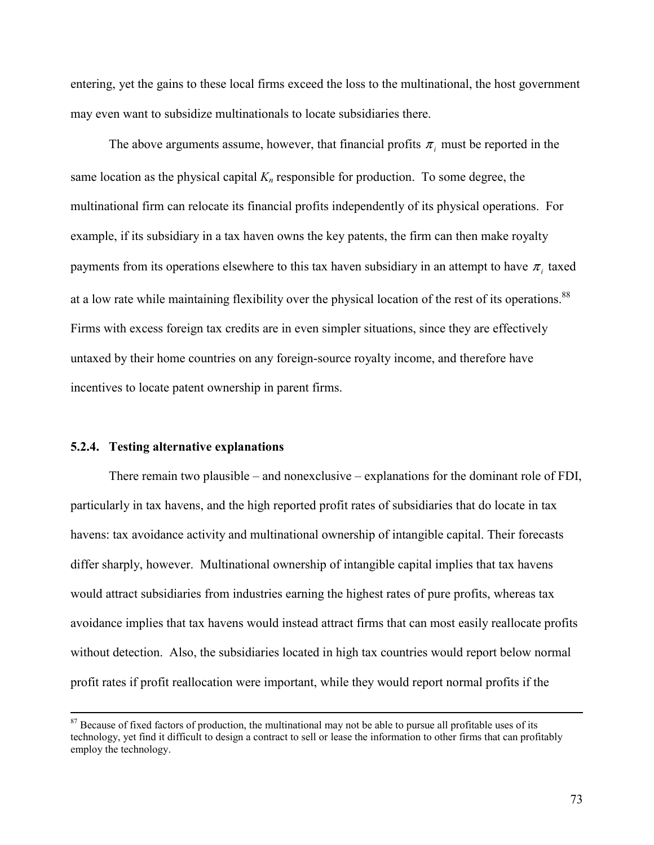entering, yet the gains to these local firms exceed the loss to the multinational, the host government may even want to subsidize multinationals to locate subsidiaries there.

The above arguments assume, however, that financial profits  $\pi$ , must be reported in the same location as the physical capital  $K_n$  responsible for production. To some degree, the multinational firm can relocate its financial profits independently of its physical operations. For example, if its subsidiary in a tax haven owns the key patents, the firm can then make royalty payments from its operations elsewhere to this tax haven subsidiary in an attempt to have  $\pi_i$  taxed at a low rate while maintaining flexibility over the physical location of the rest of its operations.<sup>88</sup> Firms with excess foreign tax credits are in even simpler situations, since they are effectively untaxed by their home countries on any foreign-source royalty income, and therefore have incentives to locate patent ownership in parent firms.

## **5.2.4. Testing alternative explanations**

There remain two plausible – and nonexclusive – explanations for the dominant role of FDI, particularly in tax havens, and the high reported profit rates of subsidiaries that do locate in tax havens: tax avoidance activity and multinational ownership of intangible capital. Their forecasts differ sharply, however. Multinational ownership of intangible capital implies that tax havens would attract subsidiaries from industries earning the highest rates of pure profits, whereas tax avoidance implies that tax havens would instead attract firms that can most easily reallocate profits without detection. Also, the subsidiaries located in high tax countries would report below normal profit rates if profit reallocation were important, while they would report normal profits if the

<sup>&</sup>lt;sup>87</sup> Because of fixed factors of production, the multinational may not be able to pursue all profitable uses of its technology, yet find it difficult to design a contract to sell or lease the information to other firms that can profitably employ the technology.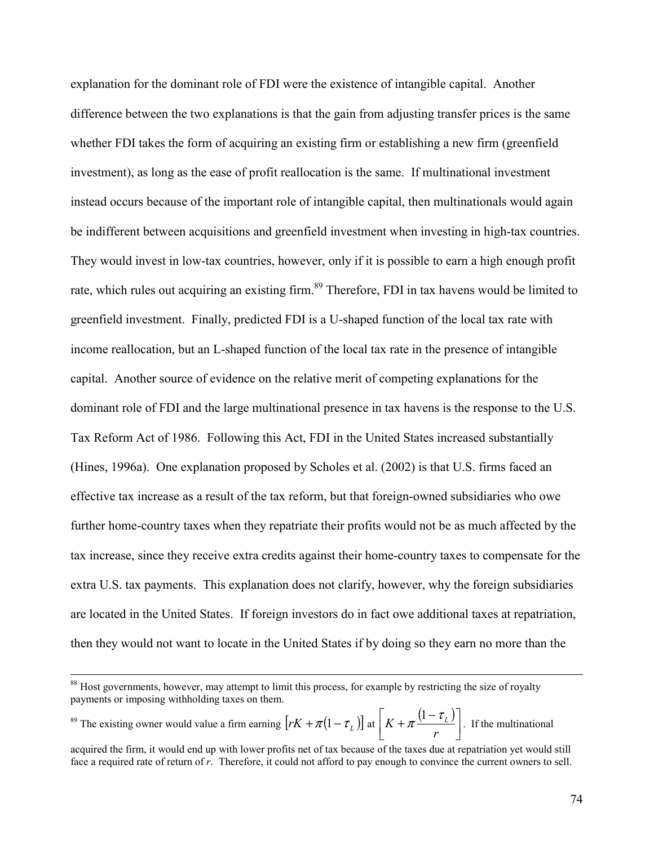explanation for the dominant role of FDI were the existence of intangible capital. Another difference between the two explanations is that the gain from adjusting transfer prices is the same whether FDI takes the form of acquiring an existing firm or establishing a new firm (greenfield investment), as long as the ease of profit reallocation is the same. If multinational investment instead occurs because of the important role of intangible capital, then multinationals would again be indifferent between acquisitions and greenfield investment when investing in high-tax countries. They would invest in low-tax countries, however, only if it is possible to earn a high enough profit rate, which rules out acquiring an existing firm.<sup>89</sup> Therefore, FDI in tax havens would be limited to greenfield investment. Finally, predicted FDI is a U-shaped function of the local tax rate with income reallocation, but an L-shaped function of the local tax rate in the presence of intangible capital. Another source of evidence on the relative merit of competing explanations for the dominant role of FDI and the large multinational presence in tax havens is the response to the U.S. Tax Reform Act of 1986. Following this Act, FDI in the United States increased substantially (Hines, 1996a). One explanation proposed by Scholes et al. (2002) is that U.S. firms faced an effective tax increase as a result of the tax reform, but that foreign-owned subsidiaries who owe further home-country taxes when they repatriate their profits would not be as much affected by the tax increase, since they receive extra credits against their home-country taxes to compensate for the extra U.S. tax payments. This explanation does not clarify, however, why the foreign subsidiaries are located in the United States. If foreign investors do in fact owe additional taxes at repatriation, then they would not want to locate in the United States if by doing so they earn no more than the

<sup>89</sup> The existing owner would value a firm earning  $\left[ rK + \pi (1 - \tau_L) \right]$  at  $\left[ K + \pi \frac{(1 - \tau_L)}{r} \right]$  $\left[ K + \pi \frac{(1-\ }{1-\ } ) \right]$ *r*  $K + \pi \frac{(1 - \tau_L)}{2}$ . If the multinational acquired the firm, it would end up with lower profits net of tax because of the taxes due at repatriation yet would still

face a required rate of return of *r*. Therefore, it could not afford to pay enough to convince the current owners to sell.

74

<sup>&</sup>lt;sup>88</sup> Host governments, however, may attempt to limit this process, for example by restricting the size of royalty payments or imposing withholding taxes on them.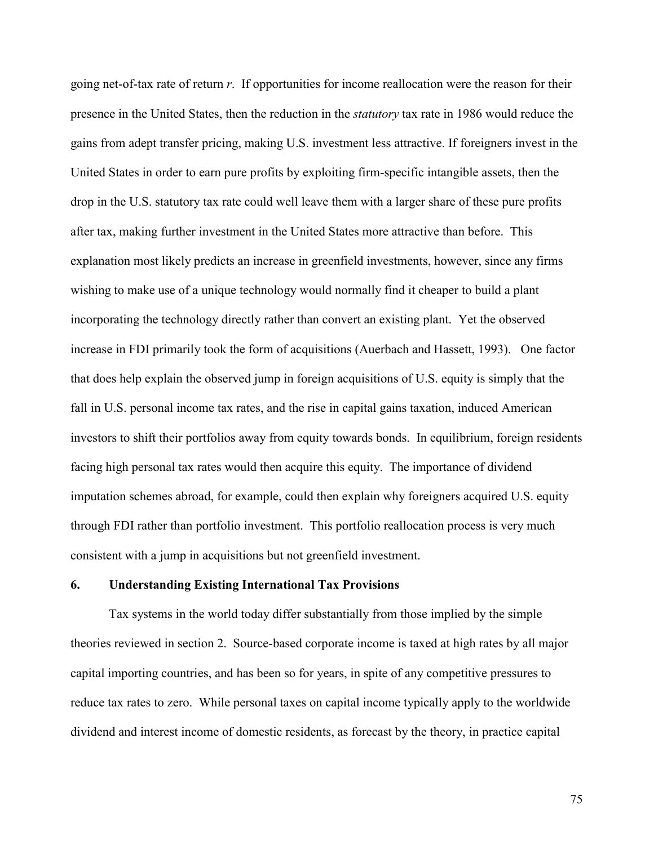going net-of-tax rate of return *r*. If opportunities for income reallocation were the reason for their presence in the United States, then the reduction in the *statutory* tax rate in 1986 would reduce the gains from adept transfer pricing, making U.S. investment less attractive. If foreigners invest in the United States in order to earn pure profits by exploiting firm-specific intangible assets, then the drop in the U.S. statutory tax rate could well leave them with a larger share of these pure profits after tax, making further investment in the United States more attractive than before. This explanation most likely predicts an increase in greenfield investments, however, since any firms wishing to make use of a unique technology would normally find it cheaper to build a plant incorporating the technology directly rather than convert an existing plant. Yet the observed increase in FDI primarily took the form of acquisitions (Auerbach and Hassett, 1993). One factor that does help explain the observed jump in foreign acquisitions of U.S. equity is simply that the fall in U.S. personal income tax rates, and the rise in capital gains taxation, induced American investors to shift their portfolios away from equity towards bonds. In equilibrium, foreign residents facing high personal tax rates would then acquire this equity. The importance of dividend imputation schemes abroad, for example, could then explain why foreigners acquired U.S. equity through FDI rather than portfolio investment. This portfolio reallocation process is very much consistent with a jump in acquisitions but not greenfield investment.

## **6. Understanding Existing International Tax Provisions**

Tax systems in the world today differ substantially from those implied by the simple theories reviewed in section 2. Source-based corporate income is taxed at high rates by all major capital importing countries, and has been so for years, in spite of any competitive pressures to reduce tax rates to zero. While personal taxes on capital income typically apply to the worldwide dividend and interest income of domestic residents, as forecast by the theory, in practice capital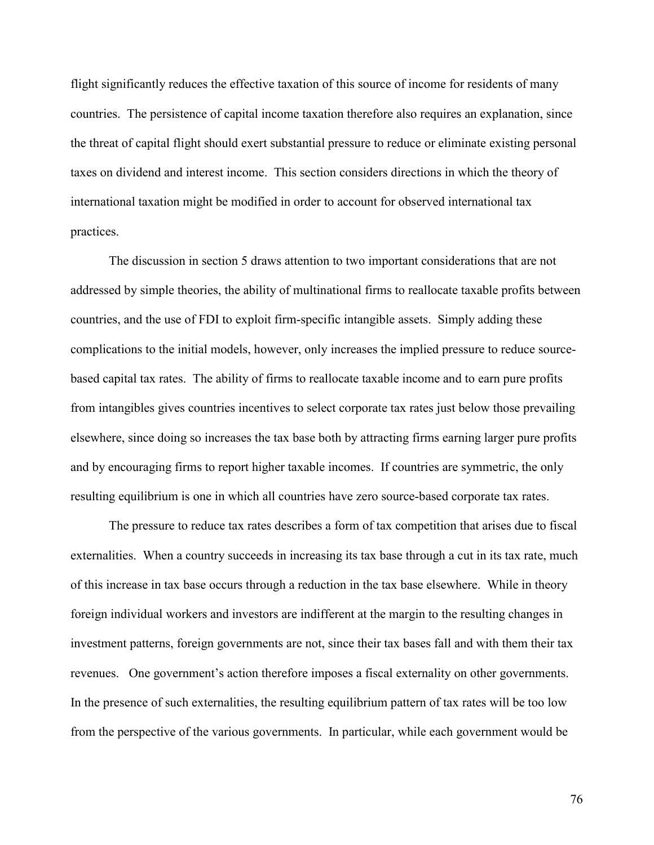flight significantly reduces the effective taxation of this source of income for residents of many countries. The persistence of capital income taxation therefore also requires an explanation, since the threat of capital flight should exert substantial pressure to reduce or eliminate existing personal taxes on dividend and interest income. This section considers directions in which the theory of international taxation might be modified in order to account for observed international tax practices.

The discussion in section 5 draws attention to two important considerations that are not addressed by simple theories, the ability of multinational firms to reallocate taxable profits between countries, and the use of FDI to exploit firm-specific intangible assets. Simply adding these complications to the initial models, however, only increases the implied pressure to reduce sourcebased capital tax rates. The ability of firms to reallocate taxable income and to earn pure profits from intangibles gives countries incentives to select corporate tax rates just below those prevailing elsewhere, since doing so increases the tax base both by attracting firms earning larger pure profits and by encouraging firms to report higher taxable incomes. If countries are symmetric, the only resulting equilibrium is one in which all countries have zero source-based corporate tax rates.

The pressure to reduce tax rates describes a form of tax competition that arises due to fiscal externalities. When a country succeeds in increasing its tax base through a cut in its tax rate, much of this increase in tax base occurs through a reduction in the tax base elsewhere. While in theory foreign individual workers and investors are indifferent at the margin to the resulting changes in investment patterns, foreign governments are not, since their tax bases fall and with them their tax revenues. One government's action therefore imposes a fiscal externality on other governments. In the presence of such externalities, the resulting equilibrium pattern of tax rates will be too low from the perspective of the various governments. In particular, while each government would be

76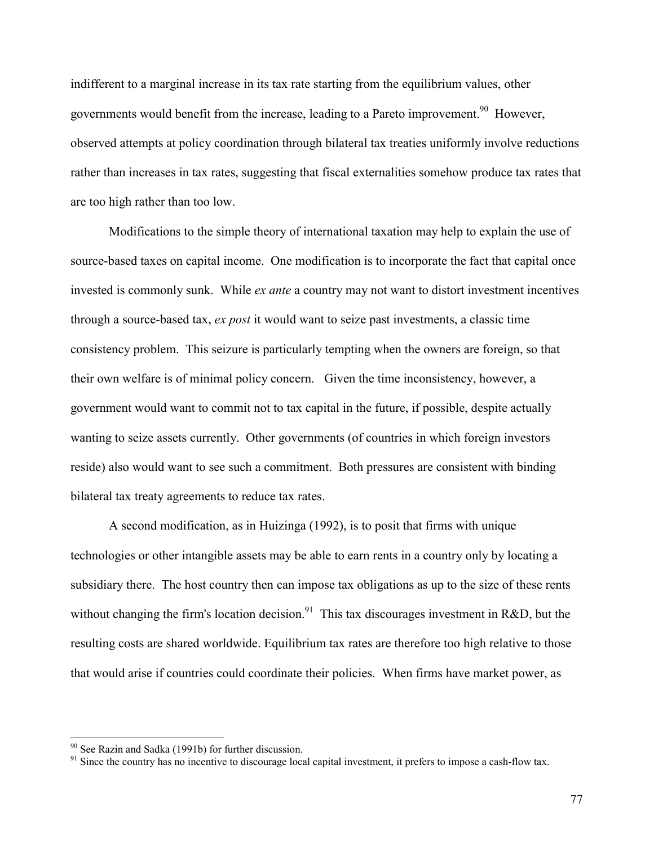indifferent to a marginal increase in its tax rate starting from the equilibrium values, other governments would benefit from the increase, leading to a Pareto improvement.<sup>90</sup> However, observed attempts at policy coordination through bilateral tax treaties uniformly involve reductions rather than increases in tax rates, suggesting that fiscal externalities somehow produce tax rates that are too high rather than too low.

Modifications to the simple theory of international taxation may help to explain the use of source-based taxes on capital income. One modification is to incorporate the fact that capital once invested is commonly sunk. While *ex ante* a country may not want to distort investment incentives through a source-based tax, *ex post* it would want to seize past investments, a classic time consistency problem. This seizure is particularly tempting when the owners are foreign, so that their own welfare is of minimal policy concern. Given the time inconsistency, however, a government would want to commit not to tax capital in the future, if possible, despite actually wanting to seize assets currently. Other governments (of countries in which foreign investors reside) also would want to see such a commitment. Both pressures are consistent with binding bilateral tax treaty agreements to reduce tax rates.

A second modification, as in Huizinga (1992), is to posit that firms with unique technologies or other intangible assets may be able to earn rents in a country only by locating a subsidiary there. The host country then can impose tax obligations as up to the size of these rents without changing the firm's location decision.<sup>91</sup> This tax discourages investment in R&D, but the resulting costs are shared worldwide. Equilibrium tax rates are therefore too high relative to those that would arise if countries could coordinate their policies. When firms have market power, as

 $\overline{a}$ 

<sup>&</sup>lt;sup>90</sup> See Razin and Sadka (1991b) for further discussion.

<sup>&</sup>lt;sup>91</sup> Since the country has no incentive to discourage local capital investment, it prefers to impose a cash-flow tax.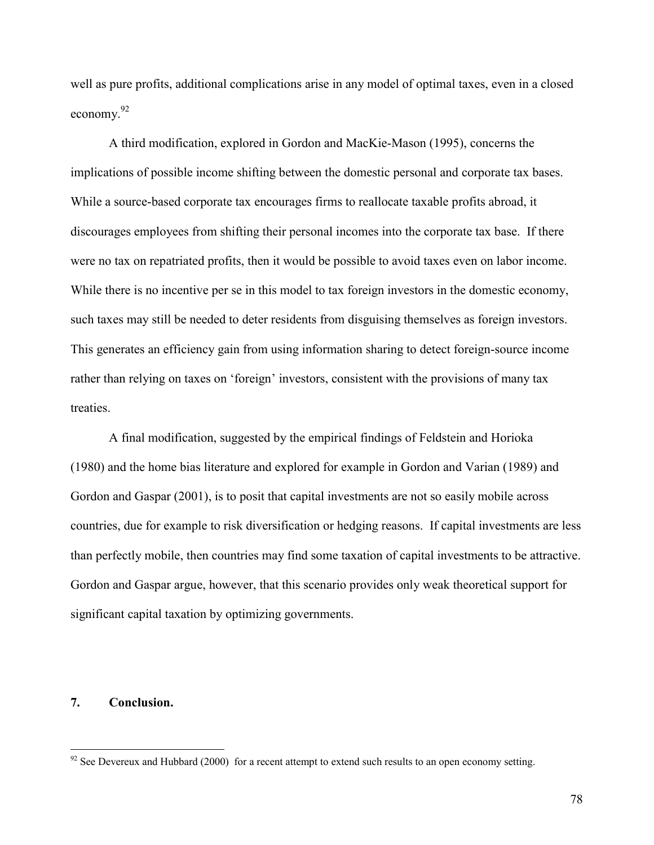well as pure profits, additional complications arise in any model of optimal taxes, even in a closed economy.<sup>92</sup>

A third modification, explored in Gordon and MacKie-Mason (1995), concerns the implications of possible income shifting between the domestic personal and corporate tax bases. While a source-based corporate tax encourages firms to reallocate taxable profits abroad, it discourages employees from shifting their personal incomes into the corporate tax base. If there were no tax on repatriated profits, then it would be possible to avoid taxes even on labor income. While there is no incentive per se in this model to tax foreign investors in the domestic economy, such taxes may still be needed to deter residents from disguising themselves as foreign investors. This generates an efficiency gain from using information sharing to detect foreign-source income rather than relying on taxes on 'foreign' investors, consistent with the provisions of many tax treaties.

A final modification, suggested by the empirical findings of Feldstein and Horioka (1980) and the home bias literature and explored for example in Gordon and Varian (1989) and Gordon and Gaspar (2001), is to posit that capital investments are not so easily mobile across countries, due for example to risk diversification or hedging reasons. If capital investments are less than perfectly mobile, then countries may find some taxation of capital investments to be attractive. Gordon and Gaspar argue, however, that this scenario provides only weak theoretical support for significant capital taxation by optimizing governments.

## **7. Conclusion.**

 $\overline{a}$ 

 $92$  See Devereux and Hubbard (2000) for a recent attempt to extend such results to an open economy setting.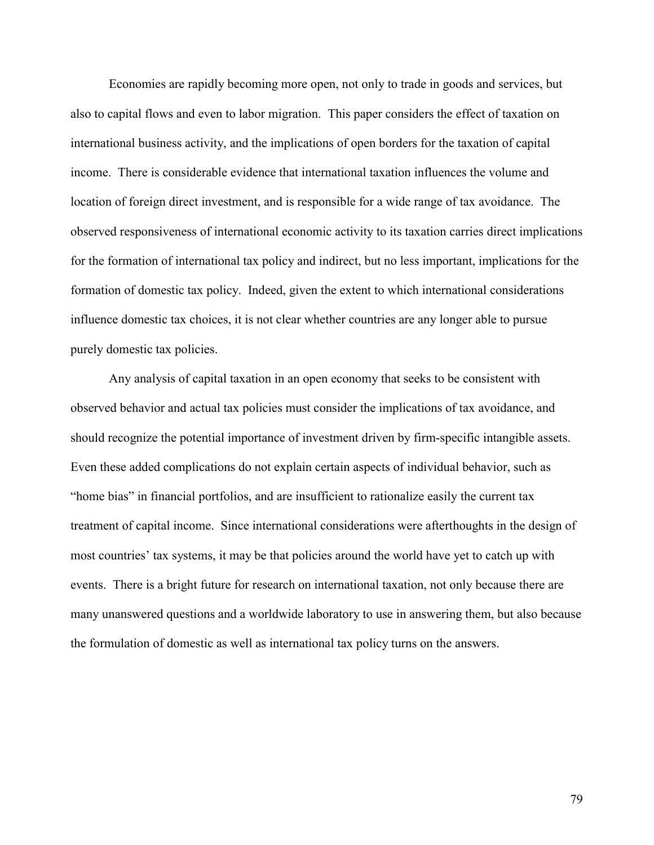Economies are rapidly becoming more open, not only to trade in goods and services, but also to capital flows and even to labor migration. This paper considers the effect of taxation on international business activity, and the implications of open borders for the taxation of capital income. There is considerable evidence that international taxation influences the volume and location of foreign direct investment, and is responsible for a wide range of tax avoidance. The observed responsiveness of international economic activity to its taxation carries direct implications for the formation of international tax policy and indirect, but no less important, implications for the formation of domestic tax policy. Indeed, given the extent to which international considerations influence domestic tax choices, it is not clear whether countries are any longer able to pursue purely domestic tax policies.

Any analysis of capital taxation in an open economy that seeks to be consistent with observed behavior and actual tax policies must consider the implications of tax avoidance, and should recognize the potential importance of investment driven by firm-specific intangible assets. Even these added complications do not explain certain aspects of individual behavior, such as "home bias" in financial portfolios, and are insufficient to rationalize easily the current tax treatment of capital income. Since international considerations were afterthoughts in the design of most countries' tax systems, it may be that policies around the world have yet to catch up with events. There is a bright future for research on international taxation, not only because there are many unanswered questions and a worldwide laboratory to use in answering them, but also because the formulation of domestic as well as international tax policy turns on the answers.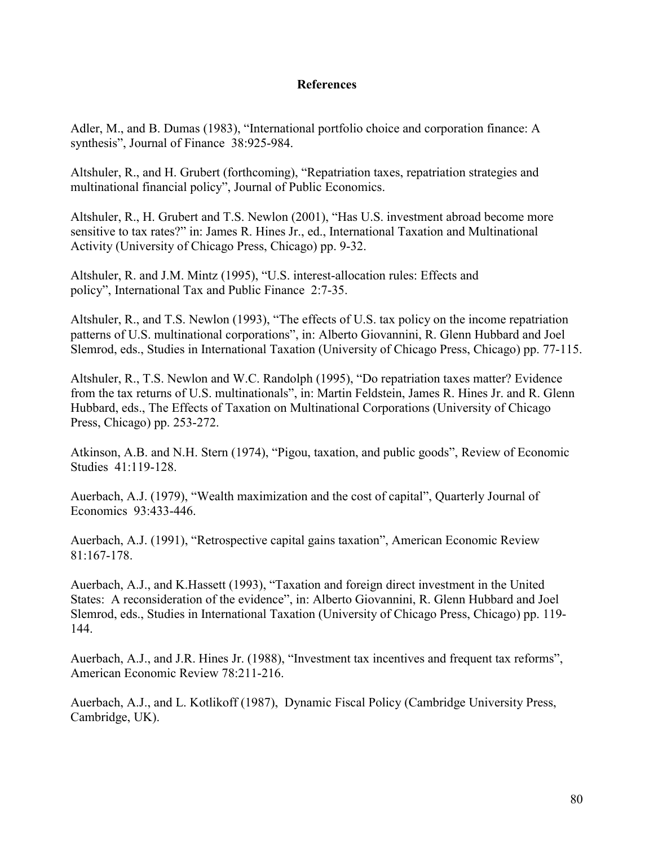## **References**

Adler, M., and B. Dumas (1983), "International portfolio choice and corporation finance: A synthesis", Journal of Finance 38:925-984.

Altshuler, R., and H. Grubert (forthcoming), "Repatriation taxes, repatriation strategies and multinational financial policy", Journal of Public Economics.

Altshuler, R., H. Grubert and T.S. Newlon (2001), "Has U.S. investment abroad become more sensitive to tax rates?" in: James R. Hines Jr., ed., International Taxation and Multinational Activity (University of Chicago Press, Chicago) pp. 9-32.

Altshuler, R. and J.M. Mintz (1995), "U.S. interest-allocation rules: Effects and policy", International Tax and Public Finance 2:7-35.

Altshuler, R., and T.S. Newlon (1993), "The effects of U.S. tax policy on the income repatriation patterns of U.S. multinational corporations", in: Alberto Giovannini, R. Glenn Hubbard and Joel Slemrod, eds., Studies in International Taxation (University of Chicago Press, Chicago) pp. 77-115.

Altshuler, R., T.S. Newlon and W.C. Randolph (1995), "Do repatriation taxes matter? Evidence from the tax returns of U.S. multinationals", in: Martin Feldstein, James R. Hines Jr. and R. Glenn Hubbard, eds., The Effects of Taxation on Multinational Corporations (University of Chicago Press, Chicago) pp. 253-272.

Atkinson, A.B. and N.H. Stern (1974), "Pigou, taxation, and public goods", Review of Economic Studies 41:119-128.

Auerbach, A.J. (1979), "Wealth maximization and the cost of capital", Quarterly Journal of Economics 93:433-446.

Auerbach, A.J. (1991), "Retrospective capital gains taxation", American Economic Review 81:167-178.

Auerbach, A.J., and K.Hassett (1993), "Taxation and foreign direct investment in the United States: A reconsideration of the evidence", in: Alberto Giovannini, R. Glenn Hubbard and Joel Slemrod, eds., Studies in International Taxation (University of Chicago Press, Chicago) pp. 119- 144.

Auerbach, A.J., and J.R. Hines Jr. (1988), "Investment tax incentives and frequent tax reforms", American Economic Review 78:211-216.

Auerbach, A.J., and L. Kotlikoff (1987), Dynamic Fiscal Policy (Cambridge University Press, Cambridge, UK).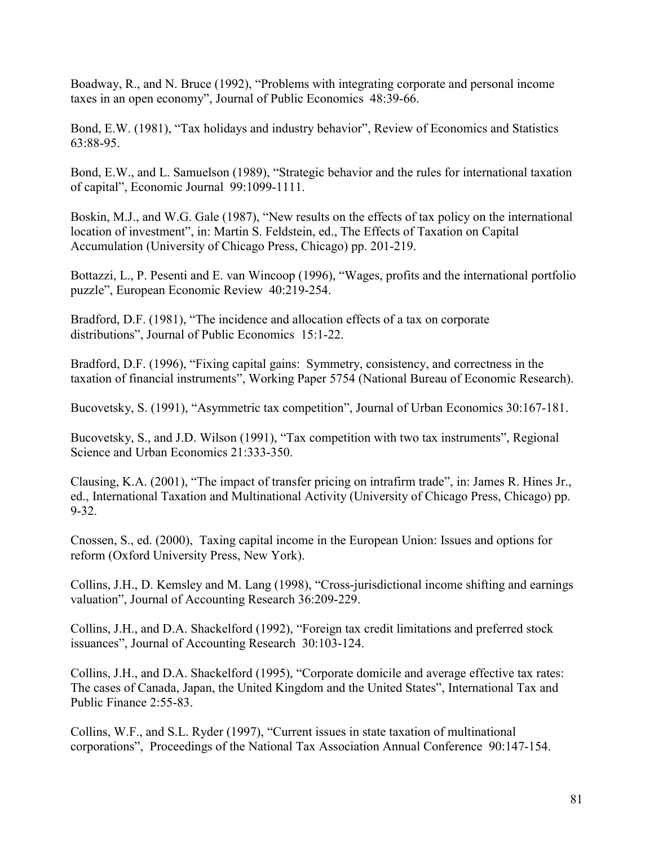Boadway, R., and N. Bruce (1992), "Problems with integrating corporate and personal income taxes in an open economy", Journal of Public Economics 48:39-66.

Bond, E.W. (1981), "Tax holidays and industry behavior", Review of Economics and Statistics 63:88-95.

Bond, E.W., and L. Samuelson (1989), "Strategic behavior and the rules for international taxation of capital", Economic Journal 99:1099-1111.

Boskin, M.J., and W.G. Gale (1987), "New results on the effects of tax policy on the international location of investment", in: Martin S. Feldstein, ed., The Effects of Taxation on Capital Accumulation (University of Chicago Press, Chicago) pp. 201-219.

Bottazzi, L., P. Pesenti and E. van Wincoop (1996), "Wages, profits and the international portfolio puzzle", European Economic Review 40:219-254.

Bradford, D.F. (1981), "The incidence and allocation effects of a tax on corporate distributions", Journal of Public Economics 15:1-22.

Bradford, D.F. (1996), "Fixing capital gains: Symmetry, consistency, and correctness in the taxation of financial instruments", Working Paper 5754 (National Bureau of Economic Research).

Bucovetsky, S. (1991), "Asymmetric tax competition", Journal of Urban Economics 30:167-181.

Bucovetsky, S., and J.D. Wilson (1991), "Tax competition with two tax instruments", Regional Science and Urban Economics 21:333-350.

Clausing, K.A. (2001), "The impact of transfer pricing on intrafirm trade", in: James R. Hines Jr., ed., International Taxation and Multinational Activity (University of Chicago Press, Chicago) pp. 9-32.

Cnossen, S., ed. (2000), Taxing capital income in the European Union: Issues and options for reform (Oxford University Press, New York).

Collins, J.H., D. Kemsley and M. Lang (1998), "Cross-jurisdictional income shifting and earnings valuation", Journal of Accounting Research 36:209-229.

Collins, J.H., and D.A. Shackelford (1992), "Foreign tax credit limitations and preferred stock issuances", Journal of Accounting Research 30:103-124.

Collins, J.H., and D.A. Shackelford (1995), "Corporate domicile and average effective tax rates: The cases of Canada, Japan, the United Kingdom and the United States", International Tax and Public Finance 2:55-83.

Collins, W.F., and S.L. Ryder (1997), "Current issues in state taxation of multinational corporations", Proceedings of the National Tax Association Annual Conference 90:147-154.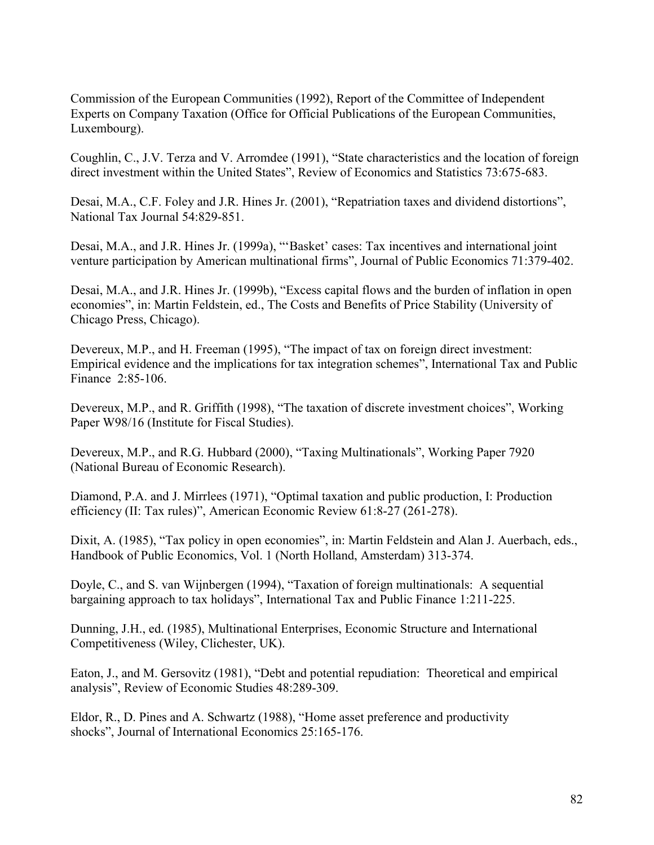Commission of the European Communities (1992), Report of the Committee of Independent Experts on Company Taxation (Office for Official Publications of the European Communities, Luxembourg).

Coughlin, C., J.V. Terza and V. Arromdee (1991), "State characteristics and the location of foreign direct investment within the United States", Review of Economics and Statistics 73:675-683.

Desai, M.A., C.F. Foley and J.R. Hines Jr. (2001), "Repatriation taxes and dividend distortions", National Tax Journal 54:829-851.

Desai, M.A., and J.R. Hines Jr. (1999a), "'Basket' cases: Tax incentives and international joint venture participation by American multinational firms", Journal of Public Economics 71:379-402.

Desai, M.A., and J.R. Hines Jr. (1999b), "Excess capital flows and the burden of inflation in open economies", in: Martin Feldstein, ed., The Costs and Benefits of Price Stability (University of Chicago Press, Chicago).

Devereux, M.P., and H. Freeman (1995), "The impact of tax on foreign direct investment: Empirical evidence and the implications for tax integration schemes", International Tax and Public Finance 2:85-106.

Devereux, M.P., and R. Griffith (1998), "The taxation of discrete investment choices", Working Paper W98/16 (Institute for Fiscal Studies).

Devereux, M.P., and R.G. Hubbard (2000), "Taxing Multinationals", Working Paper 7920 (National Bureau of Economic Research).

Diamond, P.A. and J. Mirrlees (1971), "Optimal taxation and public production, I: Production efficiency (II: Tax rules)", American Economic Review 61:8-27 (261-278).

Dixit, A. (1985), "Tax policy in open economies", in: Martin Feldstein and Alan J. Auerbach, eds., Handbook of Public Economics, Vol. 1 (North Holland, Amsterdam) 313-374.

Doyle, C., and S. van Wijnbergen (1994), "Taxation of foreign multinationals: A sequential bargaining approach to tax holidays", International Tax and Public Finance 1:211-225.

Dunning, J.H., ed. (1985), Multinational Enterprises, Economic Structure and International Competitiveness (Wiley, Clichester, UK).

Eaton, J., and M. Gersovitz (1981), "Debt and potential repudiation: Theoretical and empirical analysis", Review of Economic Studies 48:289-309.

Eldor, R., D. Pines and A. Schwartz (1988), "Home asset preference and productivity shocks", Journal of International Economics 25:165-176.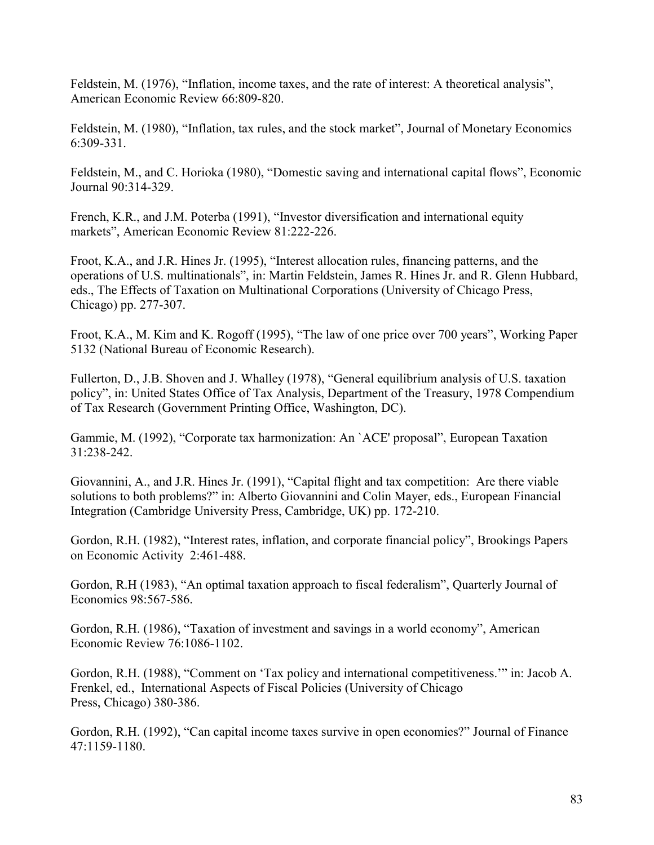Feldstein, M. (1976), "Inflation, income taxes, and the rate of interest: A theoretical analysis", American Economic Review 66:809-820.

Feldstein, M. (1980), "Inflation, tax rules, and the stock market", Journal of Monetary Economics 6:309-331.

Feldstein, M., and C. Horioka (1980), "Domestic saving and international capital flows", Economic Journal 90:314-329.

French, K.R., and J.M. Poterba (1991), "Investor diversification and international equity markets", American Economic Review 81:222-226.

Froot, K.A., and J.R. Hines Jr. (1995), "Interest allocation rules, financing patterns, and the operations of U.S. multinationals", in: Martin Feldstein, James R. Hines Jr. and R. Glenn Hubbard, eds., The Effects of Taxation on Multinational Corporations (University of Chicago Press, Chicago) pp. 277-307.

Froot, K.A., M. Kim and K. Rogoff (1995), "The law of one price over 700 years", Working Paper 5132 (National Bureau of Economic Research).

Fullerton, D., J.B. Shoven and J. Whalley (1978), "General equilibrium analysis of U.S. taxation policy", in: United States Office of Tax Analysis, Department of the Treasury, 1978 Compendium of Tax Research (Government Printing Office, Washington, DC).

Gammie, M. (1992), "Corporate tax harmonization: An `ACE' proposal", European Taxation 31:238-242.

Giovannini, A., and J.R. Hines Jr. (1991), "Capital flight and tax competition: Are there viable solutions to both problems?" in: Alberto Giovannini and Colin Mayer, eds., European Financial Integration (Cambridge University Press, Cambridge, UK) pp. 172-210.

Gordon, R.H. (1982), "Interest rates, inflation, and corporate financial policy", Brookings Papers on Economic Activity 2:461-488.

Gordon, R.H (1983), "An optimal taxation approach to fiscal federalism", Quarterly Journal of Economics 98:567-586.

Gordon, R.H. (1986), "Taxation of investment and savings in a world economy", American Economic Review 76:1086-1102.

Gordon, R.H. (1988), "Comment on 'Tax policy and international competitiveness.'" in: Jacob A. Frenkel, ed., International Aspects of Fiscal Policies (University of Chicago Press, Chicago) 380-386.

Gordon, R.H. (1992), "Can capital income taxes survive in open economies?" Journal of Finance 47:1159-1180.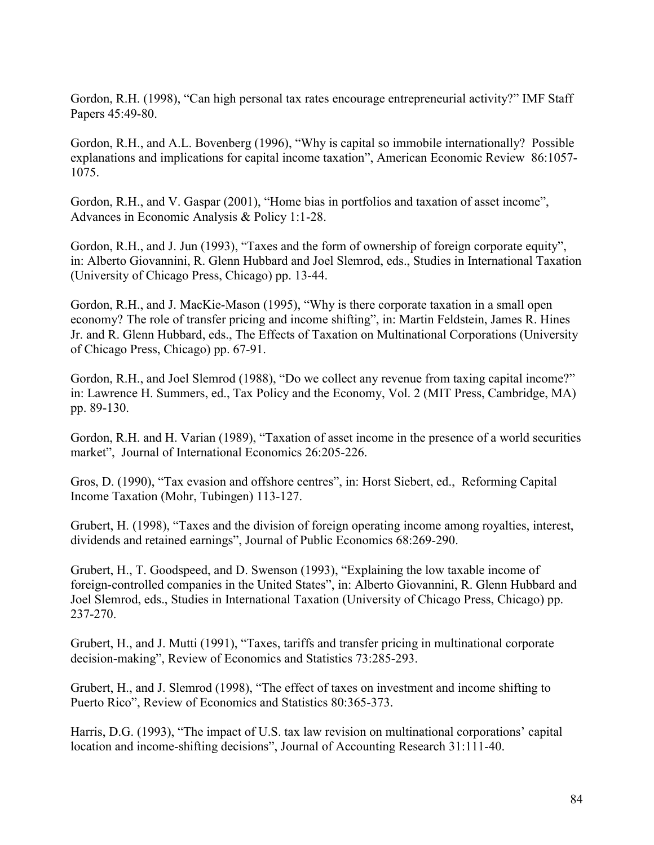Gordon, R.H. (1998), "Can high personal tax rates encourage entrepreneurial activity?" IMF Staff Papers 45:49-80.

Gordon, R.H., and A.L. Bovenberg (1996), "Why is capital so immobile internationally? Possible explanations and implications for capital income taxation", American Economic Review 86:1057- 1075.

Gordon, R.H., and V. Gaspar (2001), "Home bias in portfolios and taxation of asset income", Advances in Economic Analysis & Policy 1:1-28.

Gordon, R.H., and J. Jun (1993), "Taxes and the form of ownership of foreign corporate equity", in: Alberto Giovannini, R. Glenn Hubbard and Joel Slemrod, eds., Studies in International Taxation (University of Chicago Press, Chicago) pp. 13-44.

Gordon, R.H., and J. MacKie-Mason (1995), "Why is there corporate taxation in a small open economy? The role of transfer pricing and income shifting", in: Martin Feldstein, James R. Hines Jr. and R. Glenn Hubbard, eds., The Effects of Taxation on Multinational Corporations (University of Chicago Press, Chicago) pp. 67-91.

Gordon, R.H., and Joel Slemrod (1988), "Do we collect any revenue from taxing capital income?" in: Lawrence H. Summers, ed., Tax Policy and the Economy, Vol. 2 (MIT Press, Cambridge, MA) pp. 89-130.

Gordon, R.H. and H. Varian (1989), "Taxation of asset income in the presence of a world securities market", Journal of International Economics 26:205-226.

Gros, D. (1990), "Tax evasion and offshore centres", in: Horst Siebert, ed., Reforming Capital Income Taxation (Mohr, Tubingen) 113-127.

Grubert, H. (1998), "Taxes and the division of foreign operating income among royalties, interest, dividends and retained earnings", Journal of Public Economics 68:269-290.

Grubert, H., T. Goodspeed, and D. Swenson (1993), "Explaining the low taxable income of foreign-controlled companies in the United States", in: Alberto Giovannini, R. Glenn Hubbard and Joel Slemrod, eds., Studies in International Taxation (University of Chicago Press, Chicago) pp. 237-270.

Grubert, H., and J. Mutti (1991), "Taxes, tariffs and transfer pricing in multinational corporate decision-making", Review of Economics and Statistics 73:285-293.

Grubert, H., and J. Slemrod (1998), "The effect of taxes on investment and income shifting to Puerto Rico", Review of Economics and Statistics 80:365-373.

Harris, D.G. (1993), "The impact of U.S. tax law revision on multinational corporations' capital location and income-shifting decisions", Journal of Accounting Research 31:111-40.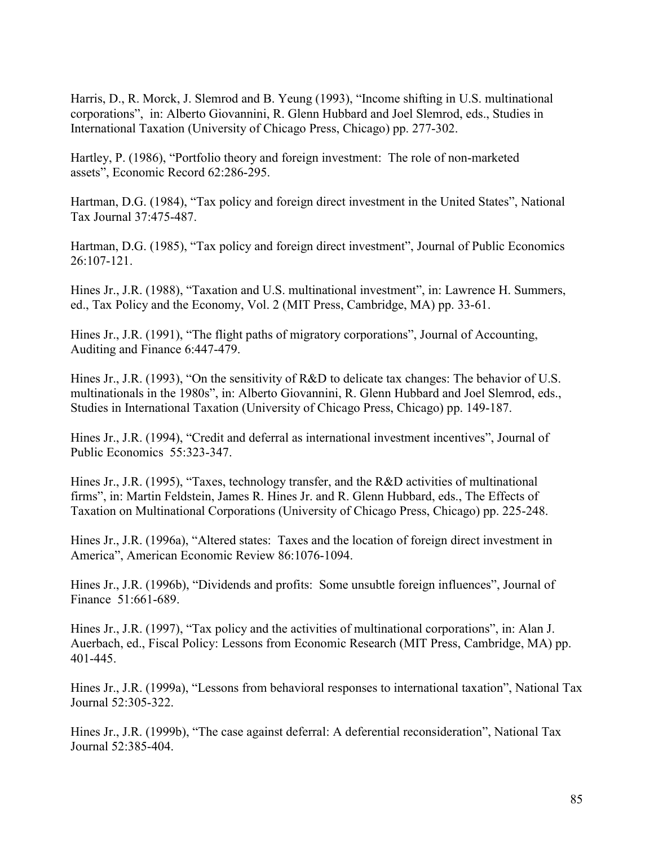Harris, D., R. Morck, J. Slemrod and B. Yeung (1993), "Income shifting in U.S. multinational corporations", in: Alberto Giovannini, R. Glenn Hubbard and Joel Slemrod, eds., Studies in International Taxation (University of Chicago Press, Chicago) pp. 277-302.

Hartley, P. (1986), "Portfolio theory and foreign investment: The role of non-marketed assets", Economic Record 62:286-295.

Hartman, D.G. (1984), "Tax policy and foreign direct investment in the United States", National Tax Journal 37:475-487.

Hartman, D.G. (1985), "Tax policy and foreign direct investment", Journal of Public Economics 26:107-121.

Hines Jr., J.R. (1988), "Taxation and U.S. multinational investment", in: Lawrence H. Summers, ed., Tax Policy and the Economy, Vol. 2 (MIT Press, Cambridge, MA) pp. 33-61.

Hines Jr., J.R. (1991), "The flight paths of migratory corporations", Journal of Accounting, Auditing and Finance 6:447-479.

Hines Jr., J.R. (1993), "On the sensitivity of R&D to delicate tax changes: The behavior of U.S. multinationals in the 1980s", in: Alberto Giovannini, R. Glenn Hubbard and Joel Slemrod, eds., Studies in International Taxation (University of Chicago Press, Chicago) pp. 149-187.

Hines Jr., J.R. (1994), "Credit and deferral as international investment incentives", Journal of Public Economics 55:323-347.

Hines Jr., J.R. (1995), "Taxes, technology transfer, and the R&D activities of multinational firms", in: Martin Feldstein, James R. Hines Jr. and R. Glenn Hubbard, eds., The Effects of Taxation on Multinational Corporations (University of Chicago Press, Chicago) pp. 225-248.

Hines Jr., J.R. (1996a), "Altered states: Taxes and the location of foreign direct investment in America", American Economic Review 86:1076-1094.

Hines Jr., J.R. (1996b), "Dividends and profits: Some unsubtle foreign influences", Journal of Finance 51:661-689.

Hines Jr., J.R. (1997), "Tax policy and the activities of multinational corporations", in: Alan J. Auerbach, ed., Fiscal Policy: Lessons from Economic Research (MIT Press, Cambridge, MA) pp. 401-445.

Hines Jr., J.R. (1999a), "Lessons from behavioral responses to international taxation", National Tax Journal 52:305-322.

Hines Jr., J.R. (1999b), "The case against deferral: A deferential reconsideration", National Tax Journal 52:385-404.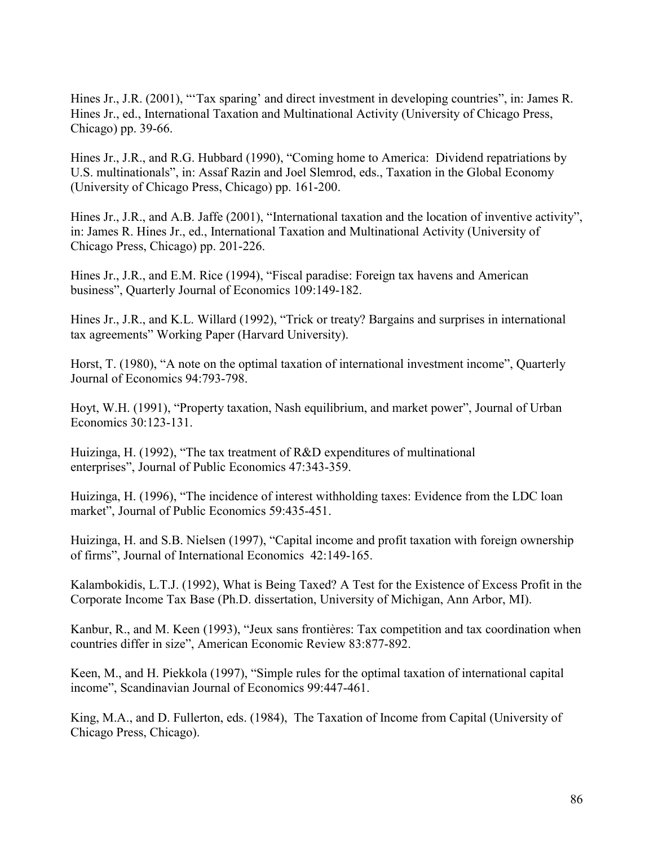Hines Jr., J.R. (2001), "'Tax sparing' and direct investment in developing countries", in: James R. Hines Jr., ed., International Taxation and Multinational Activity (University of Chicago Press, Chicago) pp. 39-66.

Hines Jr., J.R., and R.G. Hubbard (1990), "Coming home to America: Dividend repatriations by U.S. multinationals", in: Assaf Razin and Joel Slemrod, eds., Taxation in the Global Economy (University of Chicago Press, Chicago) pp. 161-200.

Hines Jr., J.R., and A.B. Jaffe (2001), "International taxation and the location of inventive activity", in: James R. Hines Jr., ed., International Taxation and Multinational Activity (University of Chicago Press, Chicago) pp. 201-226.

Hines Jr., J.R., and E.M. Rice (1994), "Fiscal paradise: Foreign tax havens and American business", Quarterly Journal of Economics 109:149-182.

Hines Jr., J.R., and K.L. Willard (1992), "Trick or treaty? Bargains and surprises in international tax agreements" Working Paper (Harvard University).

Horst, T. (1980), "A note on the optimal taxation of international investment income", Quarterly Journal of Economics 94:793-798.

Hoyt, W.H. (1991), "Property taxation, Nash equilibrium, and market power", Journal of Urban Economics 30:123-131.

Huizinga, H. (1992), "The tax treatment of R&D expenditures of multinational enterprises", Journal of Public Economics 47:343-359.

Huizinga, H. (1996), "The incidence of interest withholding taxes: Evidence from the LDC loan market", Journal of Public Economics 59:435-451.

Huizinga, H. and S.B. Nielsen (1997), "Capital income and profit taxation with foreign ownership of firms", Journal of International Economics 42:149-165.

Kalambokidis, L.T.J. (1992), What is Being Taxed? A Test for the Existence of Excess Profit in the Corporate Income Tax Base (Ph.D. dissertation, University of Michigan, Ann Arbor, MI).

Kanbur, R., and M. Keen (1993), "Jeux sans frontières: Tax competition and tax coordination when countries differ in size", American Economic Review 83:877-892.

Keen, M., and H. Piekkola (1997), "Simple rules for the optimal taxation of international capital income", Scandinavian Journal of Economics 99:447-461.

King, M.A., and D. Fullerton, eds. (1984), The Taxation of Income from Capital (University of Chicago Press, Chicago).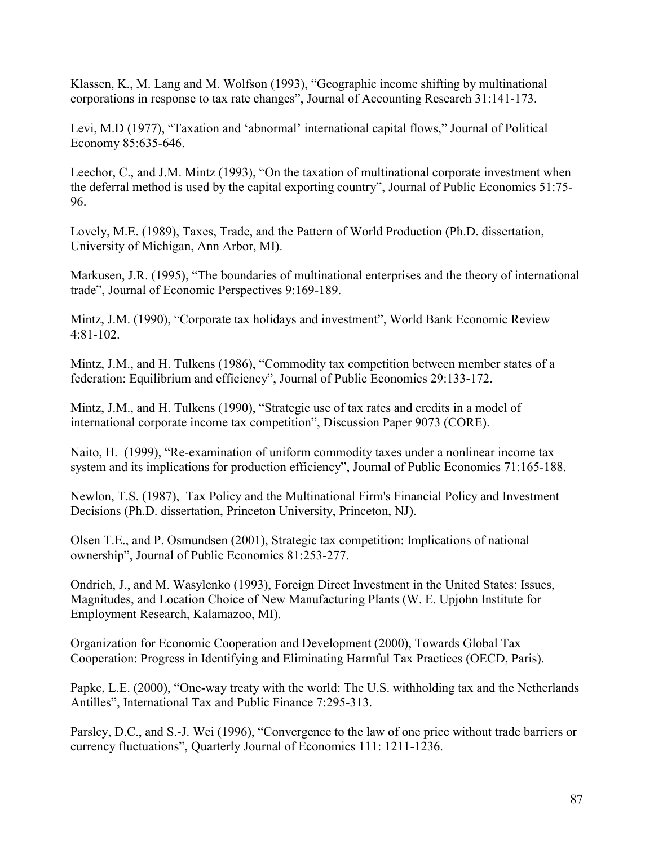Klassen, K., M. Lang and M. Wolfson (1993), "Geographic income shifting by multinational corporations in response to tax rate changes", Journal of Accounting Research 31:141-173.

Levi, M.D (1977), "Taxation and 'abnormal' international capital flows," Journal of Political Economy 85:635-646.

Leechor, C., and J.M. Mintz (1993), "On the taxation of multinational corporate investment when the deferral method is used by the capital exporting country", Journal of Public Economics 51:75- 96.

Lovely, M.E. (1989), Taxes, Trade, and the Pattern of World Production (Ph.D. dissertation, University of Michigan, Ann Arbor, MI).

Markusen, J.R. (1995), "The boundaries of multinational enterprises and the theory of international trade", Journal of Economic Perspectives 9:169-189.

Mintz, J.M. (1990), "Corporate tax holidays and investment", World Bank Economic Review 4:81-102.

Mintz, J.M., and H. Tulkens (1986), "Commodity tax competition between member states of a federation: Equilibrium and efficiency", Journal of Public Economics 29:133-172.

Mintz, J.M., and H. Tulkens (1990), "Strategic use of tax rates and credits in a model of international corporate income tax competition", Discussion Paper 9073 (CORE).

Naito, H. (1999), "Re-examination of uniform commodity taxes under a nonlinear income tax system and its implications for production efficiency", Journal of Public Economics 71:165-188.

Newlon, T.S. (1987), Tax Policy and the Multinational Firm's Financial Policy and Investment Decisions (Ph.D. dissertation, Princeton University, Princeton, NJ).

Olsen T.E., and P. Osmundsen (2001), Strategic tax competition: Implications of national ownership", Journal of Public Economics 81:253-277.

Ondrich, J., and M. Wasylenko (1993), Foreign Direct Investment in the United States: Issues, Magnitudes, and Location Choice of New Manufacturing Plants (W. E. Upjohn Institute for Employment Research, Kalamazoo, MI).

Organization for Economic Cooperation and Development (2000), Towards Global Tax Cooperation: Progress in Identifying and Eliminating Harmful Tax Practices (OECD, Paris).

Papke, L.E. (2000), "One-way treaty with the world: The U.S. withholding tax and the Netherlands Antilles", International Tax and Public Finance 7:295-313.

Parsley, D.C., and S.-J. Wei (1996), "Convergence to the law of one price without trade barriers or currency fluctuations", Quarterly Journal of Economics 111: 1211-1236.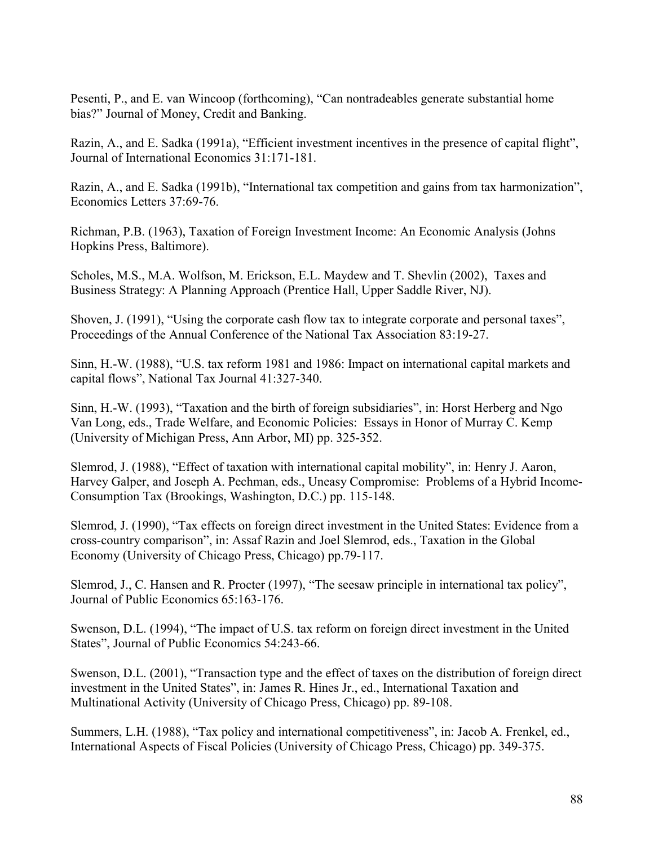Pesenti, P., and E. van Wincoop (forthcoming), "Can nontradeables generate substantial home bias?" Journal of Money, Credit and Banking.

Razin, A., and E. Sadka (1991a), "Efficient investment incentives in the presence of capital flight", Journal of International Economics 31:171-181.

Razin, A., and E. Sadka (1991b), "International tax competition and gains from tax harmonization", Economics Letters 37:69-76.

Richman, P.B. (1963), Taxation of Foreign Investment Income: An Economic Analysis (Johns Hopkins Press, Baltimore).

Scholes, M.S., M.A. Wolfson, M. Erickson, E.L. Maydew and T. Shevlin (2002), Taxes and Business Strategy: A Planning Approach (Prentice Hall, Upper Saddle River, NJ).

Shoven, J. (1991), "Using the corporate cash flow tax to integrate corporate and personal taxes", Proceedings of the Annual Conference of the National Tax Association 83:19-27.

Sinn, H.-W. (1988), "U.S. tax reform 1981 and 1986: Impact on international capital markets and capital flows", National Tax Journal 41:327-340.

Sinn, H.-W. (1993), "Taxation and the birth of foreign subsidiaries", in: Horst Herberg and Ngo Van Long, eds., Trade Welfare, and Economic Policies: Essays in Honor of Murray C. Kemp (University of Michigan Press, Ann Arbor, MI) pp. 325-352.

Slemrod, J. (1988), "Effect of taxation with international capital mobility", in: Henry J. Aaron, Harvey Galper, and Joseph A. Pechman, eds., Uneasy Compromise: Problems of a Hybrid Income-Consumption Tax (Brookings, Washington, D.C.) pp. 115-148.

Slemrod, J. (1990), "Tax effects on foreign direct investment in the United States: Evidence from a cross-country comparison", in: Assaf Razin and Joel Slemrod, eds., Taxation in the Global Economy (University of Chicago Press, Chicago) pp.79-117.

Slemrod, J., C. Hansen and R. Procter (1997), "The seesaw principle in international tax policy", Journal of Public Economics 65:163-176.

Swenson, D.L. (1994), "The impact of U.S. tax reform on foreign direct investment in the United States", Journal of Public Economics 54:243-66.

Swenson, D.L. (2001), "Transaction type and the effect of taxes on the distribution of foreign direct investment in the United States", in: James R. Hines Jr., ed., International Taxation and Multinational Activity (University of Chicago Press, Chicago) pp. 89-108.

Summers, L.H. (1988), "Tax policy and international competitiveness", in: Jacob A. Frenkel, ed., International Aspects of Fiscal Policies (University of Chicago Press, Chicago) pp. 349-375.